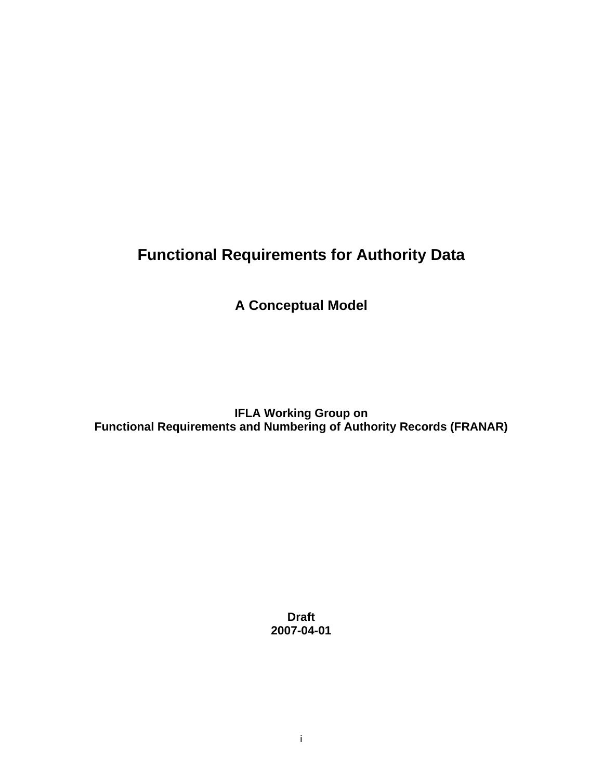# **Functional Requirements for Authority Data**

**A Conceptual Model** 

**IFLA Working Group on Functional Requirements and Numbering of Authority Records (FRANAR)** 

> **Draft 2007-04-01**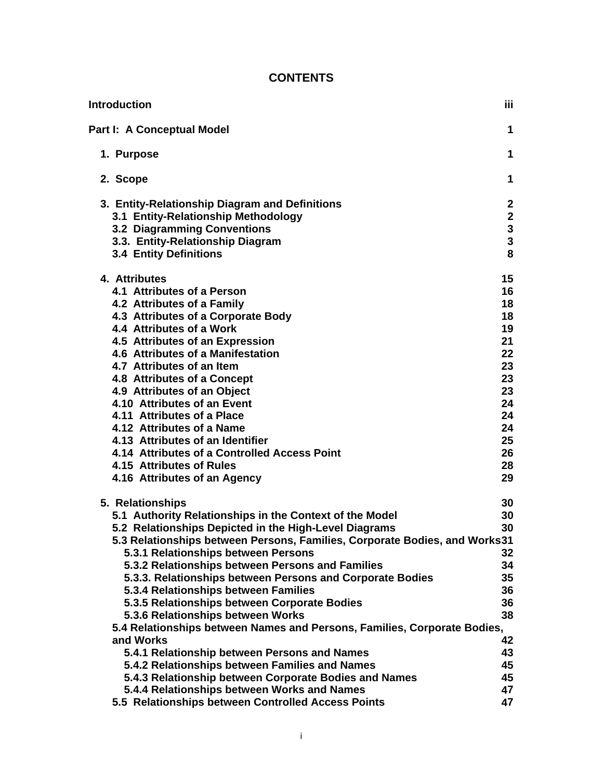# **CONTENTS**

| <b>Introduction</b>                                                                                                                                             | iii                                               |
|-----------------------------------------------------------------------------------------------------------------------------------------------------------------|---------------------------------------------------|
| Part I: A Conceptual Model                                                                                                                                      | $\mathbf 1$                                       |
| 1. Purpose                                                                                                                                                      | 1                                                 |
| 2. Scope                                                                                                                                                        | 1                                                 |
| 3. Entity-Relationship Diagram and Definitions<br>3.1 Entity-Relationship Methodology<br><b>3.2 Diagramming Conventions</b><br>3.3. Entity-Relationship Diagram | $\boldsymbol{2}$<br>$\mathbf{2}$<br>$\frac{3}{3}$ |
| <b>3.4 Entity Definitions</b>                                                                                                                                   | 8                                                 |
| 4. Attributes<br>4.1 Attributes of a Person                                                                                                                     | 15<br>16                                          |
| 4.2 Attributes of a Family<br>4.3 Attributes of a Corporate Body                                                                                                | 18<br>18                                          |
| 4.4 Attributes of a Work                                                                                                                                        | 19                                                |
| 4.5 Attributes of an Expression<br>4.6 Attributes of a Manifestation                                                                                            | 21<br>22                                          |
| 4.7 Attributes of an Item                                                                                                                                       | 23                                                |
| 4.8 Attributes of a Concept                                                                                                                                     | 23                                                |
| 4.9 Attributes of an Object                                                                                                                                     | 23                                                |
| 4.10 Attributes of an Event                                                                                                                                     | 24                                                |
| 4.11 Attributes of a Place                                                                                                                                      | 24                                                |
| 4.12 Attributes of a Name                                                                                                                                       | 24                                                |
| 4.13 Attributes of an Identifier                                                                                                                                | 25                                                |
| 4.14 Attributes of a Controlled Access Point                                                                                                                    | 26                                                |
| 4.15 Attributes of Rules                                                                                                                                        | 28                                                |
| 4.16 Attributes of an Agency                                                                                                                                    | 29                                                |
| 5. Relationships                                                                                                                                                | 30                                                |
| 5.1 Authority Relationships in the Context of the Model<br>5.2 Relationships Depicted in the High-Level Diagrams                                                | 30<br>30                                          |
| 5.3 Relationships between Persons, Families, Corporate Bodies, and Works31                                                                                      |                                                   |
| 5.3.1 Relationships between Persons                                                                                                                             | 32                                                |
| 5.3.2 Relationships between Persons and Families                                                                                                                | 34                                                |
| 5.3.3. Relationships between Persons and Corporate Bodies                                                                                                       | 35                                                |
| 5.3.4 Relationships between Families                                                                                                                            | 36                                                |
| 5.3.5 Relationships between Corporate Bodies                                                                                                                    | 36                                                |
| 5.3.6 Relationships between Works                                                                                                                               | 38                                                |
| 5.4 Relationships between Names and Persons, Families, Corporate Bodies,                                                                                        |                                                   |
| and Works                                                                                                                                                       | 42                                                |
| 5.4.1 Relationship between Persons and Names                                                                                                                    | 43                                                |
| 5.4.2 Relationships between Families and Names                                                                                                                  | 45                                                |
| 5.4.3 Relationship between Corporate Bodies and Names                                                                                                           | 45                                                |
| 5.4.4 Relationships between Works and Names                                                                                                                     | 47                                                |
| 5.5 Relationships between Controlled Access Points                                                                                                              | 47                                                |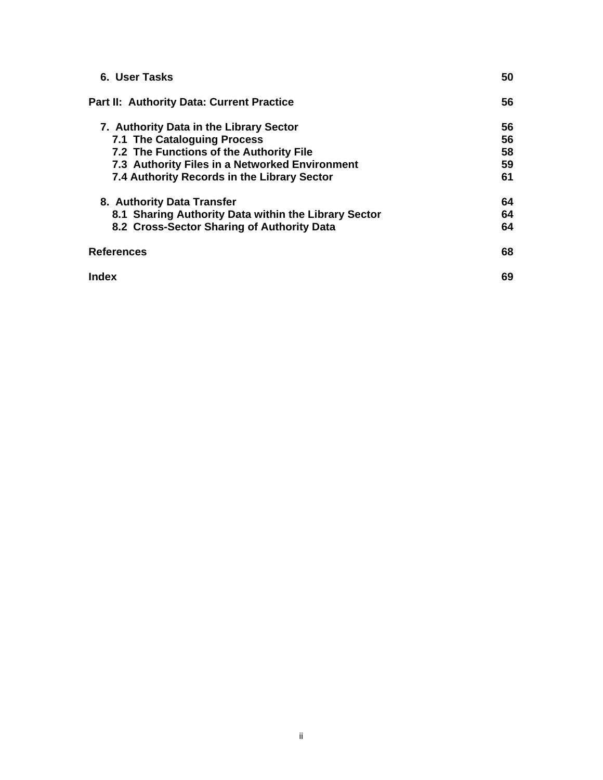| 6. User Tasks                                        | 50 |
|------------------------------------------------------|----|
| <b>Part II: Authority Data: Current Practice</b>     | 56 |
| 7. Authority Data in the Library Sector              | 56 |
| 7.1 The Cataloguing Process                          | 56 |
| 7.2 The Functions of the Authority File              | 58 |
| 7.3 Authority Files in a Networked Environment       | 59 |
| 7.4 Authority Records in the Library Sector          | 61 |
| 8. Authority Data Transfer                           | 64 |
| 8.1 Sharing Authority Data within the Library Sector | 64 |
| 8.2 Cross-Sector Sharing of Authority Data           | 64 |
| <b>References</b>                                    | 68 |
| Index                                                | 69 |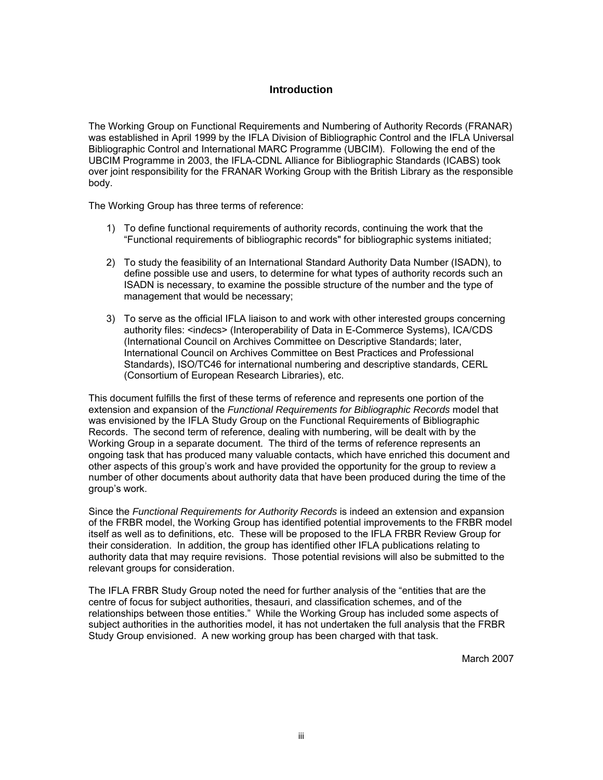#### **Introduction**

<span id="page-3-0"></span>The Working Group on Functional Requirements and Numbering of Authority Records (FRANAR) was established in April 1999 by the IFLA Division of Bibliographic Control and the IFLA Universal Bibliographic Control and International MARC Programme (UBCIM). Following the end of the UBCIM Programme in 2003, the IFLA-CDNL Alliance for Bibliographic Standards (ICABS) took over joint responsibility for the FRANAR Working Group with the British Library as the responsible body.

The Working Group has three terms of reference:

- 1) To define functional requirements of authority records, continuing the work that the "Functional requirements of bibliographic records" for bibliographic systems initiated;
- 2) To study the feasibility of an International Standard Authority Data Number (ISADN), to define possible use and users, to determine for what types of authority records such an ISADN is necessary, to examine the possible structure of the number and the type of management that would be necessary;
- 3) To serve as the official IFLA liaison to and work with other interested groups concerning authority files: <in*d*ecs> (Interoperability of Data in E-Commerce Systems), ICA/CDS (International Council on Archives Committee on Descriptive Standards; later, International Council on Archives Committee on Best Practices and Professional Standards), ISO/TC46 for international numbering and descriptive standards, CERL (Consortium of European Research Libraries), etc.

This document fulfills the first of these terms of reference and represents one portion of the extension and expansion of the *Functional Requirements for Bibliographic Records* model that was envisioned by the IFLA Study Group on the Functional Requirements of Bibliographic Records. The second term of reference, dealing with numbering, will be dealt with by the Working Group in a separate document. The third of the terms of reference represents an ongoing task that has produced many valuable contacts, which have enriched this document and other aspects of this group's work and have provided the opportunity for the group to review a number of other documents about authority data that have been produced during the time of the group's work.

Since the *Functional Requirements for Authority Records* is indeed an extension and expansion of the FRBR model, the Working Group has identified potential improvements to the FRBR model itself as well as to definitions, etc. These will be proposed to the IFLA FRBR Review Group for their consideration. In addition, the group has identified other IFLA publications relating to authority data that may require revisions. Those potential revisions will also be submitted to the relevant groups for consideration.

The IFLA FRBR Study Group noted the need for further analysis of the "entities that are the centre of focus for subject authorities, thesauri, and classification schemes, and of the relationships between those entities." While the Working Group has included some aspects of subject authorities in the authorities model, it has not undertaken the full analysis that the FRBR Study Group envisioned. A new working group has been charged with that task.

March 2007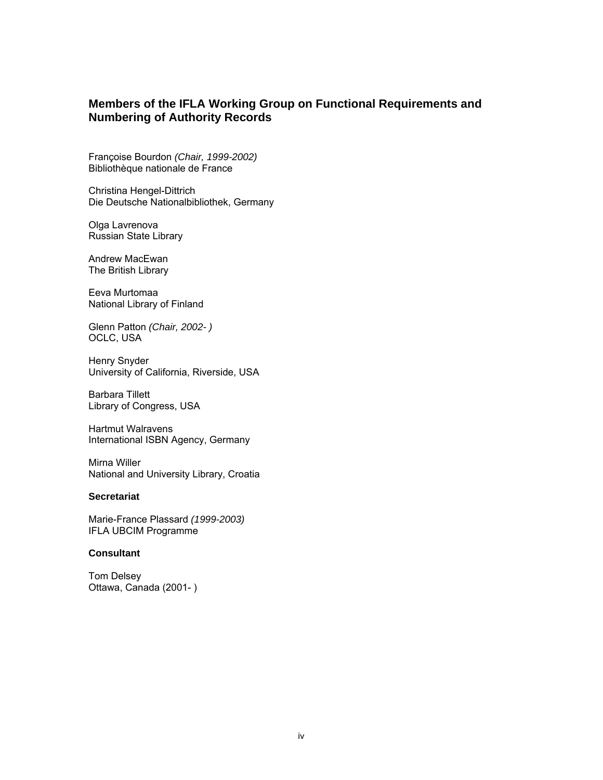# **Members of the IFLA Working Group on Functional Requirements and Numbering of Authority Records**

Françoise Bourdon *(Chair, 1999-2002)*  Bibliothèque nationale de France

Christina Hengel-Dittrich Die Deutsche Nationalbibliothek, Germany

Olga Lavrenova Russian State Library

Andrew MacEwan The British Library

Eeva Murtomaa National Library of Finland

Glenn Patton *(Chair, 2002- )*  OCLC, USA

Henry Snyder University of California, Riverside, USA

Barbara Tillett Library of Congress, USA

Hartmut Walravens International ISBN Agency, Germany

Mirna Willer National and University Library, Croatia

#### **Secretariat**

Marie-France Plassard *(1999-2003)* IFLA UBCIM Programme

#### **Consultant**

Tom Delsey Ottawa, Canada (2001- )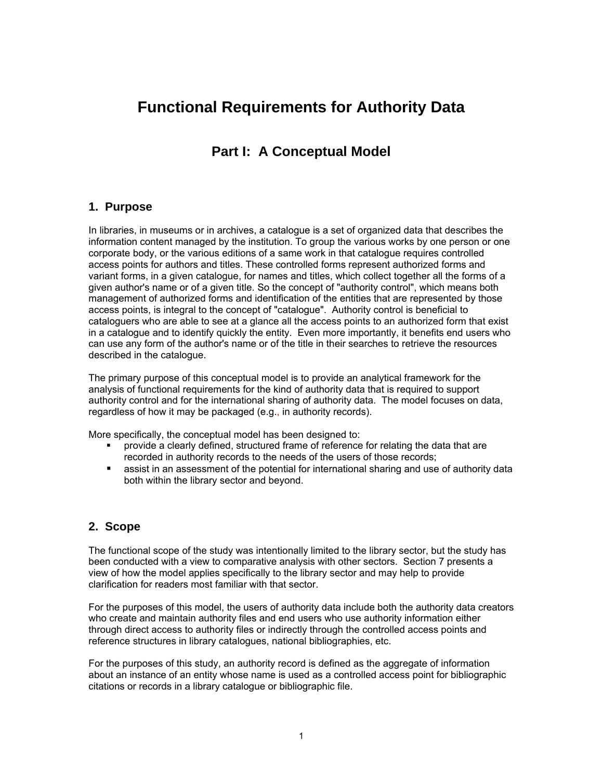# <span id="page-5-0"></span>**Functional Requirements for Authority Data**

# **Part I: A Conceptual Model**

## **1. Purpose**

In libraries, in museums or in archives, a catalogue is a set of organized data that describes the information content managed by the institution. To group the various works by one person or one corporate body, or the various editions of a same work in that catalogue requires controlled access points for authors and titles. These controlled forms represent authorized forms and variant forms, in a given catalogue, for names and titles, which collect together all the forms of a given author's name or of a given title. So the concept of "authority control", which means both management of authorized forms and identification of the entities that are represented by those access points, is integral to the concept of "catalogue". Authority control is beneficial to cataloguers who are able to see at a glance all the access points to an authorized form that exist in a catalogue and to identify quickly the entity. Even more importantly, it benefits end users who can use any form of the author's name or of the title in their searches to retrieve the resources described in the catalogue.

The primary purpose of this conceptual model is to provide an analytical framework for the analysis of functional requirements for the kind of authority data that is required to support authority control and for the international sharing of authority data. The model focuses on data, regardless of how it may be packaged (e.g., in authority records).

More specifically, the conceptual model has been designed to:

- provide a clearly defined, structured frame of reference for relating the data that are recorded in authority records to the needs of the users of those records;
- **EXECT** assist in an assessment of the potential for international sharing and use of authority data both within the library sector and beyond.

## **2. Scope**

The functional scope of the study was intentionally limited to the library sector, but the study has been conducted with a view to comparative analysis with other sectors. Section 7 presents a view of how the model applies specifically to the library sector and may help to provide clarification for readers most familiar with that sector.

For the purposes of this model, the users of authority data include both the authority data creators who create and maintain authority files and end users who use authority information either through direct access to authority files or indirectly through the controlled access points and reference structures in library catalogues, national bibliographies, etc.

For the purposes of this study, an authority record is defined as the aggregate of information about an instance of an entity whose name is used as a controlled access point for bibliographic citations or records in a library catalogue or bibliographic file.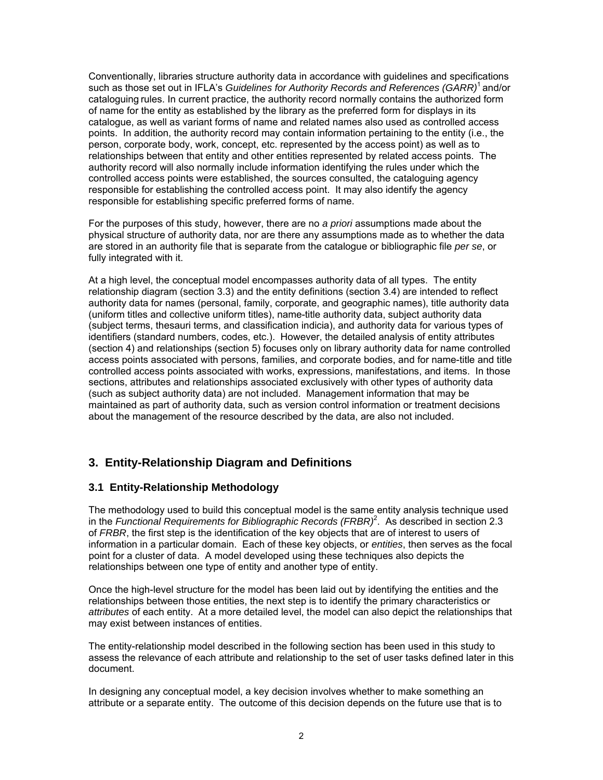<span id="page-6-0"></span>Conventionally, libraries structure authority data in accordance with guidelines and specifications such as those set out in IFLA's *Guidelines for Authority Records and References (GARR)*1 and/or cataloguing rules. In current practice, the authority record normally contains the authorized form of name for the entity as established by the library as the preferred form for displays in its catalogue, as well as variant forms of name and related names also used as controlled access points. In addition, the authority record may contain information pertaining to the entity (i.e., the person, corporate body, work, concept, etc. represented by the access point) as well as to relationships between that entity and other entities represented by related access points. The authority record will also normally include information identifying the rules under which the controlled access points were established, the sources consulted, the cataloguing agency responsible for establishing the controlled access point. It may also identify the agency responsible for establishing specific preferred forms of name.

For the purposes of this study, however, there are no *a priori* assumptions made about the physical structure of authority data, nor are there any assumptions made as to whether the data are stored in an authority file that is separate from the catalogue or bibliographic file *per se*, or fully integrated with it.

At a high level, the conceptual model encompasses authority data of all types. The entity relationship diagram (section 3.3) and the entity definitions (section 3.4) are intended to reflect authority data for names (personal, family, corporate, and geographic names), title authority data (uniform titles and collective uniform titles), name-title authority data, subject authority data (subject terms, thesauri terms, and classification indicia), and authority data for various types of identifiers (standard numbers, codes, etc.). However, the detailed analysis of entity attributes (section 4) and relationships (section 5) focuses only on library authority data for name controlled access points associated with persons, families, and corporate bodies, and for name-title and title controlled access points associated with works, expressions, manifestations, and items. In those sections, attributes and relationships associated exclusively with other types of authority data (such as subject authority data) are not included. Management information that may be maintained as part of authority data, such as version control information or treatment decisions about the management of the resource described by the data, are also not included.

# **3. Entity-Relationship Diagram and Definitions**

## **3.1 Entity-Relationship Methodology**

The methodology used to build this conceptual model is the same entity analysis technique used in the *Functional Requirements for Bibliographic Records (FRBR)*<sup>2</sup> . As described in section 2.3 of *FRBR*, the first step is the identification of the key objects that are of interest to users of information in a particular domain. Each of these key objects, or *entities*, then serves as the focal point for a cluster of data. A model developed using these techniques also depicts the relationships between one type of entity and another type of entity.

Once the high-level structure for the model has been laid out by identifying the entities and the relationships between those entities, the next step is to identify the primary characteristics or *attributes* of each entity. At a more detailed level, the model can also depict the relationships that may exist between instances of entities.

The entity-relationship model described in the following section has been used in this study to assess the relevance of each attribute and relationship to the set of user tasks defined later in this document.

In designing any conceptual model, a key decision involves whether to make something an attribute or a separate entity. The outcome of this decision depends on the future use that is to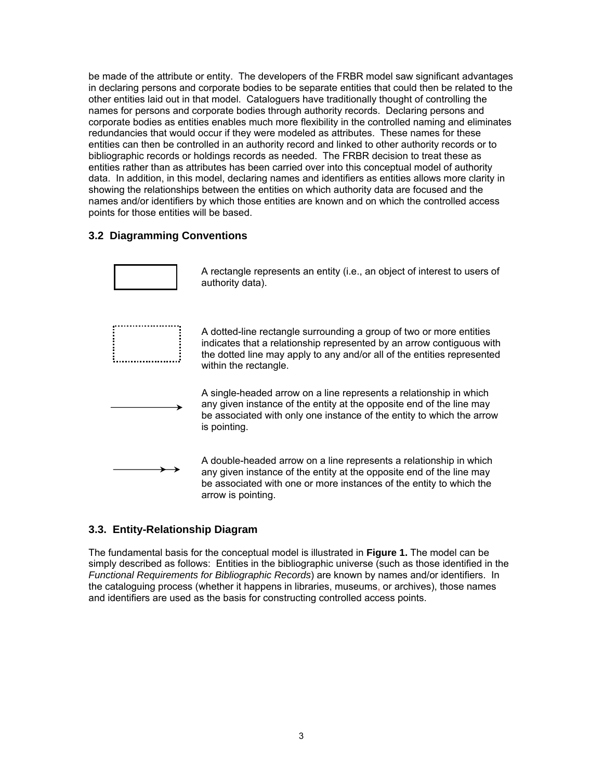<span id="page-7-0"></span>be made of the attribute or entity. The developers of the FRBR model saw significant advantages in declaring persons and corporate bodies to be separate entities that could then be related to the other entities laid out in that model. Cataloguers have traditionally thought of controlling the names for persons and corporate bodies through authority records. Declaring persons and corporate bodies as entities enables much more flexibility in the controlled naming and eliminates redundancies that would occur if they were modeled as attributes. These names for these entities can then be controlled in an authority record and linked to other authority records or to bibliographic records or holdings records as needed. The FRBR decision to treat these as entities rather than as attributes has been carried over into this conceptual model of authority data. In addition, in this model, declaring names and identifiers as entities allows more clarity in showing the relationships between the entities on which authority data are focused and the names and/or identifiers by which those entities are known and on which the controlled access points for those entities will be based.

## **3.2 Diagramming Conventions**

| A rectangle represents an entity (i.e., an object of interest to users of<br>authority data).                                                                                                                                                    |
|--------------------------------------------------------------------------------------------------------------------------------------------------------------------------------------------------------------------------------------------------|
| A dotted-line rectangle surrounding a group of two or more entities<br>indicates that a relationship represented by an arrow contiguous with<br>the dotted line may apply to any and/or all of the entities represented<br>within the rectangle. |
| A single-headed arrow on a line represents a relationship in which<br>any given instance of the entity at the opposite end of the line may<br>be associated with only one instance of the entity to which the arrow<br>is pointing.              |
| A double-headed arrow on a line represents a relationship in which<br>any given instance of the entity at the opposite end of the line may<br>be associated with one or more instances of the entity to which the<br>arrow is pointing.          |

## **3.3. Entity-Relationship Diagram**

The fundamental basis for the conceptual model is illustrated in **Figure 1.** The model can be simply described as follows: Entities in the bibliographic universe (such as those identified in the *Functional Requirements for Bibliographic Records*) are known by names and/or identifiers. In the cataloguing process (whether it happens in libraries, museums, or archives), those names and identifiers are used as the basis for constructing controlled access points.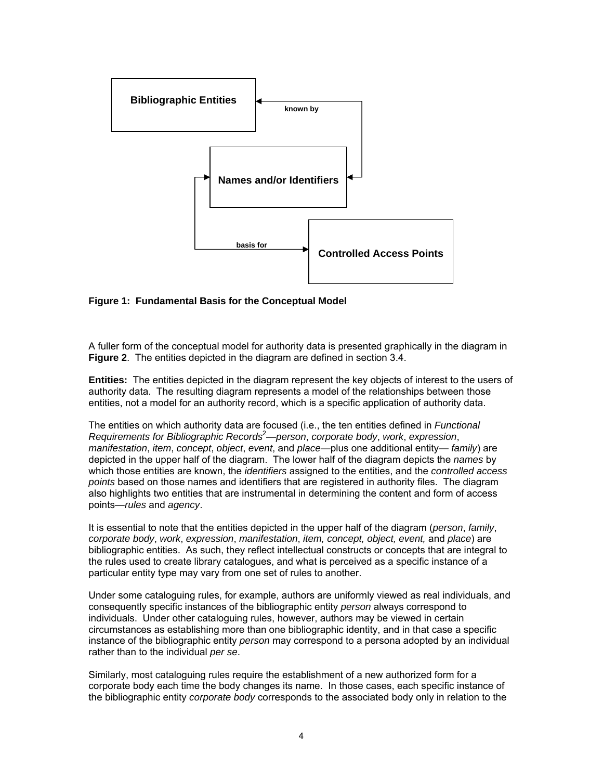

**Figure 1: Fundamental Basis for the Conceptual Model** 

A fuller form of the conceptual model for authority data is presented graphically in the diagram in **Figure 2**. The entities depicted in the diagram are defined in section 3.4.

**Entities:** The entities depicted in the diagram represent the key objects of interest to the users of authority data. The resulting diagram represents a model of the relationships between those entities, not a model for an authority record, which is a specific application of authority data.

The entities on which authority data are focused (i.e., the ten entities defined in *Functional Requirements for Bibliographic Records*<sup>2</sup> —*person*, *corporate body*, *work*, *expression*, *manifestation*, *item*, *concept*, *object*, *event*, and *place—*plus one additional entity— *family*) are depicted in the upper half of the diagram. The lower half of the diagram depicts the *names* by which those entities are known, the *identifiers* assigned to the entities, and the *controlled access points* based on those names and identifiers that are registered in authority files. The diagram also highlights two entities that are instrumental in determining the content and form of access points—*rules* and *agency*.

It is essential to note that the entities depicted in the upper half of the diagram (*person*, *family*, *corporate body*, *work*, *expression*, *manifestation*, *item, concept, object, event,* and *place*) are bibliographic entities. As such, they reflect intellectual constructs or concepts that are integral to the rules used to create library catalogues, and what is perceived as a specific instance of a particular entity type may vary from one set of rules to another.

Under some cataloguing rules, for example, authors are uniformly viewed as real individuals, and consequently specific instances of the bibliographic entity *person* always correspond to individuals. Under other cataloguing rules, however, authors may be viewed in certain circumstances as establishing more than one bibliographic identity, and in that case a specific instance of the bibliographic entity *person* may correspond to a persona adopted by an individual rather than to the individual *per se*.

Similarly, most cataloguing rules require the establishment of a new authorized form for a corporate body each time the body changes its name. In those cases, each specific instance of the bibliographic entity *corporate body* corresponds to the associated body only in relation to the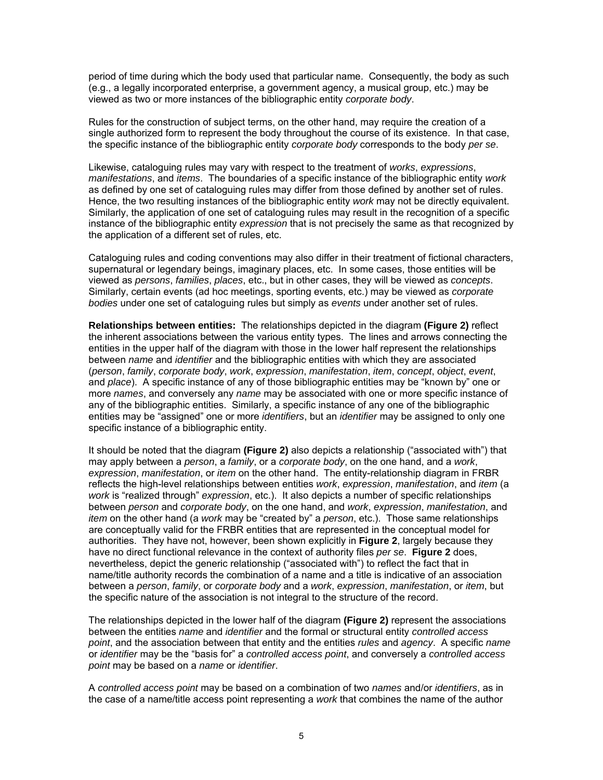period of time during which the body used that particular name. Consequently, the body as such (e.g., a legally incorporated enterprise, a government agency, a musical group, etc.) may be viewed as two or more instances of the bibliographic entity *corporate body*.

Rules for the construction of subject terms, on the other hand, may require the creation of a single authorized form to represent the body throughout the course of its existence. In that case, the specific instance of the bibliographic entity *corporate body* corresponds to the body *per se*.

Likewise, cataloguing rules may vary with respect to the treatment of *works*, *expressions*, *manifestations*, and *items*. The boundaries of a specific instance of the bibliographic entity *work* as defined by one set of cataloguing rules may differ from those defined by another set of rules. Hence, the two resulting instances of the bibliographic entity *work* may not be directly equivalent. Similarly, the application of one set of cataloguing rules may result in the recognition of a specific instance of the bibliographic entity *expression* that is not precisely the same as that recognized by the application of a different set of rules, etc.

Cataloguing rules and coding conventions may also differ in their treatment of fictional characters, supernatural or legendary beings, imaginary places, etc. In some cases, those entities will be viewed as *persons*, *families*, *places*, etc., but in other cases, they will be viewed as *concepts*. Similarly, certain events (ad hoc meetings, sporting events, etc.) may be viewed as *corporate bodies* under one set of cataloguing rules but simply as *events* under another set of rules.

**Relationships between entities:** The relationships depicted in the diagram **(Figure 2)** reflect the inherent associations between the various entity types. The lines and arrows connecting the entities in the upper half of the diagram with those in the lower half represent the relationships between *name* and *identifier* and the bibliographic entities with which they are associated (*person*, *family*, *corporate body*, *work*, *expression*, *manifestation*, *item*, *concept*, *object*, *event*, and *place*). A specific instance of any of those bibliographic entities may be "known by" one or more *names*, and conversely any *name* may be associated with one or more specific instance of any of the bibliographic entities. Similarly, a specific instance of any one of the bibliographic entities may be "assigned" one or more *identifiers*, but an *identifier* may be assigned to only one specific instance of a bibliographic entity.

It should be noted that the diagram **(Figure 2)** also depicts a relationship ("associated with") that may apply between a *person*, a *family*, or a *corporate body*, on the one hand, and a *work*, *expression*, *manifestation*, or *item* on the other hand. The entity-relationship diagram in FRBR reflects the high-level relationships between entities *work*, *expression*, *manifestation*, and *item* (a *work* is "realized through" *expression*, etc.). It also depicts a number of specific relationships between *person* and *corporate body*, on the one hand, and *work*, *expression*, *manifestation*, and *item* on the other hand (a *work* may be "created by" a *person*, etc.). Those same relationships are conceptually valid for the FRBR entities that are represented in the conceptual model for authorities. They have not, however, been shown explicitly in **Figure 2**, largely because they have no direct functional relevance in the context of authority files *per se*. **Figure 2** does, nevertheless, depict the generic relationship ("associated with") to reflect the fact that in name/title authority records the combination of a name and a title is indicative of an association between a *person*, *family*, or *corporate body* and a *work*, *expression*, *manifestation*, or *item*, but the specific nature of the association is not integral to the structure of the record.

The relationships depicted in the lower half of the diagram **(Figure 2)** represent the associations between the entities *name* and *identifier* and the formal or structural entity *controlled access point*, and the association between that entity and the entities *rules* and *agency*. A specific *name* or *identifier* may be the "basis for" a *controlled access point*, and conversely a *controlled access point* may be based on a *name* or *identifier*.

A *controlled access point* may be based on a combination of two *names* and/or *identifiers*, as in the case of a name/title access point representing a *work* that combines the name of the author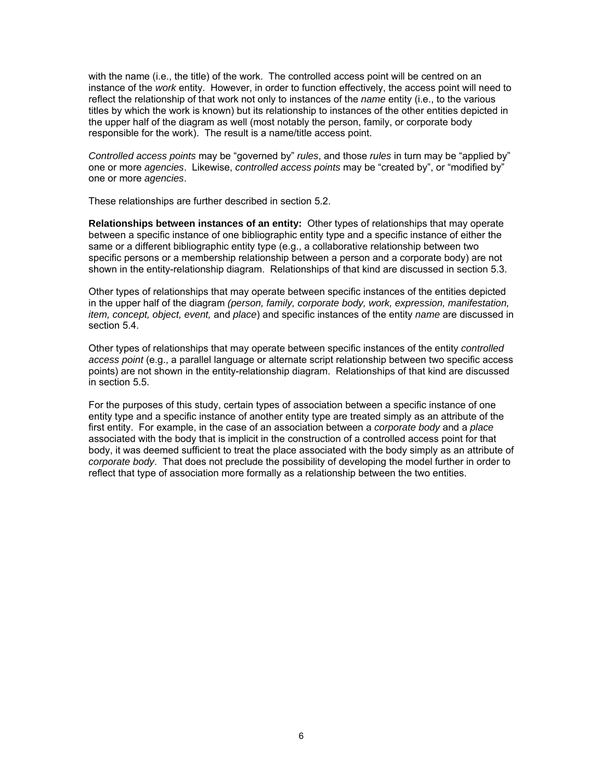with the name (i.e., the title) of the work. The controlled access point will be centred on an instance of the *work* entity. However, in order to function effectively, the access point will need to reflect the relationship of that work not only to instances of the *name* entity (i.e., to the various titles by which the work is known) but its relationship to instances of the other entities depicted in the upper half of the diagram as well (most notably the person, family, or corporate body responsible for the work). The result is a name/title access point.

*Controlled access points* may be "governed by" *rules*, and those *rules* in turn may be "applied by" one or more *agencies*. Likewise, *controlled access points* may be "created by", or "modified by" one or more *agencies*.

These relationships are further described in section 5.2.

**Relationships between instances of an entity:** Other types of relationships that may operate between a specific instance of one bibliographic entity type and a specific instance of either the same or a different bibliographic entity type (e.g., a collaborative relationship between two specific persons or a membership relationship between a person and a corporate body) are not shown in the entity-relationship diagram. Relationships of that kind are discussed in section 5.3.

Other types of relationships that may operate between specific instances of the entities depicted in the upper half of the diagram *(person, family, corporate body, work, expression, manifestation, item, concept, object, event,* and *place*) and specific instances of the entity *name* are discussed in section 5.4.

Other types of relationships that may operate between specific instances of the entity *controlled access point* (e.g., a parallel language or alternate script relationship between two specific access points) are not shown in the entity-relationship diagram. Relationships of that kind are discussed in section 5.5.

For the purposes of this study, certain types of association between a specific instance of one entity type and a specific instance of another entity type are treated simply as an attribute of the first entity. For example, in the case of an association between a *corporate body* and a *place* associated with the body that is implicit in the construction of a controlled access point for that body, it was deemed sufficient to treat the place associated with the body simply as an attribute of *corporate body*. That does not preclude the possibility of developing the model further in order to reflect that type of association more formally as a relationship between the two entities.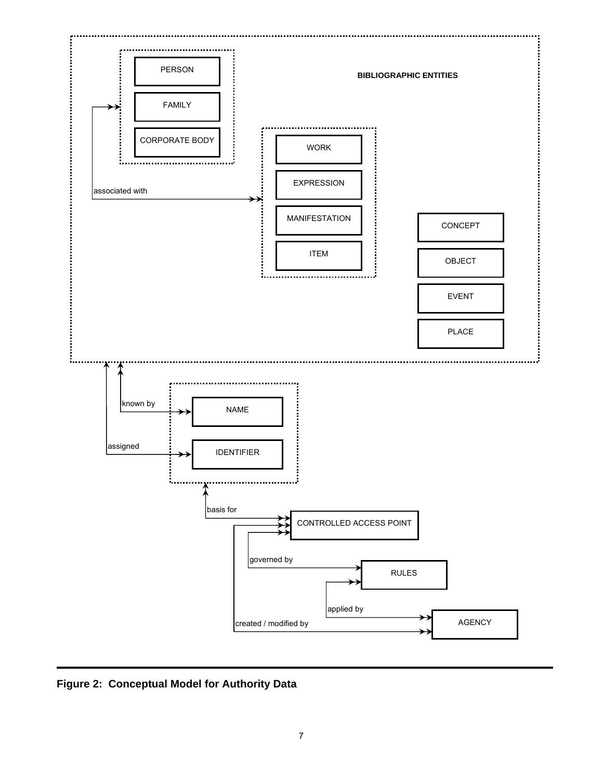

**Figure 2: Conceptual Model for Authority Data**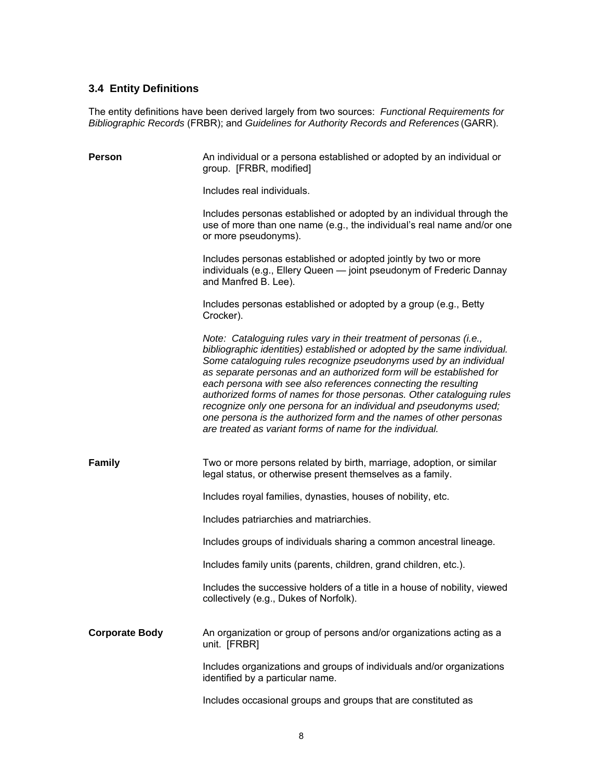# <span id="page-12-0"></span>**3.4 Entity Definitions**

The entity definitions have been derived largely from two sources: *Functional Requirements for Bibliographic Records* (FRBR); and *Guidelines for Authority Records and References* (GARR).

| <b>Person</b>         | An individual or a persona established or adopted by an individual or<br>group. [FRBR, modified]                                                                                                                                                                                                                                                                                                                                                                                                                                                                                                                                             |
|-----------------------|----------------------------------------------------------------------------------------------------------------------------------------------------------------------------------------------------------------------------------------------------------------------------------------------------------------------------------------------------------------------------------------------------------------------------------------------------------------------------------------------------------------------------------------------------------------------------------------------------------------------------------------------|
|                       | Includes real individuals.                                                                                                                                                                                                                                                                                                                                                                                                                                                                                                                                                                                                                   |
|                       | Includes personas established or adopted by an individual through the<br>use of more than one name (e.g., the individual's real name and/or one<br>or more pseudonyms).                                                                                                                                                                                                                                                                                                                                                                                                                                                                      |
|                       | Includes personas established or adopted jointly by two or more<br>individuals (e.g., Ellery Queen - joint pseudonym of Frederic Dannay<br>and Manfred B. Lee).                                                                                                                                                                                                                                                                                                                                                                                                                                                                              |
|                       | Includes personas established or adopted by a group (e.g., Betty<br>Crocker).                                                                                                                                                                                                                                                                                                                                                                                                                                                                                                                                                                |
|                       | Note: Cataloguing rules vary in their treatment of personas (i.e.,<br>bibliographic identities) established or adopted by the same individual.<br>Some cataloguing rules recognize pseudonyms used by an individual<br>as separate personas and an authorized form will be established for<br>each persona with see also references connecting the resulting<br>authorized forms of names for those personas. Other cataloguing rules<br>recognize only one persona for an individual and pseudonyms used;<br>one persona is the authorized form and the names of other personas<br>are treated as variant forms of name for the individual. |
| <b>Family</b>         | Two or more persons related by birth, marriage, adoption, or similar<br>legal status, or otherwise present themselves as a family.                                                                                                                                                                                                                                                                                                                                                                                                                                                                                                           |
|                       | Includes royal families, dynasties, houses of nobility, etc.                                                                                                                                                                                                                                                                                                                                                                                                                                                                                                                                                                                 |
|                       | Includes patriarchies and matriarchies.                                                                                                                                                                                                                                                                                                                                                                                                                                                                                                                                                                                                      |
|                       | Includes groups of individuals sharing a common ancestral lineage.                                                                                                                                                                                                                                                                                                                                                                                                                                                                                                                                                                           |
|                       | Includes family units (parents, children, grand children, etc.).                                                                                                                                                                                                                                                                                                                                                                                                                                                                                                                                                                             |
|                       | Includes the successive holders of a title in a house of nobility, viewed<br>collectively (e.g., Dukes of Norfolk).                                                                                                                                                                                                                                                                                                                                                                                                                                                                                                                          |
| <b>Corporate Body</b> | An organization or group of persons and/or organizations acting as a<br>unit. [FRBR]                                                                                                                                                                                                                                                                                                                                                                                                                                                                                                                                                         |
|                       | Includes organizations and groups of individuals and/or organizations<br>identified by a particular name.                                                                                                                                                                                                                                                                                                                                                                                                                                                                                                                                    |
|                       | Includes occasional groups and groups that are constituted as                                                                                                                                                                                                                                                                                                                                                                                                                                                                                                                                                                                |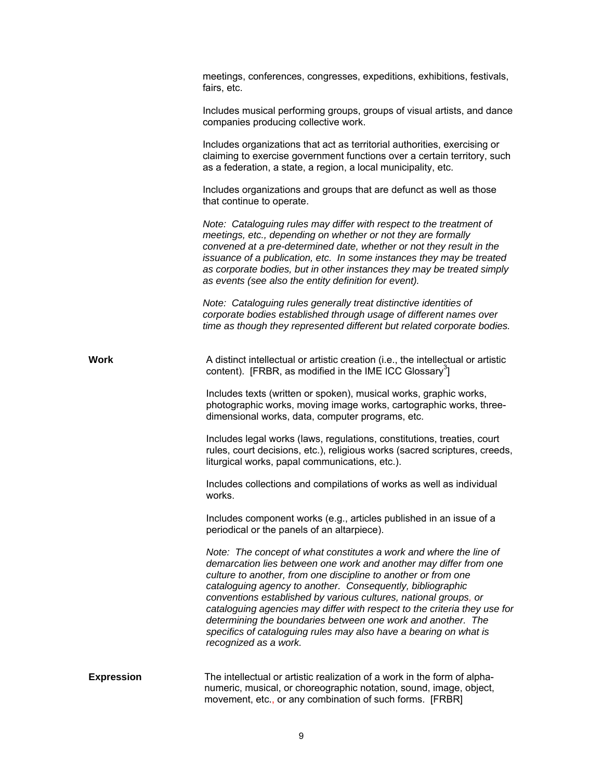|                   | meetings, conferences, congresses, expeditions, exhibitions, festivals,<br>fairs, etc.                                                                                                                                                                                                                                                                                                                                                                                                                                                                                                 |
|-------------------|----------------------------------------------------------------------------------------------------------------------------------------------------------------------------------------------------------------------------------------------------------------------------------------------------------------------------------------------------------------------------------------------------------------------------------------------------------------------------------------------------------------------------------------------------------------------------------------|
|                   | Includes musical performing groups, groups of visual artists, and dance<br>companies producing collective work.                                                                                                                                                                                                                                                                                                                                                                                                                                                                        |
|                   | Includes organizations that act as territorial authorities, exercising or<br>claiming to exercise government functions over a certain territory, such<br>as a federation, a state, a region, a local municipality, etc.                                                                                                                                                                                                                                                                                                                                                                |
|                   | Includes organizations and groups that are defunct as well as those<br>that continue to operate.                                                                                                                                                                                                                                                                                                                                                                                                                                                                                       |
|                   | Note: Cataloguing rules may differ with respect to the treatment of<br>meetings, etc., depending on whether or not they are formally<br>convened at a pre-determined date, whether or not they result in the<br>issuance of a publication, etc. In some instances they may be treated<br>as corporate bodies, but in other instances they may be treated simply<br>as events (see also the entity definition for event).                                                                                                                                                               |
|                   | Note: Cataloguing rules generally treat distinctive identities of<br>corporate bodies established through usage of different names over<br>time as though they represented different but related corporate bodies.                                                                                                                                                                                                                                                                                                                                                                     |
| <b>Work</b>       | A distinct intellectual or artistic creation (i.e., the intellectual or artistic<br>content). [FRBR, as modified in the IME ICC Glossary <sup>3</sup> ]                                                                                                                                                                                                                                                                                                                                                                                                                                |
|                   | Includes texts (written or spoken), musical works, graphic works,<br>photographic works, moving image works, cartographic works, three-<br>dimensional works, data, computer programs, etc.                                                                                                                                                                                                                                                                                                                                                                                            |
|                   | Includes legal works (laws, regulations, constitutions, treaties, court<br>rules, court decisions, etc.), religious works (sacred scriptures, creeds,<br>liturgical works, papal communications, etc.).                                                                                                                                                                                                                                                                                                                                                                                |
|                   | Includes collections and compilations of works as well as individual<br>works.                                                                                                                                                                                                                                                                                                                                                                                                                                                                                                         |
|                   | Includes component works (e.g., articles published in an issue of a<br>periodical or the panels of an altarpiece).                                                                                                                                                                                                                                                                                                                                                                                                                                                                     |
|                   | Note: The concept of what constitutes a work and where the line of<br>demarcation lies between one work and another may differ from one<br>culture to another, from one discipline to another or from one<br>cataloguing agency to another. Consequently, bibliographic<br>conventions established by various cultures, national groups, or<br>cataloguing agencies may differ with respect to the criteria they use for<br>determining the boundaries between one work and another. The<br>specifics of cataloguing rules may also have a bearing on what is<br>recognized as a work. |
| <b>Expression</b> | The intellectual or artistic realization of a work in the form of alpha-<br>numeric, musical, or choreographic notation, sound, image, object,<br>movement, etc., or any combination of such forms. [FRBR]                                                                                                                                                                                                                                                                                                                                                                             |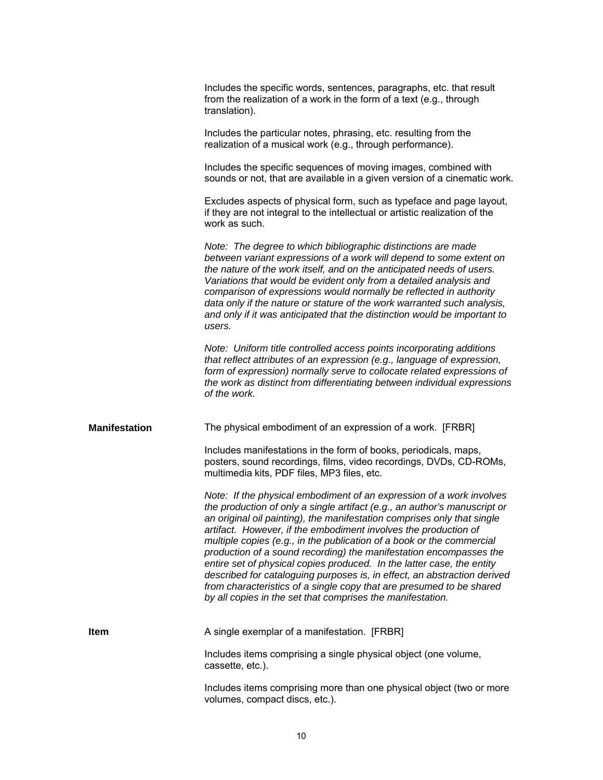|                      | Includes the specific words, sentences, paragraphs, etc. that result<br>from the realization of a work in the form of a text (e.g., through<br>translation).                                                                                                                                                                                                                                                                                                                                                                                                                                                                                                                                                                               |
|----------------------|--------------------------------------------------------------------------------------------------------------------------------------------------------------------------------------------------------------------------------------------------------------------------------------------------------------------------------------------------------------------------------------------------------------------------------------------------------------------------------------------------------------------------------------------------------------------------------------------------------------------------------------------------------------------------------------------------------------------------------------------|
|                      | Includes the particular notes, phrasing, etc. resulting from the<br>realization of a musical work (e.g., through performance).                                                                                                                                                                                                                                                                                                                                                                                                                                                                                                                                                                                                             |
|                      | Includes the specific sequences of moving images, combined with<br>sounds or not, that are available in a given version of a cinematic work.                                                                                                                                                                                                                                                                                                                                                                                                                                                                                                                                                                                               |
|                      | Excludes aspects of physical form, such as typeface and page layout,<br>if they are not integral to the intellectual or artistic realization of the<br>work as such.                                                                                                                                                                                                                                                                                                                                                                                                                                                                                                                                                                       |
|                      | Note: The degree to which bibliographic distinctions are made<br>between variant expressions of a work will depend to some extent on<br>the nature of the work itself, and on the anticipated needs of users.<br>Variations that would be evident only from a detailed analysis and<br>comparison of expressions would normally be reflected in authority<br>data only if the nature or stature of the work warranted such analysis,<br>and only if it was anticipated that the distinction would be important to<br>users.                                                                                                                                                                                                                |
|                      | Note: Uniform title controlled access points incorporating additions<br>that reflect attributes of an expression (e.g., language of expression,<br>form of expression) normally serve to collocate related expressions of<br>the work as distinct from differentiating between individual expressions<br>of the work.                                                                                                                                                                                                                                                                                                                                                                                                                      |
| <b>Manifestation</b> | The physical embodiment of an expression of a work. [FRBR]                                                                                                                                                                                                                                                                                                                                                                                                                                                                                                                                                                                                                                                                                 |
|                      | Includes manifestations in the form of books, periodicals, maps,<br>posters, sound recordings, films, video recordings, DVDs, CD-ROMs,<br>multimedia kits, PDF files, MP3 files, etc.                                                                                                                                                                                                                                                                                                                                                                                                                                                                                                                                                      |
|                      | Note: If the physical embodiment of an expression of a work involves<br>the production of only a single artifact (e.g., an author's manuscript or<br>an original oil painting), the manifestation comprises only that single<br>artifact. However, if the embodiment involves the production of<br>multiple copies (e.g., in the publication of a book or the commercial<br>production of a sound recording) the manifestation encompasses the<br>entire set of physical copies produced. In the latter case, the entity<br>described for cataloguing purposes is, in effect, an abstraction derived<br>from characteristics of a single copy that are presumed to be shared<br>by all copies in the set that comprises the manifestation. |
| <b>Item</b>          | A single exemplar of a manifestation. [FRBR]                                                                                                                                                                                                                                                                                                                                                                                                                                                                                                                                                                                                                                                                                               |
|                      | Includes items comprising a single physical object (one volume,<br>cassette, etc.).                                                                                                                                                                                                                                                                                                                                                                                                                                                                                                                                                                                                                                                        |
|                      | Includes items comprising more than one physical object (two or more<br>volumes, compact discs, etc.).                                                                                                                                                                                                                                                                                                                                                                                                                                                                                                                                                                                                                                     |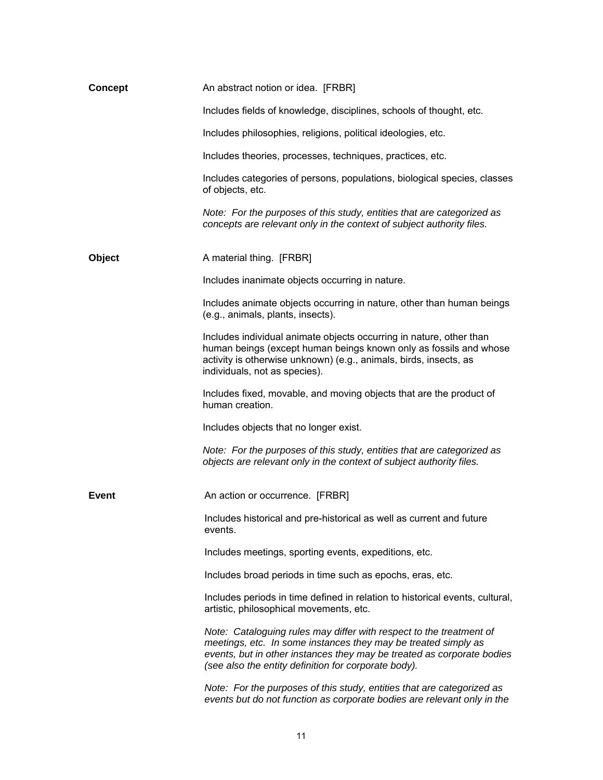| <b>Concept</b> | An abstract notion or idea. [FRBR]                                                                                                                                                                                                                                      |
|----------------|-------------------------------------------------------------------------------------------------------------------------------------------------------------------------------------------------------------------------------------------------------------------------|
|                | Includes fields of knowledge, disciplines, schools of thought, etc.                                                                                                                                                                                                     |
|                | Includes philosophies, religions, political ideologies, etc.                                                                                                                                                                                                            |
|                | Includes theories, processes, techniques, practices, etc.                                                                                                                                                                                                               |
|                | Includes categories of persons, populations, biological species, classes<br>of objects, etc.                                                                                                                                                                            |
|                | Note: For the purposes of this study, entities that are categorized as<br>concepts are relevant only in the context of subject authority files.                                                                                                                         |
| Object         | A material thing. [FRBR]                                                                                                                                                                                                                                                |
|                | Includes inanimate objects occurring in nature.                                                                                                                                                                                                                         |
|                | Includes animate objects occurring in nature, other than human beings<br>(e.g., animals, plants, insects).                                                                                                                                                              |
|                | Includes individual animate objects occurring in nature, other than<br>human beings (except human beings known only as fossils and whose<br>activity is otherwise unknown) (e.g., animals, birds, insects, as<br>individuals, not as species).                          |
|                | Includes fixed, movable, and moving objects that are the product of<br>human creation.                                                                                                                                                                                  |
|                | Includes objects that no longer exist.                                                                                                                                                                                                                                  |
|                | Note: For the purposes of this study, entities that are categorized as<br>objects are relevant only in the context of subject authority files.                                                                                                                          |
| <b>Event</b>   | An action or occurrence. [FRBR]                                                                                                                                                                                                                                         |
|                | Includes historical and pre-historical as well as current and future<br>events.                                                                                                                                                                                         |
|                | Includes meetings, sporting events, expeditions, etc.                                                                                                                                                                                                                   |
|                | Includes broad periods in time such as epochs, eras, etc.                                                                                                                                                                                                               |
|                | Includes periods in time defined in relation to historical events, cultural,<br>artistic, philosophical movements, etc.                                                                                                                                                 |
|                | Note: Cataloguing rules may differ with respect to the treatment of<br>meetings, etc. In some instances they may be treated simply as<br>events, but in other instances they may be treated as corporate bodies<br>(see also the entity definition for corporate body). |
|                | Note: For the purposes of this study, entities that are categorized as<br>events but do not function as corporate bodies are relevant only in the                                                                                                                       |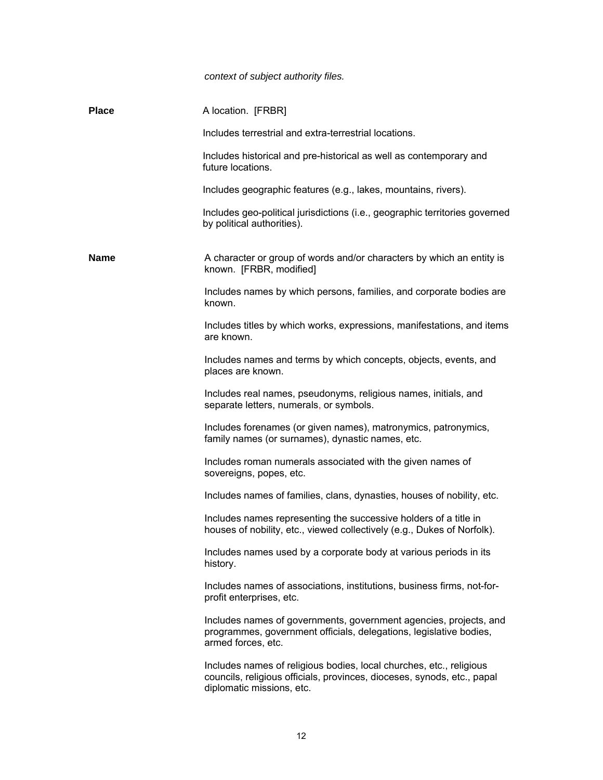|              | context of subject authority files.                                                                                                                                         |
|--------------|-----------------------------------------------------------------------------------------------------------------------------------------------------------------------------|
| <b>Place</b> | A location. [FRBR]                                                                                                                                                          |
|              | Includes terrestrial and extra-terrestrial locations.                                                                                                                       |
|              | Includes historical and pre-historical as well as contemporary and<br>future locations.                                                                                     |
|              | Includes geographic features (e.g., lakes, mountains, rivers).                                                                                                              |
|              | Includes geo-political jurisdictions (i.e., geographic territories governed<br>by political authorities).                                                                   |
| <b>Name</b>  | A character or group of words and/or characters by which an entity is<br>known. [FRBR, modified]                                                                            |
|              | Includes names by which persons, families, and corporate bodies are<br>known.                                                                                               |
|              | Includes titles by which works, expressions, manifestations, and items<br>are known.                                                                                        |
|              | Includes names and terms by which concepts, objects, events, and<br>places are known.                                                                                       |
|              | Includes real names, pseudonyms, religious names, initials, and<br>separate letters, numerals, or symbols.                                                                  |
|              | Includes forenames (or given names), matronymics, patronymics,<br>family names (or surnames), dynastic names, etc.                                                          |
|              | Includes roman numerals associated with the given names of<br>sovereigns, popes, etc.                                                                                       |
|              | Includes names of families, clans, dynasties, houses of nobility, etc.                                                                                                      |
|              | Includes names representing the successive holders of a title in<br>houses of nobility, etc., viewed collectively (e.g., Dukes of Norfolk).                                 |
|              | Includes names used by a corporate body at various periods in its<br>history.                                                                                               |
|              | Includes names of associations, institutions, business firms, not-for-<br>profit enterprises, etc.                                                                          |
|              | Includes names of governments, government agencies, projects, and<br>programmes, government officials, delegations, legislative bodies,<br>armed forces, etc.               |
|              | Includes names of religious bodies, local churches, etc., religious<br>councils, religious officials, provinces, dioceses, synods, etc., papal<br>diplomatic missions, etc. |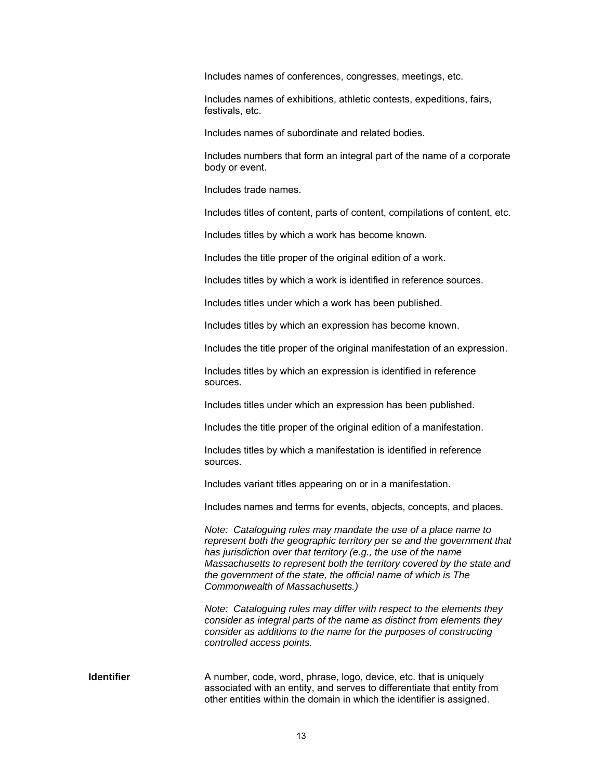Includes names of conferences, congresses, meetings, etc.

Includes names of exhibitions, athletic contests, expeditions, fairs, festivals, etc.

Includes names of subordinate and related bodies.

Includes numbers that form an integral part of the name of a corporate body or event.

Includes trade names.

Includes titles of content, parts of content, compilations of content, etc.

Includes titles by which a work has become known.

Includes the title proper of the original edition of a work.

Includes titles by which a work is identified in reference sources.

Includes titles under which a work has been published.

Includes titles by which an expression has become known.

Includes the title proper of the original manifestation of an expression.

Includes titles by which an expression is identified in reference sources.

Includes titles under which an expression has been published.

Includes the title proper of the original edition of a manifestation.

Includes titles by which a manifestation is identified in reference sources.

Includes variant titles appearing on or in a manifestation.

Includes names and terms for events, objects, concepts, and places.

*Note: Cataloguing rules may mandate the use of a place name to represent both the geographic territory per se and the government that has jurisdiction over that territory (e.g., the use of the name Massachusetts to represent both the territory covered by the state and the government of the state, the official name of which is The Commonwealth of Massachusetts.)* 

*Note: Cataloguing rules may differ with respect to the elements they consider as integral parts of the name as distinct from elements they consider as additions to the name for the purposes of constructing controlled access points.*

**Identifier** A number, code, word, phrase, logo, device, etc. that is uniquely associated with an entity, and serves to differentiate that entity from other entities within the domain in which the identifier is assigned.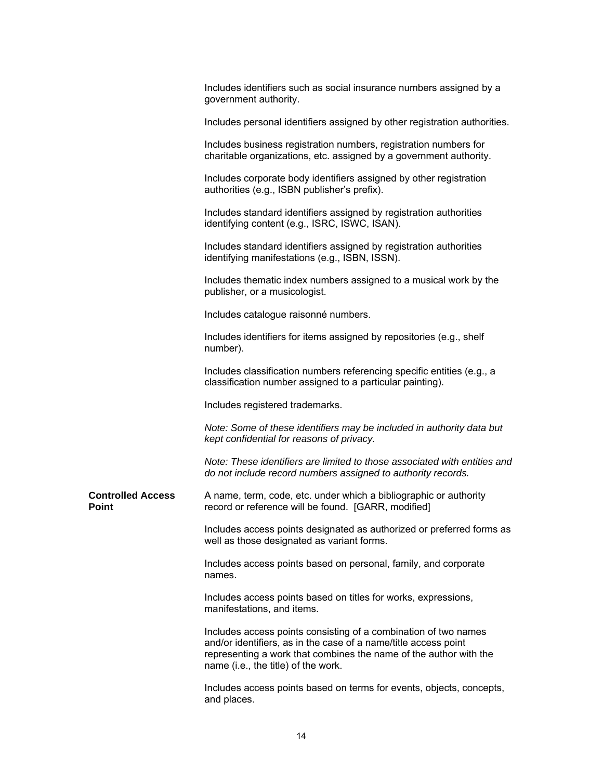|                                          | Includes identifiers such as social insurance numbers assigned by a<br>government authority.                                                                                                                                                   |
|------------------------------------------|------------------------------------------------------------------------------------------------------------------------------------------------------------------------------------------------------------------------------------------------|
|                                          | Includes personal identifiers assigned by other registration authorities.                                                                                                                                                                      |
|                                          | Includes business registration numbers, registration numbers for<br>charitable organizations, etc. assigned by a government authority.                                                                                                         |
|                                          | Includes corporate body identifiers assigned by other registration<br>authorities (e.g., ISBN publisher's prefix).                                                                                                                             |
|                                          | Includes standard identifiers assigned by registration authorities<br>identifying content (e.g., ISRC, ISWC, ISAN).                                                                                                                            |
|                                          | Includes standard identifiers assigned by registration authorities<br>identifying manifestations (e.g., ISBN, ISSN).                                                                                                                           |
|                                          | Includes thematic index numbers assigned to a musical work by the<br>publisher, or a musicologist.                                                                                                                                             |
|                                          | Includes catalogue raisonné numbers.                                                                                                                                                                                                           |
|                                          | Includes identifiers for items assigned by repositories (e.g., shelf<br>number).                                                                                                                                                               |
|                                          | Includes classification numbers referencing specific entities (e.g., a<br>classification number assigned to a particular painting).                                                                                                            |
|                                          | Includes registered trademarks.                                                                                                                                                                                                                |
|                                          | Note: Some of these identifiers may be included in authority data but<br>kept confidential for reasons of privacy.                                                                                                                             |
|                                          | Note: These identifiers are limited to those associated with entities and<br>do not include record numbers assigned to authority records.                                                                                                      |
| <b>Controlled Access</b><br><b>Point</b> | A name, term, code, etc. under which a bibliographic or authority<br>record or reference will be found. [GARR, modified]                                                                                                                       |
|                                          | Includes access points designated as authorized or preferred forms as<br>well as those designated as variant forms.                                                                                                                            |
|                                          | Includes access points based on personal, family, and corporate<br>names.                                                                                                                                                                      |
|                                          | Includes access points based on titles for works, expressions,<br>manifestations, and items.                                                                                                                                                   |
|                                          | Includes access points consisting of a combination of two names<br>and/or identifiers, as in the case of a name/title access point<br>representing a work that combines the name of the author with the<br>name (i.e., the title) of the work. |
|                                          | Includes access points based on terms for events, objects, concepts,<br>and places.                                                                                                                                                            |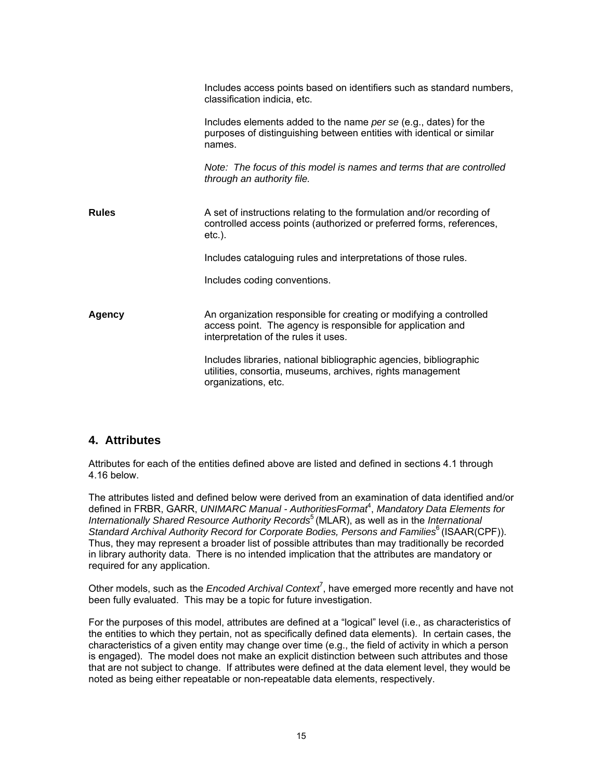<span id="page-19-0"></span>

|               | Includes access points based on identifiers such as standard numbers,<br>classification indicia, etc.                                                                     |
|---------------|---------------------------------------------------------------------------------------------------------------------------------------------------------------------------|
|               | Includes elements added to the name per se (e.g., dates) for the<br>purposes of distinguishing between entities with identical or similar<br>names.                       |
|               | Note: The focus of this model is names and terms that are controlled<br>through an authority file.                                                                        |
| <b>Rules</b>  | A set of instructions relating to the formulation and/or recording of<br>controlled access points (authorized or preferred forms, references,<br>$etc.$ ).                |
|               | Includes cataloguing rules and interpretations of those rules.                                                                                                            |
|               | Includes coding conventions.                                                                                                                                              |
| <b>Agency</b> | An organization responsible for creating or modifying a controlled<br>access point. The agency is responsible for application and<br>interpretation of the rules it uses. |
|               | Includes libraries, national bibliographic agencies, bibliographic<br>utilities, consortia, museums, archives, rights management<br>organizations, etc.                   |

## **4. Attributes**

Attributes for each of the entities defined above are listed and defined in sections 4.1 through 4.16 below.

The attributes listed and defined below were derived from an examination of data identified and/or defined in FRBR, GARR, *UNIMARC Manual - AuthoritiesFormat*<sup>4</sup> , *Mandatory Data Elements for Internationally Shared Resource Authority Records*5 (MLAR), as well as in the *International*  Standard Archival Authority Record for Corporate Bodies, Persons and Families<sup>6</sup> (ISAAR(CPF)). Thus, they may represent a broader list of possible attributes than may traditionally be recorded in library authority data. There is no intended implication that the attributes are mandatory or required for any application.

Other models, such as the *Encoded Archival Context<sup>7</sup>*, have emerged more recently and have not been fully evaluated. This may be a topic for future investigation.

For the purposes of this model, attributes are defined at a "logical" level (i.e., as characteristics of the entities to which they pertain, not as specifically defined data elements). In certain cases, the characteristics of a given entity may change over time (e.g., the field of activity in which a person is engaged). The model does not make an explicit distinction between such attributes and those that are not subject to change. If attributes were defined at the data element level, they would be noted as being either repeatable or non-repeatable data elements, respectively.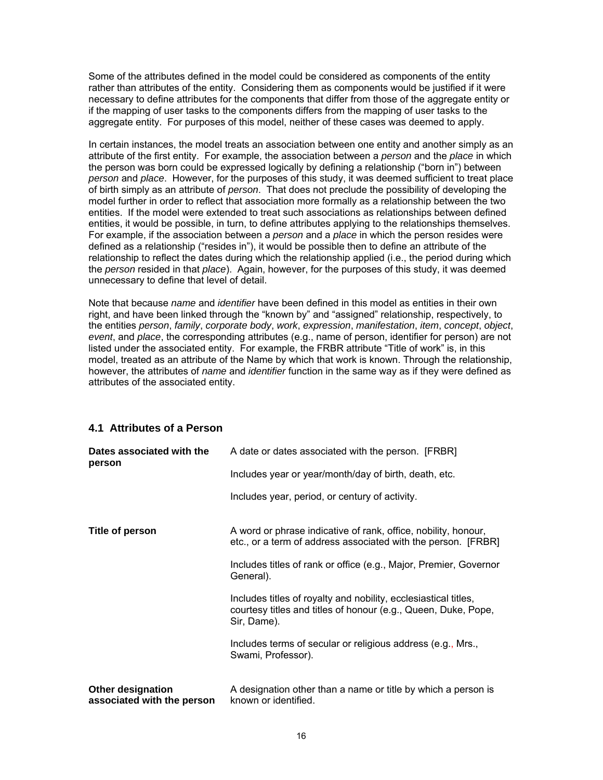<span id="page-20-0"></span>Some of the attributes defined in the model could be considered as components of the entity rather than attributes of the entity. Considering them as components would be justified if it were necessary to define attributes for the components that differ from those of the aggregate entity or if the mapping of user tasks to the components differs from the mapping of user tasks to the aggregate entity. For purposes of this model, neither of these cases was deemed to apply.

In certain instances, the model treats an association between one entity and another simply as an attribute of the first entity. For example, the association between a *person* and the *place* in which the person was born could be expressed logically by defining a relationship ("born in") between *person* and *place*. However, for the purposes of this study, it was deemed sufficient to treat place of birth simply as an attribute of *person*. That does not preclude the possibility of developing the model further in order to reflect that association more formally as a relationship between the two entities. If the model were extended to treat such associations as relationships between defined entities, it would be possible, in turn, to define attributes applying to the relationships themselves. For example, if the association between a *person* and a *place* in which the person resides were defined as a relationship ("resides in"), it would be possible then to define an attribute of the relationship to reflect the dates during which the relationship applied (i.e., the period during which the *person* resided in that *place*). Again, however, for the purposes of this study, it was deemed unnecessary to define that level of detail.

Note that because *name* and *identifier* have been defined in this model as entities in their own right, and have been linked through the "known by" and "assigned" relationship, respectively, to the entities *person*, *family*, *corporate body*, *work*, *expression*, *manifestation*, *item*, *concept*, *object*, *event*, and *place*, the corresponding attributes (e.g., name of person, identifier for person) are not listed under the associated entity. For example, the FRBR attribute "Title of work" is, in this model, treated as an attribute of the Name by which that work is known. Through the relationship, however, the attributes of *name* and *identifier* function in the same way as if they were defined as attributes of the associated entity.

| Dates associated with the<br>person                    | A date or dates associated with the person. [FRBR]                                                                                               |
|--------------------------------------------------------|--------------------------------------------------------------------------------------------------------------------------------------------------|
|                                                        | Includes year or year/month/day of birth, death, etc.                                                                                            |
|                                                        | Includes year, period, or century of activity.                                                                                                   |
| <b>Title of person</b>                                 | A word or phrase indicative of rank, office, nobility, honour,<br>etc., or a term of address associated with the person. [FRBR]                  |
|                                                        | Includes titles of rank or office (e.g., Major, Premier, Governor<br>General).                                                                   |
|                                                        | Includes titles of royalty and nobility, ecclesiastical titles,<br>courtesy titles and titles of honour (e.g., Queen, Duke, Pope,<br>Sir, Dame). |
|                                                        | Includes terms of secular or religious address (e.g., Mrs.,<br>Swami, Professor).                                                                |
| <b>Other designation</b><br>associated with the person | A designation other than a name or title by which a person is<br>known or identified.                                                            |

## **4.1 Attributes of a Person**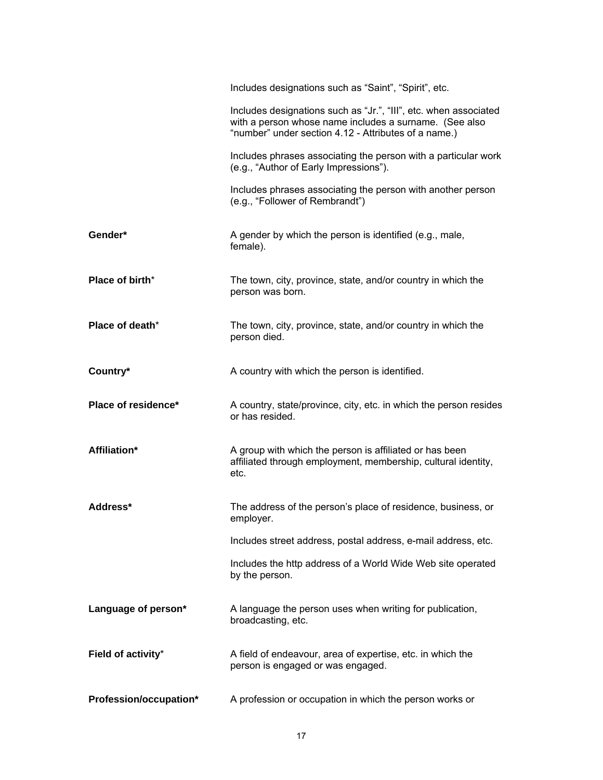|                        | Includes designations such as "Saint", "Spirit", etc.                                                                                                                              |
|------------------------|------------------------------------------------------------------------------------------------------------------------------------------------------------------------------------|
|                        | Includes designations such as "Jr.", "III", etc. when associated<br>with a person whose name includes a surname. (See also<br>"number" under section 4.12 - Attributes of a name.) |
|                        | Includes phrases associating the person with a particular work<br>(e.g., "Author of Early Impressions").                                                                           |
|                        | Includes phrases associating the person with another person<br>(e.g., "Follower of Rembrandt")                                                                                     |
| Gender*                | A gender by which the person is identified (e.g., male,<br>female).                                                                                                                |
| Place of birth*        | The town, city, province, state, and/or country in which the<br>person was born.                                                                                                   |
| Place of death*        | The town, city, province, state, and/or country in which the<br>person died.                                                                                                       |
| Country*               | A country with which the person is identified.                                                                                                                                     |
| Place of residence*    | A country, state/province, city, etc. in which the person resides<br>or has resided.                                                                                               |
| Affiliation*           | A group with which the person is affiliated or has been<br>affiliated through employment, membership, cultural identity,<br>etc.                                                   |
| Address*               | The address of the person's place of residence, business, or<br>employer.                                                                                                          |
|                        | Includes street address, postal address, e-mail address, etc.                                                                                                                      |
|                        | Includes the http address of a World Wide Web site operated<br>by the person.                                                                                                      |
| Language of person*    | A language the person uses when writing for publication,<br>broadcasting, etc.                                                                                                     |
| Field of activity*     | A field of endeavour, area of expertise, etc. in which the<br>person is engaged or was engaged.                                                                                    |
| Profession/occupation* | A profession or occupation in which the person works or                                                                                                                            |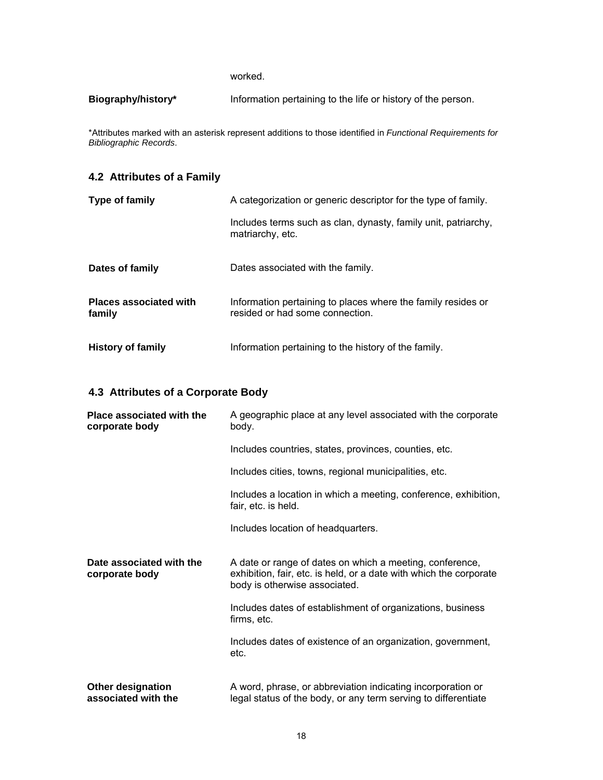worked.

<span id="page-22-0"></span>**Biography/history\*** Information pertaining to the life or history of the person.

\*Attributes marked with an asterisk represent additions to those identified in *Functional Requirements for Bibliographic Records*.

# **4.2 Attributes of a Family**

| Type of family                          | A categorization or generic descriptor for the type of family.                                  |
|-----------------------------------------|-------------------------------------------------------------------------------------------------|
|                                         | Includes terms such as clan, dynasty, family unit, patriarchy,<br>matriarchy, etc.              |
| Dates of family                         | Dates associated with the family.                                                               |
| <b>Places associated with</b><br>family | Information pertaining to places where the family resides or<br>resided or had some connection. |
| <b>History of family</b>                | Information pertaining to the history of the family.                                            |

# **4.3 Attributes of a Corporate Body**

| <b>Place associated with the</b><br>corporate body | A geographic place at any level associated with the corporate<br>body.                                                                                          |
|----------------------------------------------------|-----------------------------------------------------------------------------------------------------------------------------------------------------------------|
|                                                    | Includes countries, states, provinces, counties, etc.                                                                                                           |
|                                                    | Includes cities, towns, regional municipalities, etc.                                                                                                           |
|                                                    | Includes a location in which a meeting, conference, exhibition,<br>fair, etc. is held.                                                                          |
|                                                    | Includes location of headquarters.                                                                                                                              |
| Date associated with the<br>corporate body         | A date or range of dates on which a meeting, conference,<br>exhibition, fair, etc. is held, or a date with which the corporate<br>body is otherwise associated. |
|                                                    | Includes dates of establishment of organizations, business<br>firms, etc.                                                                                       |
|                                                    | Includes dates of existence of an organization, government,<br>etc.                                                                                             |
| <b>Other designation</b><br>associated with the    | A word, phrase, or abbreviation indicating incorporation or<br>legal status of the body, or any term serving to differentiate                                   |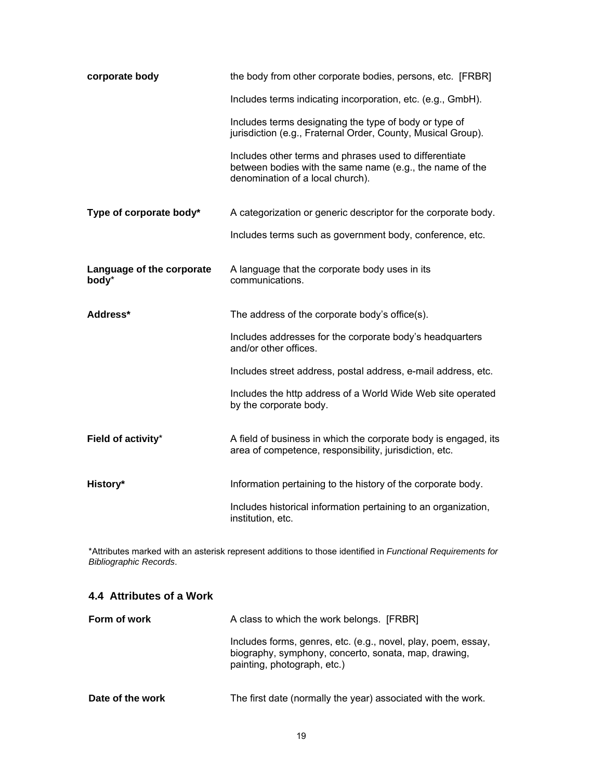<span id="page-23-0"></span>

| corporate body                     | the body from other corporate bodies, persons, etc. [FRBR]                                                                                             |
|------------------------------------|--------------------------------------------------------------------------------------------------------------------------------------------------------|
|                                    | Includes terms indicating incorporation, etc. (e.g., GmbH).                                                                                            |
|                                    | Includes terms designating the type of body or type of<br>jurisdiction (e.g., Fraternal Order, County, Musical Group).                                 |
|                                    | Includes other terms and phrases used to differentiate<br>between bodies with the same name (e.g., the name of the<br>denomination of a local church). |
| Type of corporate body*            | A categorization or generic descriptor for the corporate body.                                                                                         |
|                                    | Includes terms such as government body, conference, etc.                                                                                               |
| Language of the corporate<br>body* | A language that the corporate body uses in its<br>communications.                                                                                      |
| Address*                           | The address of the corporate body's office(s).                                                                                                         |
|                                    | Includes addresses for the corporate body's headquarters<br>and/or other offices.                                                                      |
|                                    | Includes street address, postal address, e-mail address, etc.                                                                                          |
|                                    | Includes the http address of a World Wide Web site operated<br>by the corporate body.                                                                  |
| Field of activity*                 | A field of business in which the corporate body is engaged, its<br>area of competence, responsibility, jurisdiction, etc.                              |
| History*                           | Information pertaining to the history of the corporate body.                                                                                           |
|                                    | Includes historical information pertaining to an organization,<br>institution, etc.                                                                    |

\*Attributes marked with an asterisk represent additions to those identified in *Functional Requirements for Bibliographic Records*.

# **4.4 Attributes of a Work**

| Form of work     | A class to which the work belongs. [FRBR]                                                                                                            |
|------------------|------------------------------------------------------------------------------------------------------------------------------------------------------|
|                  | Includes forms, genres, etc. (e.g., novel, play, poem, essay,<br>biography, symphony, concerto, sonata, map, drawing,<br>painting, photograph, etc.) |
| Date of the work | The first date (normally the year) associated with the work.                                                                                         |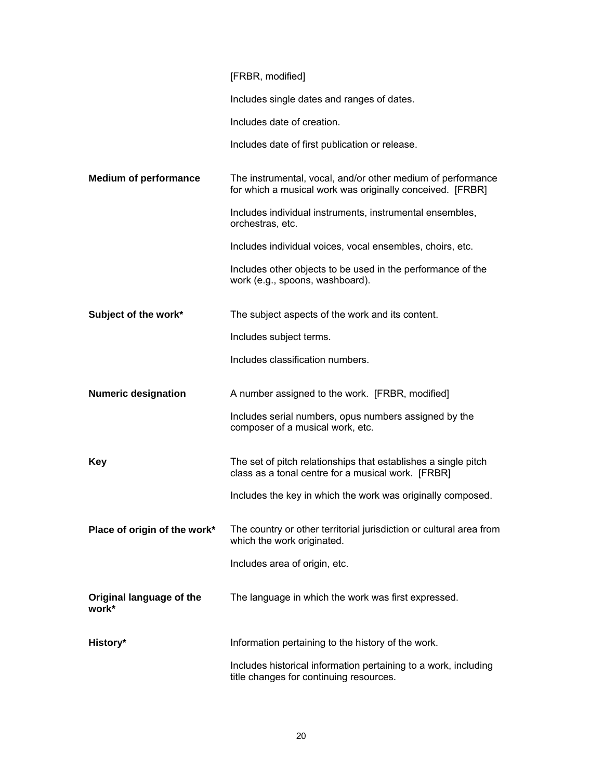|                                   | [FRBR, modified]                                                                                                         |
|-----------------------------------|--------------------------------------------------------------------------------------------------------------------------|
|                                   | Includes single dates and ranges of dates.                                                                               |
|                                   | Includes date of creation.                                                                                               |
|                                   | Includes date of first publication or release.                                                                           |
| <b>Medium of performance</b>      | The instrumental, vocal, and/or other medium of performance<br>for which a musical work was originally conceived. [FRBR] |
|                                   | Includes individual instruments, instrumental ensembles,<br>orchestras, etc.                                             |
|                                   | Includes individual voices, vocal ensembles, choirs, etc.                                                                |
|                                   | Includes other objects to be used in the performance of the<br>work (e.g., spoons, washboard).                           |
| Subject of the work*              | The subject aspects of the work and its content.                                                                         |
|                                   | Includes subject terms.                                                                                                  |
|                                   | Includes classification numbers.                                                                                         |
| <b>Numeric designation</b>        | A number assigned to the work. [FRBR, modified]                                                                          |
|                                   | Includes serial numbers, opus numbers assigned by the<br>composer of a musical work, etc.                                |
| Key                               | The set of pitch relationships that establishes a single pitch<br>class as a tonal centre for a musical work. [FRBR]     |
|                                   | Includes the key in which the work was originally composed.                                                              |
| Place of origin of the work*      | The country or other territorial jurisdiction or cultural area from<br>which the work originated.                        |
|                                   | Includes area of origin, etc.                                                                                            |
| Original language of the<br>work* | The language in which the work was first expressed.                                                                      |
| History*                          | Information pertaining to the history of the work.                                                                       |
|                                   | Includes historical information pertaining to a work, including<br>title changes for continuing resources.               |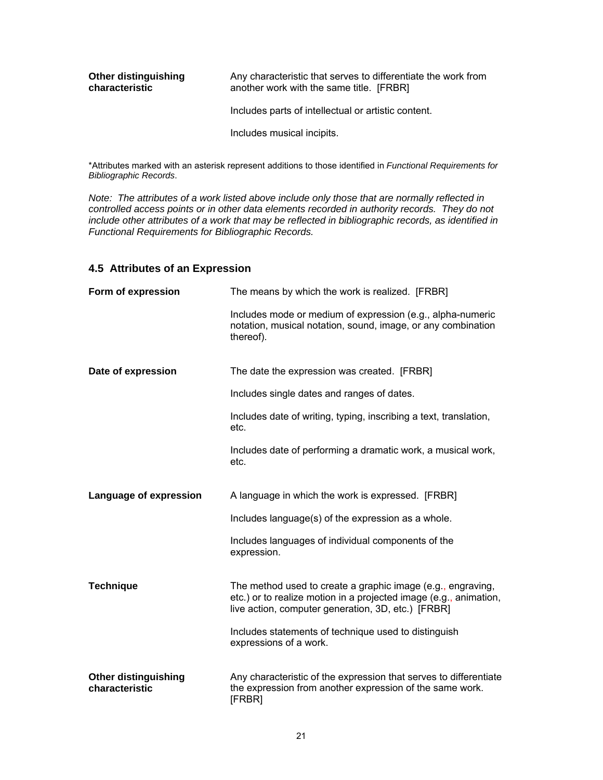<span id="page-25-0"></span>

| <b>Other distinguishing</b><br>characteristic | Any characteristic that serves to differentiate the work from<br>another work with the same title. [FRBR] |
|-----------------------------------------------|-----------------------------------------------------------------------------------------------------------|
|                                               | Includes parts of intellectual or artistic content.                                                       |
|                                               | Includes musical incipits.                                                                                |

\*Attributes marked with an asterisk represent additions to those identified in *Functional Requirements for Bibliographic Records*.

*Note: The attributes of a work listed above include only those that are normally reflected in controlled access points or in other data elements recorded in authority records. They do not include other attributes of a work that may be reflected in bibliographic records, as identified in Functional Requirements for Bibliographic Records.* 

## **4.5 Attributes of an Expression**

| Form of expression                            | The means by which the work is realized. [FRBR]                                                                                                                                        |
|-----------------------------------------------|----------------------------------------------------------------------------------------------------------------------------------------------------------------------------------------|
|                                               | Includes mode or medium of expression (e.g., alpha-numeric<br>notation, musical notation, sound, image, or any combination<br>thereof).                                                |
| Date of expression                            | The date the expression was created. [FRBR]                                                                                                                                            |
|                                               | Includes single dates and ranges of dates.                                                                                                                                             |
|                                               | Includes date of writing, typing, inscribing a text, translation,<br>etc.                                                                                                              |
|                                               | Includes date of performing a dramatic work, a musical work,<br>etc.                                                                                                                   |
| Language of expression                        | A language in which the work is expressed. [FRBR]                                                                                                                                      |
|                                               | Includes language(s) of the expression as a whole.                                                                                                                                     |
|                                               | Includes languages of individual components of the<br>expression.                                                                                                                      |
| <b>Technique</b>                              | The method used to create a graphic image (e.g., engraving,<br>etc.) or to realize motion in a projected image (e.g., animation,<br>live action, computer generation, 3D, etc.) [FRBR] |
|                                               | Includes statements of technique used to distinguish<br>expressions of a work.                                                                                                         |
| <b>Other distinguishing</b><br>characteristic | Any characteristic of the expression that serves to differentiate<br>the expression from another expression of the same work.<br>[FRBR]                                                |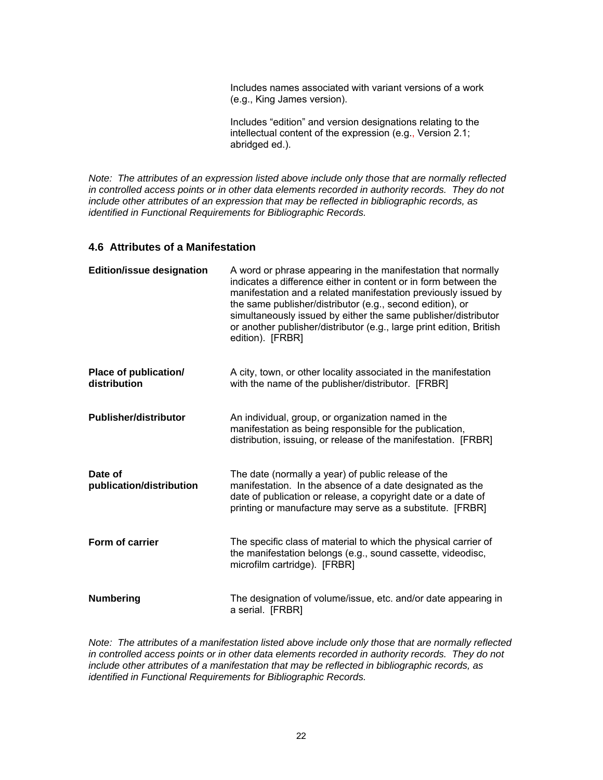Includes names associated with variant versions of a work (e.g., King James version).

Includes "edition" and version designations relating to the intellectual content of the expression (e.g., Version 2.1; abridged ed.).

<span id="page-26-0"></span>*Note: The attributes of an expression listed above include only those that are normally reflected in controlled access points or in other data elements recorded in authority records. They do not include other attributes of an expression that may be reflected in bibliographic records, as identified in Functional Requirements for Bibliographic Records.* 

#### **4.6 Attributes of a Manifestation**

| <b>Edition/issue designation</b>      | A word or phrase appearing in the manifestation that normally<br>indicates a difference either in content or in form between the<br>manifestation and a related manifestation previously issued by<br>the same publisher/distributor (e.g., second edition), or<br>simultaneously issued by either the same publisher/distributor<br>or another publisher/distributor (e.g., large print edition, British<br>edition). [FRBR] |
|---------------------------------------|-------------------------------------------------------------------------------------------------------------------------------------------------------------------------------------------------------------------------------------------------------------------------------------------------------------------------------------------------------------------------------------------------------------------------------|
| Place of publication/<br>distribution | A city, town, or other locality associated in the manifestation<br>with the name of the publisher/distributor. [FRBR]                                                                                                                                                                                                                                                                                                         |
| <b>Publisher/distributor</b>          | An individual, group, or organization named in the<br>manifestation as being responsible for the publication,<br>distribution, issuing, or release of the manifestation. [FRBR]                                                                                                                                                                                                                                               |
| Date of<br>publication/distribution   | The date (normally a year) of public release of the<br>manifestation. In the absence of a date designated as the<br>date of publication or release, a copyright date or a date of<br>printing or manufacture may serve as a substitute. [FRBR]                                                                                                                                                                                |
| Form of carrier                       | The specific class of material to which the physical carrier of<br>the manifestation belongs (e.g., sound cassette, videodisc,<br>microfilm cartridge). [FRBR]                                                                                                                                                                                                                                                                |
| <b>Numbering</b>                      | The designation of volume/issue, etc. and/or date appearing in<br>a serial. [FRBR]                                                                                                                                                                                                                                                                                                                                            |

*Note: The attributes of a manifestation listed above include only those that are normally reflected in controlled access points or in other data elements recorded in authority records. They do not include other attributes of a manifestation that may be reflected in bibliographic records, as identified in Functional Requirements for Bibliographic Records.*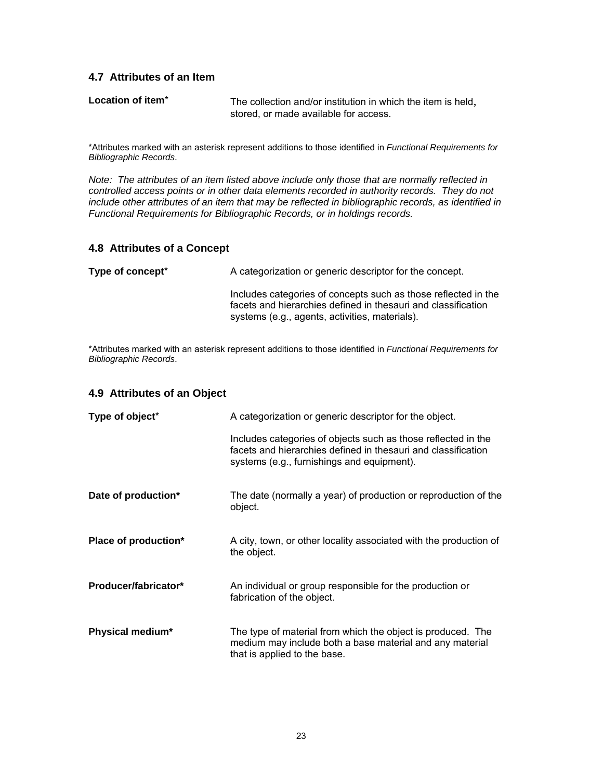#### <span id="page-27-0"></span>**4.7 Attributes of an Item**

| Location of item <sup>*</sup> | The collection and/or institution in which the item is held, |
|-------------------------------|--------------------------------------------------------------|
|                               | stored, or made available for access.                        |

\*Attributes marked with an asterisk represent additions to those identified in *Functional Requirements for Bibliographic Records*.

*Note: The attributes of an item listed above include only those that are normally reflected in controlled access points or in other data elements recorded in authority records. They do not include other attributes of an item that may be reflected in bibliographic records, as identified in Functional Requirements for Bibliographic Records, or in holdings records.* 

#### **4.8 Attributes of a Concept**

| Type of concept <sup>*</sup> | A categorization or generic descriptor for the concept.                                                                                                                           |
|------------------------------|-----------------------------------------------------------------------------------------------------------------------------------------------------------------------------------|
|                              | Includes categories of concepts such as those reflected in the<br>facets and hierarchies defined in thesauri and classification<br>systems (e.g., agents, activities, materials). |

\*Attributes marked with an asterisk represent additions to those identified in *Functional Requirements for Bibliographic Records*.

## **4.9 Attributes of an Object**

| Type of object*      | A categorization or generic descriptor for the object.                                                                                                                       |
|----------------------|------------------------------------------------------------------------------------------------------------------------------------------------------------------------------|
|                      | Includes categories of objects such as those reflected in the<br>facets and hierarchies defined in thesauri and classification<br>systems (e.g., furnishings and equipment). |
| Date of production*  | The date (normally a year) of production or reproduction of the<br>object.                                                                                                   |
| Place of production* | A city, town, or other locality associated with the production of<br>the object.                                                                                             |
| Producer/fabricator* | An individual or group responsible for the production or<br>fabrication of the object.                                                                                       |
| Physical medium*     | The type of material from which the object is produced. The<br>medium may include both a base material and any material<br>that is applied to the base.                      |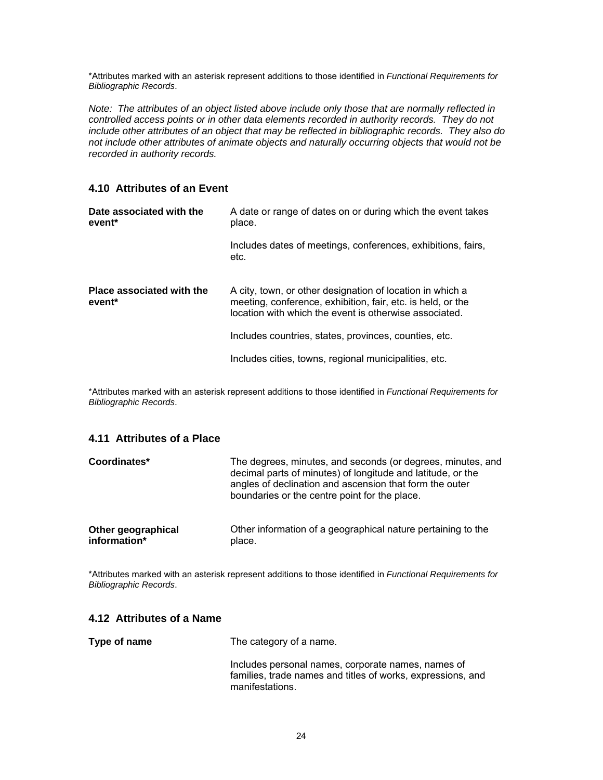<span id="page-28-0"></span>\*Attributes marked with an asterisk represent additions to those identified in *Functional Requirements for Bibliographic Records*.

*Note: The attributes of an object listed above include only those that are normally reflected in controlled access points or in other data elements recorded in authority records. They do not include other attributes of an object that may be reflected in bibliographic records. They also do not include other attributes of animate objects and naturally occurring objects that would not be recorded in authority records.* 

#### **4.10 Attributes of an Event**

| Date associated with the<br>event <sup>*</sup>  | A date or range of dates on or during which the event takes<br>place.                                                                                                              |
|-------------------------------------------------|------------------------------------------------------------------------------------------------------------------------------------------------------------------------------------|
|                                                 | Includes dates of meetings, conferences, exhibitions, fairs,<br>etc.                                                                                                               |
| Place associated with the<br>event <sup>*</sup> | A city, town, or other designation of location in which a<br>meeting, conference, exhibition, fair, etc. is held, or the<br>location with which the event is otherwise associated. |
|                                                 | Includes countries, states, provinces, counties, etc.                                                                                                                              |
|                                                 | Includes cities, towns, regional municipalities, etc.                                                                                                                              |
|                                                 |                                                                                                                                                                                    |

\*Attributes marked with an asterisk represent additions to those identified in *Functional Requirements for Bibliographic Records*.

## **4.11 Attributes of a Place**

| Coordinates*       | The degrees, minutes, and seconds (or degrees, minutes, and<br>decimal parts of minutes) of longitude and latitude, or the<br>angles of declination and ascension that form the outer<br>boundaries or the centre point for the place. |
|--------------------|----------------------------------------------------------------------------------------------------------------------------------------------------------------------------------------------------------------------------------------|
| Other geographical | Other information of a geographical nature pertaining to the                                                                                                                                                                           |
| information*       | place.                                                                                                                                                                                                                                 |

\*Attributes marked with an asterisk represent additions to those identified in *Functional Requirements for Bibliographic Records*.

#### **4.12 Attributes of a Name**

| Type of name | The category of a name.                                                                                                              |
|--------------|--------------------------------------------------------------------------------------------------------------------------------------|
|              | Includes personal names, corporate names, names of<br>families, trade names and titles of works, expressions, and<br>manifestations. |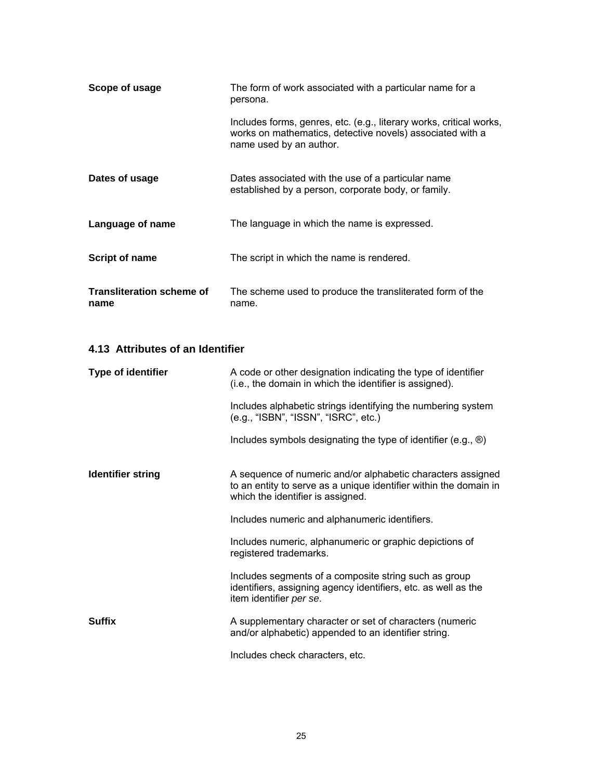<span id="page-29-0"></span>

| Scope of usage                           | The form of work associated with a particular name for a<br>persona.                                                                                        |
|------------------------------------------|-------------------------------------------------------------------------------------------------------------------------------------------------------------|
|                                          | Includes forms, genres, etc. (e.g., literary works, critical works,<br>works on mathematics, detective novels) associated with a<br>name used by an author. |
| Dates of usage                           | Dates associated with the use of a particular name<br>established by a person, corporate body, or family.                                                   |
| Language of name                         | The language in which the name is expressed.                                                                                                                |
| <b>Script of name</b>                    | The script in which the name is rendered.                                                                                                                   |
| <b>Transliteration scheme of</b><br>name | The scheme used to produce the transliterated form of the<br>name.                                                                                          |

# **4.13 Attributes of an Identifier**

| <b>Type of identifier</b> | A code or other designation indicating the type of identifier<br>(i.e., the domain in which the identifier is assigned).                                              |
|---------------------------|-----------------------------------------------------------------------------------------------------------------------------------------------------------------------|
|                           | Includes alphabetic strings identifying the numbering system<br>(e.g., "ISBN", "ISSN", "ISRC", etc.)                                                                  |
|                           | Includes symbols designating the type of identifier (e.g., $\circledR$ )                                                                                              |
| <b>Identifier string</b>  | A sequence of numeric and/or alphabetic characters assigned<br>to an entity to serve as a unique identifier within the domain in<br>which the identifier is assigned. |
|                           | Includes numeric and alphanumeric identifiers.                                                                                                                        |
|                           | Includes numeric, alphanumeric or graphic depictions of<br>registered trademarks.                                                                                     |
|                           | Includes segments of a composite string such as group<br>identifiers, assigning agency identifiers, etc. as well as the<br>item identifier per se.                    |
| <b>Suffix</b>             | A supplementary character or set of characters (numeric<br>and/or alphabetic) appended to an identifier string.                                                       |
|                           | Includes check characters, etc.                                                                                                                                       |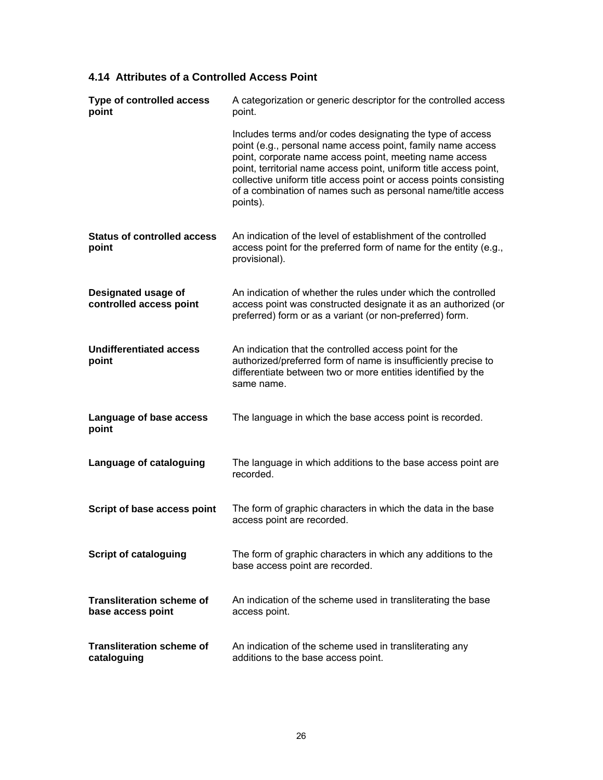# <span id="page-30-0"></span>**4.14 Attributes of a Controlled Access Point**

| <b>Type of controlled access</b><br>point             | A categorization or generic descriptor for the controlled access<br>point.                                                                                                                                                                                                                                                                                                                                 |
|-------------------------------------------------------|------------------------------------------------------------------------------------------------------------------------------------------------------------------------------------------------------------------------------------------------------------------------------------------------------------------------------------------------------------------------------------------------------------|
|                                                       | Includes terms and/or codes designating the type of access<br>point (e.g., personal name access point, family name access<br>point, corporate name access point, meeting name access<br>point, territorial name access point, uniform title access point,<br>collective uniform title access point or access points consisting<br>of a combination of names such as personal name/title access<br>points). |
| <b>Status of controlled access</b><br>point           | An indication of the level of establishment of the controlled<br>access point for the preferred form of name for the entity (e.g.,<br>provisional).                                                                                                                                                                                                                                                        |
| Designated usage of<br>controlled access point        | An indication of whether the rules under which the controlled<br>access point was constructed designate it as an authorized (or<br>preferred) form or as a variant (or non-preferred) form.                                                                                                                                                                                                                |
| <b>Undifferentiated access</b><br>point               | An indication that the controlled access point for the<br>authorized/preferred form of name is insufficiently precise to<br>differentiate between two or more entities identified by the<br>same name.                                                                                                                                                                                                     |
| Language of base access<br>point                      | The language in which the base access point is recorded.                                                                                                                                                                                                                                                                                                                                                   |
| Language of cataloguing                               | The language in which additions to the base access point are<br>recorded.                                                                                                                                                                                                                                                                                                                                  |
| Script of base access point                           | The form of graphic characters in which the data in the base<br>access point are recorded.                                                                                                                                                                                                                                                                                                                 |
| <b>Script of cataloguing</b>                          | The form of graphic characters in which any additions to the<br>base access point are recorded.                                                                                                                                                                                                                                                                                                            |
| <b>Transliteration scheme of</b><br>base access point | An indication of the scheme used in transliterating the base<br>access point.                                                                                                                                                                                                                                                                                                                              |
| <b>Transliteration scheme of</b><br>cataloguing       | An indication of the scheme used in transliterating any<br>additions to the base access point.                                                                                                                                                                                                                                                                                                             |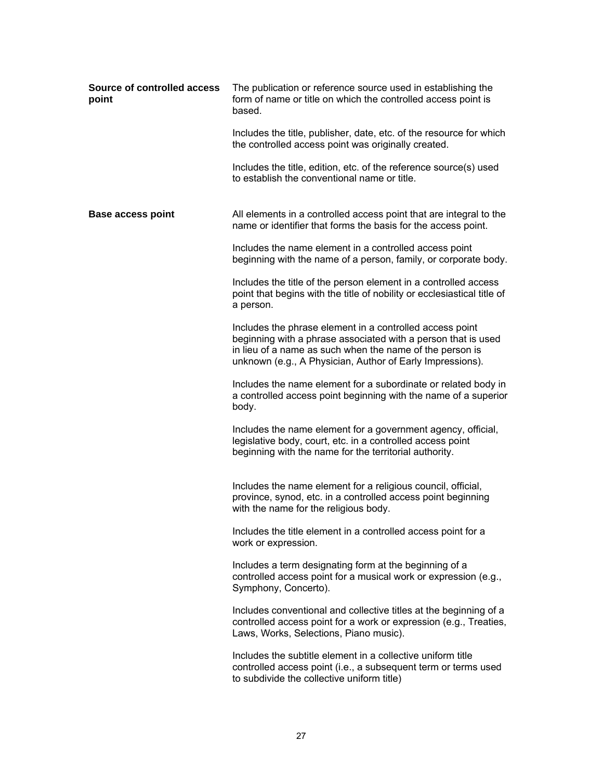| Source of controlled access<br>point | The publication or reference source used in establishing the<br>form of name or title on which the controlled access point is<br>based.                                                                                                            |
|--------------------------------------|----------------------------------------------------------------------------------------------------------------------------------------------------------------------------------------------------------------------------------------------------|
|                                      | Includes the title, publisher, date, etc. of the resource for which<br>the controlled access point was originally created.                                                                                                                         |
|                                      | Includes the title, edition, etc. of the reference source(s) used<br>to establish the conventional name or title.                                                                                                                                  |
| <b>Base access point</b>             | All elements in a controlled access point that are integral to the<br>name or identifier that forms the basis for the access point.                                                                                                                |
|                                      | Includes the name element in a controlled access point<br>beginning with the name of a person, family, or corporate body.                                                                                                                          |
|                                      | Includes the title of the person element in a controlled access<br>point that begins with the title of nobility or ecclesiastical title of<br>a person.                                                                                            |
|                                      | Includes the phrase element in a controlled access point<br>beginning with a phrase associated with a person that is used<br>in lieu of a name as such when the name of the person is<br>unknown (e.g., A Physician, Author of Early Impressions). |
|                                      | Includes the name element for a subordinate or related body in<br>a controlled access point beginning with the name of a superior<br>body.                                                                                                         |
|                                      | Includes the name element for a government agency, official,<br>legislative body, court, etc. in a controlled access point<br>beginning with the name for the territorial authority.                                                               |
|                                      | Includes the name element for a religious council, official,<br>province, synod, etc. in a controlled access point beginning<br>with the name for the religious body.                                                                              |
|                                      | Includes the title element in a controlled access point for a<br>work or expression.                                                                                                                                                               |
|                                      | Includes a term designating form at the beginning of a<br>controlled access point for a musical work or expression (e.g.,<br>Symphony, Concerto).                                                                                                  |
|                                      | Includes conventional and collective titles at the beginning of a<br>controlled access point for a work or expression (e.g., Treaties,<br>Laws, Works, Selections, Piano music).                                                                   |
|                                      | Includes the subtitle element in a collective uniform title<br>controlled access point (i.e., a subsequent term or terms used<br>to subdivide the collective uniform title)                                                                        |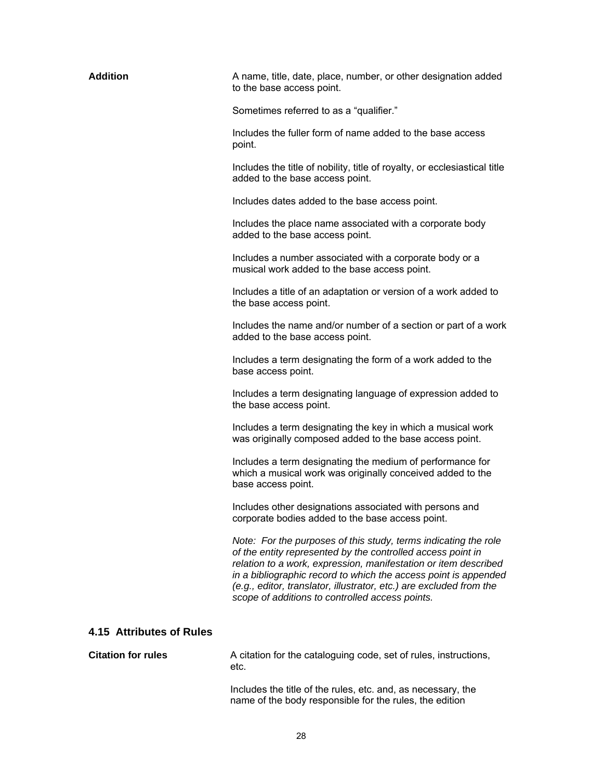<span id="page-32-0"></span>

| Addition | A name, title, date, place, number, or other designation added<br>to the base access point.                                                                                                                                                                                                                                                                                                    |
|----------|------------------------------------------------------------------------------------------------------------------------------------------------------------------------------------------------------------------------------------------------------------------------------------------------------------------------------------------------------------------------------------------------|
|          | Sometimes referred to as a "qualifier."                                                                                                                                                                                                                                                                                                                                                        |
|          | Includes the fuller form of name added to the base access<br>point.                                                                                                                                                                                                                                                                                                                            |
|          | Includes the title of nobility, title of royalty, or ecclesiastical title<br>added to the base access point.                                                                                                                                                                                                                                                                                   |
|          | Includes dates added to the base access point.                                                                                                                                                                                                                                                                                                                                                 |
|          | Includes the place name associated with a corporate body<br>added to the base access point.                                                                                                                                                                                                                                                                                                    |
|          | Includes a number associated with a corporate body or a<br>musical work added to the base access point.                                                                                                                                                                                                                                                                                        |
|          | Includes a title of an adaptation or version of a work added to<br>the base access point.                                                                                                                                                                                                                                                                                                      |
|          | Includes the name and/or number of a section or part of a work<br>added to the base access point.                                                                                                                                                                                                                                                                                              |
|          | Includes a term designating the form of a work added to the<br>base access point.                                                                                                                                                                                                                                                                                                              |
|          | Includes a term designating language of expression added to<br>the base access point.                                                                                                                                                                                                                                                                                                          |
|          | Includes a term designating the key in which a musical work<br>was originally composed added to the base access point.                                                                                                                                                                                                                                                                         |
|          | Includes a term designating the medium of performance for<br>which a musical work was originally conceived added to the<br>base access point.                                                                                                                                                                                                                                                  |
|          | Includes other designations associated with persons and<br>corporate bodies added to the base access point.                                                                                                                                                                                                                                                                                    |
|          | Note: For the purposes of this study, terms indicating the role<br>of the entity represented by the controlled access point in<br>relation to a work, expression, manifestation or item described<br>in a bibliographic record to which the access point is appended<br>(e.g., editor, translator, illustrator, etc.) are excluded from the<br>scope of additions to controlled access points. |
|          |                                                                                                                                                                                                                                                                                                                                                                                                |

#### **4.15 Attributes of Rules**

**Citation for rules** 

A citation for the cataloguing code, set of rules, instructions, etc.

Includes the title of the rules, etc. and, as necessary, the name of the body responsible for the rules, the edition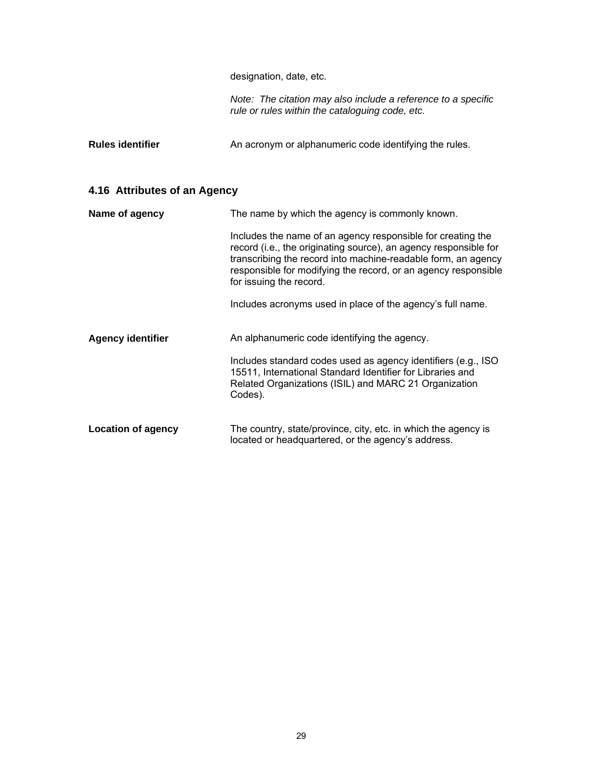designation, date, etc.

*Note: The citation may also include a reference to a specific rule or rules within the cataloguing code, etc.* 

<span id="page-33-0"></span>**Rules identifier An acronym or alphanumeric code identifying the rules.** 

## **4.16 Attributes of an Agency**

| Name of agency            | The name by which the agency is commonly known.                                                                                                                                                                                                                                               |  |
|---------------------------|-----------------------------------------------------------------------------------------------------------------------------------------------------------------------------------------------------------------------------------------------------------------------------------------------|--|
|                           | Includes the name of an agency responsible for creating the<br>record (i.e., the originating source), an agency responsible for<br>transcribing the record into machine-readable form, an agency<br>responsible for modifying the record, or an agency responsible<br>for issuing the record. |  |
|                           | Includes acronyms used in place of the agency's full name.                                                                                                                                                                                                                                    |  |
| <b>Agency identifier</b>  | An alphanumeric code identifying the agency.                                                                                                                                                                                                                                                  |  |
|                           | Includes standard codes used as agency identifiers (e.g., ISO<br>15511, International Standard Identifier for Libraries and<br>Related Organizations (ISIL) and MARC 21 Organization<br>Codes).                                                                                               |  |
| <b>Location of agency</b> | The country, state/province, city, etc. in which the agency is<br>located or headquartered, or the agency's address.                                                                                                                                                                          |  |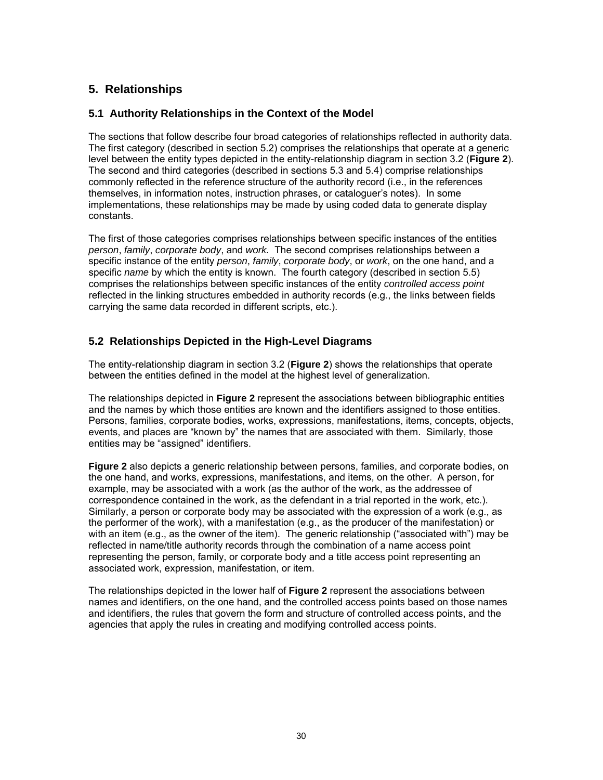# <span id="page-34-0"></span>**5. Relationships**

## **5.1 Authority Relationships in the Context of the Model**

The sections that follow describe four broad categories of relationships reflected in authority data. The first category (described in section 5.2) comprises the relationships that operate at a generic level between the entity types depicted in the entity-relationship diagram in section 3.2 (**Figure 2**). The second and third categories (described in sections 5.3 and 5.4) comprise relationships commonly reflected in the reference structure of the authority record (i.e., in the references themselves, in information notes, instruction phrases, or cataloguer's notes). In some implementations, these relationships may be made by using coded data to generate display constants.

The first of those categories comprises relationships between specific instances of the entities *person*, *family*, *corporate body*, and *work.* The second comprises relationships between a specific instance of the entity *person*, *family*, *corporate body*, or *work*, on the one hand, and a specific *name* by which the entity is known. The fourth category (described in section 5.5) comprises the relationships between specific instances of the entity *controlled access point* reflected in the linking structures embedded in authority records (e.g., the links between fields carrying the same data recorded in different scripts, etc.).

#### **5.2 Relationships Depicted in the High-Level Diagrams**

The entity-relationship diagram in section 3.2 (**Figure 2**) shows the relationships that operate between the entities defined in the model at the highest level of generalization.

The relationships depicted in **Figure 2** represent the associations between bibliographic entities and the names by which those entities are known and the identifiers assigned to those entities. Persons, families, corporate bodies, works, expressions, manifestations, items, concepts, objects, events, and places are "known by" the names that are associated with them. Similarly, those entities may be "assigned" identifiers.

**Figure 2** also depicts a generic relationship between persons, families, and corporate bodies, on the one hand, and works, expressions, manifestations, and items, on the other. A person, for example, may be associated with a work (as the author of the work, as the addressee of correspondence contained in the work, as the defendant in a trial reported in the work, etc.). Similarly, a person or corporate body may be associated with the expression of a work (e.g., as the performer of the work), with a manifestation (e.g., as the producer of the manifestation) or with an item (e.g., as the owner of the item). The generic relationship ("associated with") may be reflected in name/title authority records through the combination of a name access point representing the person, family, or corporate body and a title access point representing an associated work, expression, manifestation, or item.

The relationships depicted in the lower half of **Figure 2** represent the associations between names and identifiers, on the one hand, and the controlled access points based on those names and identifiers, the rules that govern the form and structure of controlled access points, and the agencies that apply the rules in creating and modifying controlled access points.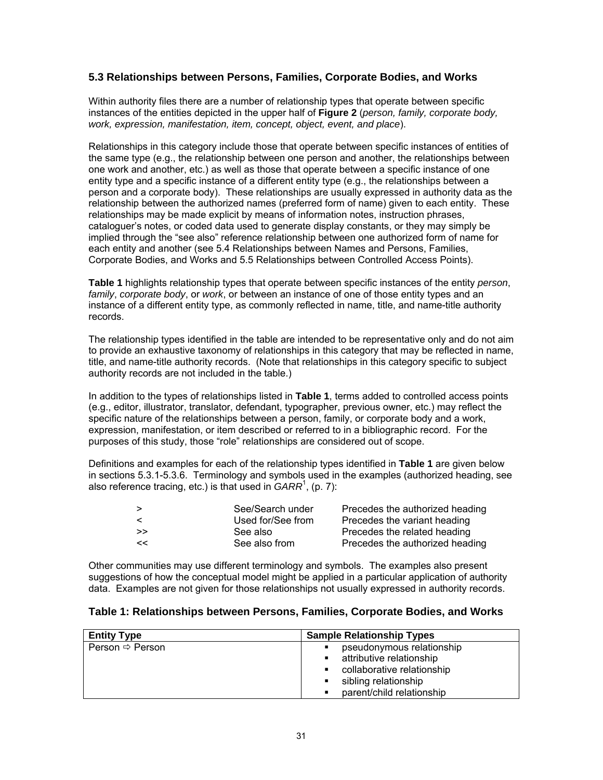#### <span id="page-35-0"></span>**5.3 Relationships between Persons, Families, Corporate Bodies, and Works**

Within authority files there are a number of relationship types that operate between specific instances of the entities depicted in the upper half of **Figure 2** (*person, family, corporate body, work, expression, manifestation, item, concept, object, event, and place*).

Relationships in this category include those that operate between specific instances of entities of the same type (e.g., the relationship between one person and another, the relationships between one work and another, etc.) as well as those that operate between a specific instance of one entity type and a specific instance of a different entity type (e.g., the relationships between a person and a corporate body). These relationships are usually expressed in authority data as the relationship between the authorized names (preferred form of name) given to each entity. These relationships may be made explicit by means of information notes, instruction phrases, cataloguer's notes, or coded data used to generate display constants, or they may simply be implied through the "see also" reference relationship between one authorized form of name for each entity and another (see 5.4 Relationships between Names and Persons, Families, Corporate Bodies, and Works and 5.5 Relationships between Controlled Access Points).

**Table 1** highlights relationship types that operate between specific instances of the entity *person*, *family*, *corporate body*, or *work*, or between an instance of one of those entity types and an instance of a different entity type, as commonly reflected in name, title, and name-title authority records.

The relationship types identified in the table are intended to be representative only and do not aim to provide an exhaustive taxonomy of relationships in this category that may be reflected in name, title, and name-title authority records. (Note that relationships in this category specific to subject authority records are not included in the table.)

In addition to the types of relationships listed in **Table 1**, terms added to controlled access points (e.g., editor, illustrator, translator, defendant, typographer, previous owner, etc.) may reflect the specific nature of the relationships between a person, family, or corporate body and a work, expression, manifestation, or item described or referred to in a bibliographic record. For the purposes of this study, those "role" relationships are considered out of scope.

Definitions and examples for each of the relationship types identified in **Table 1** are given below in sections 5.3.1-5.3.6. Terminology and symbols used in the examples (authorized heading, see also reference tracing, etc.) is that used in *GARR*<sup>1</sup>, (p. 7):

| >          | See/Search under  | Precedes the authorized heading |
|------------|-------------------|---------------------------------|
| $\epsilon$ | Used for/See from | Precedes the variant heading    |
| >>         | See also          | Precedes the related heading    |
| - <<       | See also from     | Precedes the authorized heading |

Other communities may use different terminology and symbols. The examples also present suggestions of how the conceptual model might be applied in a particular application of authority data. Examples are not given for those relationships not usually expressed in authority records.

#### **Table 1: Relationships between Persons, Families, Corporate Bodies, and Works**

| <b>Entity Type</b>              | <b>Sample Relationship Types</b>                                                          |
|---------------------------------|-------------------------------------------------------------------------------------------|
| Person $\Leftrightarrow$ Person | pseudonymous relationship<br>٠<br>attributive relationship<br>٠                           |
|                                 | collaborative relationship<br>٠<br>sibling relationship<br>parent/child relationship<br>п |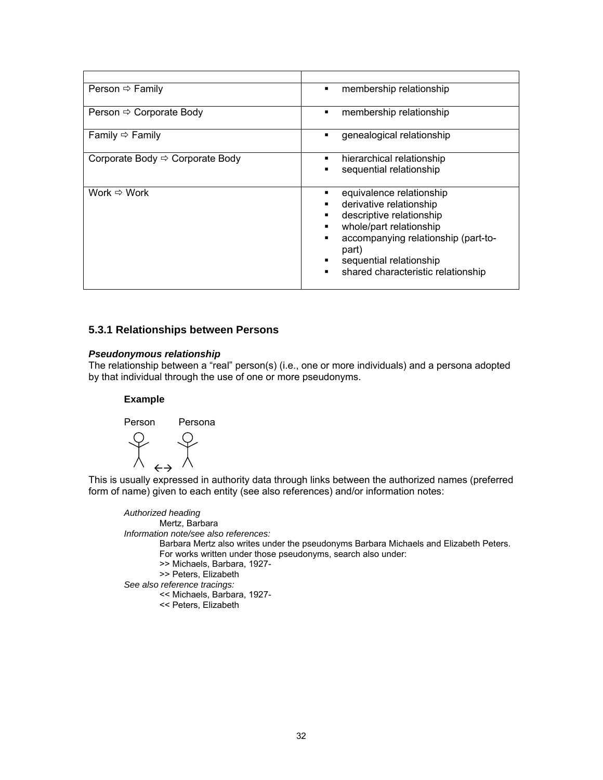| Person $\Leftrightarrow$ Family             | membership relationship                                                                                                                                                                                                     |
|---------------------------------------------|-----------------------------------------------------------------------------------------------------------------------------------------------------------------------------------------------------------------------------|
| Person $\Leftrightarrow$ Corporate Body     | membership relationship                                                                                                                                                                                                     |
| Family $\Rightarrow$ Family                 | genealogical relationship                                                                                                                                                                                                   |
| Corporate Body $\Rightarrow$ Corporate Body | hierarchical relationship<br>sequential relationship                                                                                                                                                                        |
| Work $\Leftrightarrow$ Work                 | equivalence relationship<br>derivative relationship<br>descriptive relationship<br>whole/part relationship<br>accompanying relationship (part-to-<br>part)<br>sequential relationship<br>shared characteristic relationship |

### **5.3.1 Relationships between Persons**

#### *Pseudonymous relationship*

The relationship between a "real" person(s) (i.e., one or more individuals) and a persona adopted by that individual through the use of one or more pseudonyms.

#### **Example**

Person Persona



This is usually expressed in authority data through links between the authorized names (preferred form of name) given to each entity (see also references) and/or information notes:

*Authorized heading*  Mertz, Barbara *Information note/see also references:* Barbara Mertz also writes under the pseudonyms Barbara Michaels and Elizabeth Peters. For works written under those pseudonyms, search also under: >> Michaels, Barbara, 1927- >> Peters, Elizabeth *See also reference tracings:* << Michaels, Barbara, 1927- << Peters, Elizabeth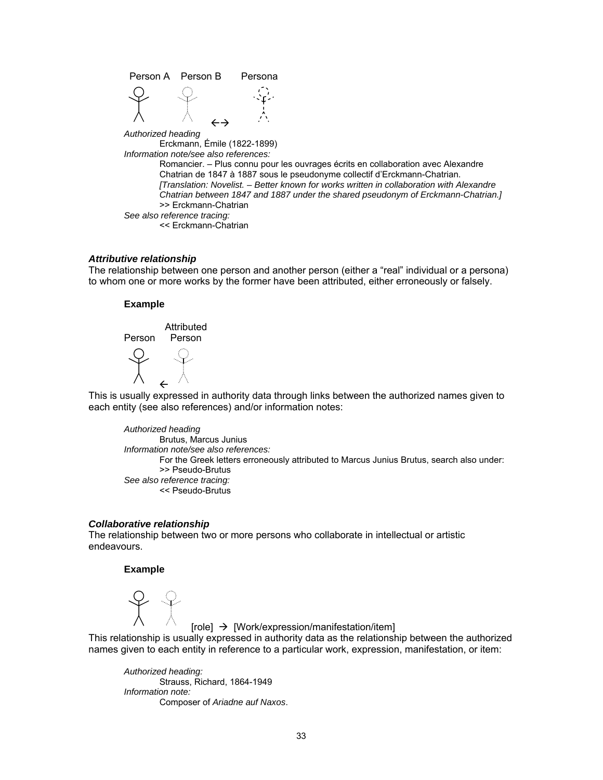

#### *Attributive relationship*

The relationship between one person and another person (either a "real" individual or a persona) to whom one or more works by the former have been attributed, either erroneously or falsely.

#### **Example**

 Attributed Person Person  $\leftrightarrow$ 

This is usually expressed in authority data through links between the authorized names given to each entity (see also references) and/or information notes:

*Authorized heading*  Brutus, Marcus Junius *Information note/see also references:* For the Greek letters erroneously attributed to Marcus Junius Brutus, search also under: >> Pseudo-Brutus *See also reference tracing:* << Pseudo-Brutus

#### *Collaborative relationship*

The relationship between two or more persons who collaborate in intellectual or artistic endeavours.

#### **Example**

 $[role] \rightarrow [Work/expression/manification/item]$ 

This relationship is usually expressed in authority data as the relationship between the authorized names given to each entity in reference to a particular work, expression, manifestation, or item:

**Composer of Ariadne auf Naxos.** *Authorized heading:* Strauss, Richard, 1864-1949 *Information note:*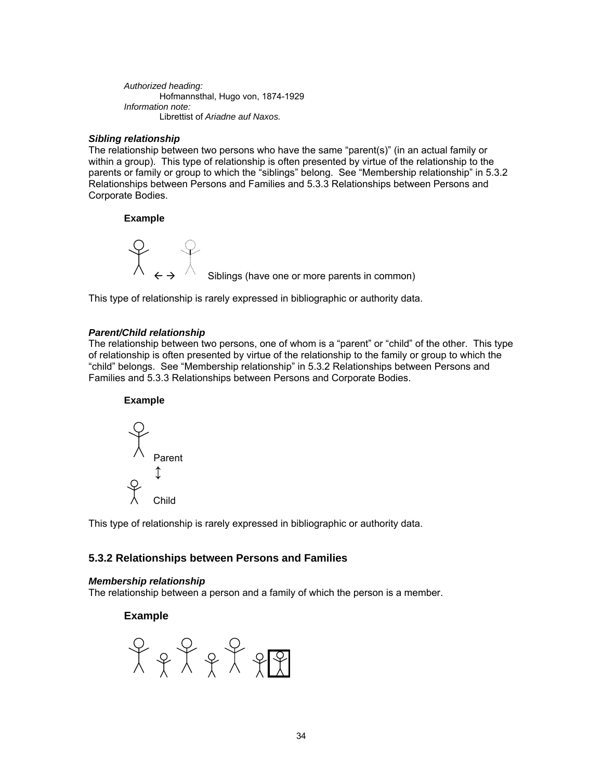*Authorized heading:*  Hofmannsthal, Hugo von, 1874-1929 Librettist of *Ariadne auf Naxos. Information note:* 

#### **Sibling relationship**

The relationship between two persons who have the same "parent(s)" (in an actual family or parents or family or group to which the "siblings" belong. See "Membership relationship" in 5.3.2 within a group). This type of relationship is often presented by virtue of the relationship to the Relationships between Persons and Families and 5.3.3 Relationships between Persons and Corporate Bodies.

### **Example**



This type of relationship is rarely expressed in bibliographic or authority data.

### **Parent/Child relationship**

The relationship between two persons, one of whom is a "parent" or "child" of the other. This type of relationship is often presented by virtue of the relationship to the family or group to which the "child" belongs. See "Membership relationship" in 5.3.2 Relationships between Persons and Families and 5.3.3 Relationships between Persons and Corporate Bodies.

### **Example**



This type of relationship is rarely expressed in bibliographic or authority data.

### **.3.2 Relationships between Persons and Families 5**

#### *Membership relationship*

The relationship between a person and a family of which the person is a member.

### **Example**

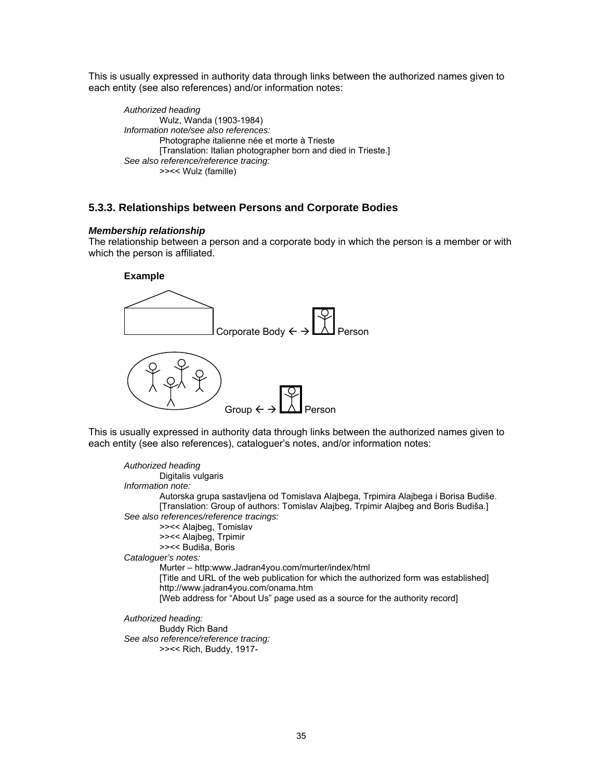This is usually expressed in authority data through links between the authorized names given to each entity (see also references) and/or information notes:

*Authorized heading*  Wulz, Wanda (1903-1984) *Information note/see also references:* Photographe italienne née et morte à Trieste [Translation: Italian photographer born and died in Trieste.] *See also reference/reference tracing:* >><< Wulz (famille)

### **5.3.3. Relationships between Persons and Corporate Bodies**

### *Membership relationship*

The relationship between a person and a corporate body in which the person is a member or with which the person is affiliated.



This is usually expressed in authority data through links between the authorized names given to each entity (see also references), cataloguer's notes, and/or information notes:

*Authorized heading*  Digitalis vulgaris *Information note:* Autorska grupa sastavljena od Tomislava Alajbega, Trpimira Alajbega i Borisa Budiše. [Translation: Group of authors: Tomislav Alajbeg, Trpimir Alajbeg and Boris Budiša.] *See also references/reference tracings:* >><< Alajbeg, Tomislav >><< Alajbeg, Trpimir >><< Budiša, Boris *Cataloguer's notes:* Murter – http:www.Jadran4you.com/murter/index/html [Title and URL of the web publication for which the authorized form was established] http://www.jadran4you.com/onama.htm [Web address for "About Us" page used as a source for the authority record] *Authorized heading:* 

 Buddy Rich Band *See also reference/reference tracing:*  >><< Rich, Buddy, 1917-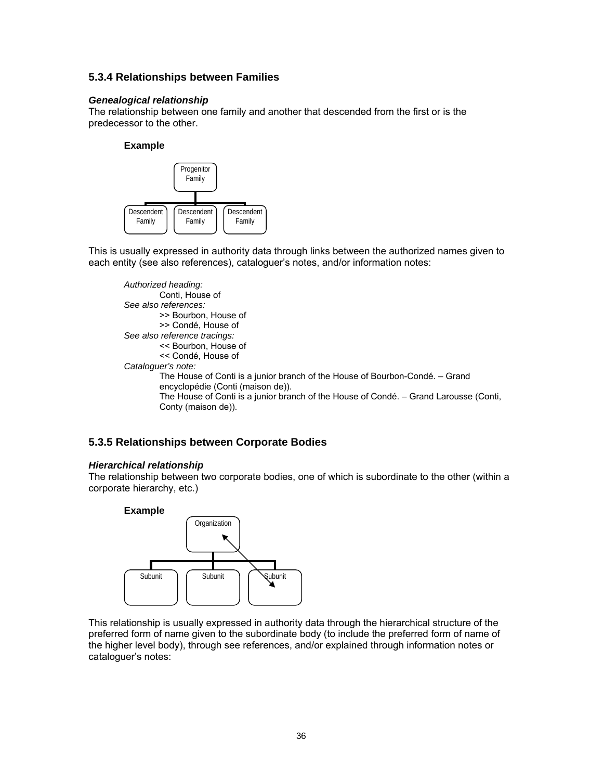### **5.3.4 Relationships between Families**

### *Genealogical relationship*

The relationship between one family and another that descended from the first or is the predecessor to the other.

### **Example**



This is usually expressed in authority data through links between the authorized names given to each entity (see also references), cataloguer's notes, and/or information notes:

```
Authorized heading: 
        Conti, House of 
See also references: 
        >> Bourbon, House of 
        >> Condé, House of 
See also reference tracings: 
        << Bourbon, House of 
        << Condé, House of 
Cataloguer's note: 
       The House of Conti is a junior branch of the House of Bourbon-Condé. – Grand 
       encyclopédie (Conti (maison de)). 
       The House of Conti is a junior branch of the House of Condé. – Grand Larousse (Conti, 
       Conty (maison de)).
```
### **5.3.5 Relationships between Corporate Bodies**

#### *Hierarchical relationship*

The relationship between two corporate bodies, one of which is subordinate to the other (within a corporate hierarchy, etc.)



This relationship is usually expressed in authority data through the hierarchical structure of the preferred form of name given to the subordinate body (to include the preferred form of name of the higher level body), through see references, and/or explained through information notes or cataloguer's notes: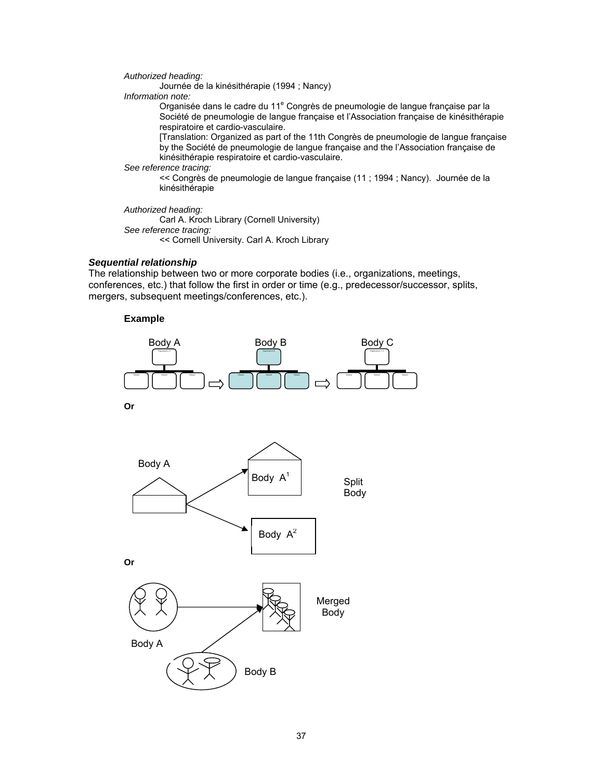*Authorized heading:* 

Journée de la kinésithérapie (1994 ; Nancy)

 *Information note:* 

Organisée dans le cadre du 11<sup>e</sup> Congrès de pneumologie de langue française par la Société de pneumologie de langue française et l'Association française de kinésithérapie respiratoire et cardio-vasculaire.

[Translation: Organized as part of the 11th Congrès de pneumologie de langue française by the Société de pneumologie de langue française and the l'Association française de kinésithérapie respiratoire et cardio-vasculaire.

 *See reference tracing:* 

<< Congrès de pneumologie de langue française (11 ; 1994 ; Nancy). Journée de la kinésithérapie

*Authorized heading:* 

 Carl A. Kroch Library (Cornell University)  *See reference tracing:*  << Cornell University. Carl A. Kroch Library

#### *Sequential relationship*

The relationship between two or more corporate bodies (i.e., organizations, meetings, conferences, etc.) that follow the first in order or time (e.g., predecessor/successor, splits, mergers, subsequent meetings/conferences, etc.).



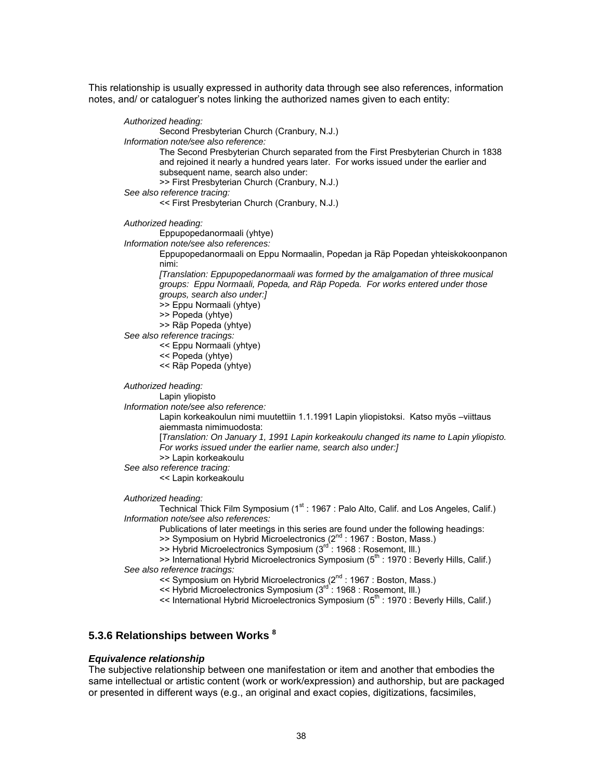This relationship is usually expressed in authority data through see also references, information notes, and/ or cataloguer's notes linking the authorized names given to each entity:

| Authorized heading:<br>Second Presbyterian Church (Cranbury, N.J.)                                                                                                                                                                                         |
|------------------------------------------------------------------------------------------------------------------------------------------------------------------------------------------------------------------------------------------------------------|
| Information note/see also reference:<br>The Second Presbyterian Church separated from the First Presbyterian Church in 1838<br>and rejoined it nearly a hundred years later. For works issued under the earlier and<br>subsequent name, search also under: |
| >> First Presbyterian Church (Cranbury, N.J.)                                                                                                                                                                                                              |
| See also reference tracing:<br><< First Presbyterian Church (Cranbury, N.J.)                                                                                                                                                                               |
| Authorized heading:                                                                                                                                                                                                                                        |
| Eppupopedanormaali (yhtye)                                                                                                                                                                                                                                 |
| Information note/see also references:                                                                                                                                                                                                                      |
| Eppupopedanormaali on Eppu Normaalin, Popedan ja Räp Popedan yhteiskokoonpanon<br>nimi:                                                                                                                                                                    |
| [Translation: Eppupopedanormaali was formed by the amalgamation of three musical<br>groups: Eppu Normaali, Popeda, and Räp Popeda. For works entered under those<br>groups, search also under:]<br>>> Eppu Normaali (yhtye)<br>>> Popeda (yhtye)           |
| >> Räp Popeda (yhtye)                                                                                                                                                                                                                                      |
| See also reference tracings:<br><< Eppu Normaali (yhtye)<br><< Popeda (yhtye)                                                                                                                                                                              |
| << Räp Popeda (yhtye)                                                                                                                                                                                                                                      |
| Authorized heading:                                                                                                                                                                                                                                        |
| Lapin yliopisto                                                                                                                                                                                                                                            |
| Information note/see also reference:<br>Lapin korkeakoulun nimi muutettiin 1.1.1991 Lapin yliopistoksi. Katso myös -viittaus<br>aiemmasta nimimuodosta:                                                                                                    |
| [Translation: On January 1, 1991 Lapin korkeakoulu changed its name to Lapin yliopisto.<br>For works issued under the earlier name, search also under:]                                                                                                    |
| >> Lapin korkeakoulu                                                                                                                                                                                                                                       |
| See also reference tracing:                                                                                                                                                                                                                                |
| << Lapin korkeakoulu                                                                                                                                                                                                                                       |
| Authorized heading:                                                                                                                                                                                                                                        |
| Technical Thick Film Symposium (1 <sup>st</sup> : 1967 : Palo Alto, Calif. and Los Angeles, Calif.)                                                                                                                                                        |
| Information note/see also references:                                                                                                                                                                                                                      |
| Publications of later meetings in this series are found under the following headings:<br>>> Symposium on Hybrid Microelectronics $(2^{nd} : 1967 : Boston, Mass.)$                                                                                         |
| >> Hybrid Microelectronics Symposium (3rd : 1968 : Rosemont, III.)                                                                                                                                                                                         |
| >> International Hybrid Microelectronics Symposium (5 <sup>th</sup> : 1970 : Beverly Hills, Calif.)                                                                                                                                                        |
| See also reference tracings:                                                                                                                                                                                                                               |
| << Symposium on Hybrid Microelectronics (2 <sup>nd</sup> : 1967: Boston, Mass.)                                                                                                                                                                            |
| << Hybrid Microelectronics Symposium (3 <sup>rd</sup> : 1968 : Rosemont, III.)                                                                                                                                                                             |
| << International Hybrid Microelectronics Symposium (5 <sup>th</sup> : 1970 : Beverly Hills, Calif.)                                                                                                                                                        |

# **5.3.6 Relationships between Works 8**

#### *Equivalence relationship*

The subjective relationship between one manifestation or item and another that embodies the same intellectual or artistic content (work or work/expression) and authorship, but are packaged or presented in different ways (e.g., an original and exact copies, digitizations, facsimiles,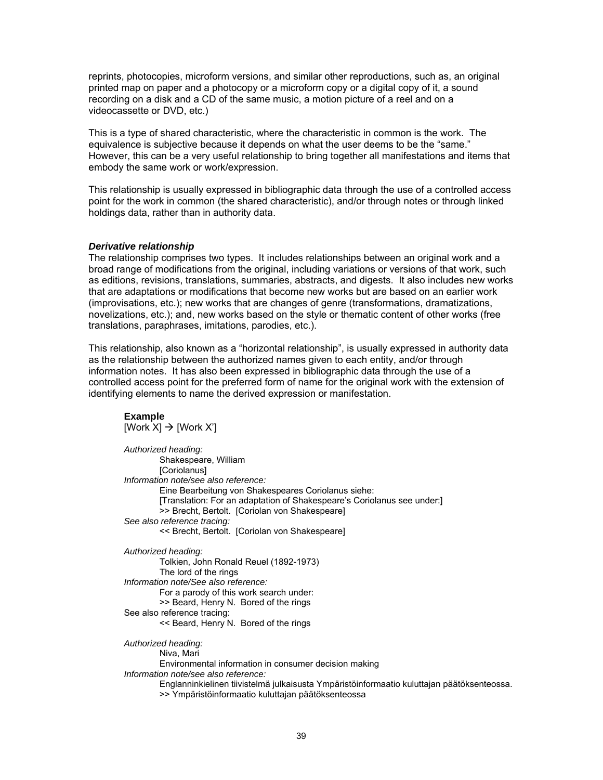reprints, photocopies, microform versions, and similar other reproductions, such as, an original printed map on paper and a photocopy or a microform copy or a digital copy of it, a sound recording on a disk and a CD of the same music, a motion picture of a reel and on a videocassette or DVD, etc.)

This is a type of shared characteristic, where the characteristic in common is the work. The equivalence is subjective because it depends on what the user deems to be the "same." However, this can be a very useful relationship to bring together all manifestations and items that embody the same work or work/expression.

This relationship is usually expressed in bibliographic data through the use of a controlled access point for the work in common (the shared characteristic), and/or through notes or through linked holdings data, rather than in authority data.

#### *Derivative relationship*

The relationship comprises two types. It includes relationships between an original work and a broad range of modifications from the original, including variations or versions of that work, such as editions, revisions, translations, summaries, abstracts, and digests. It also includes new works that are adaptations or modifications that become new works but are based on an earlier work (improvisations, etc.); new works that are changes of genre (transformations, dramatizations, novelizations, etc.); and, new works based on the style or thematic content of other works (free translations, paraphrases, imitations, parodies, etc.).

This relationship, also known as a "horizontal relationship", is usually expressed in authority data as the relationship between the authorized names given to each entity, and/or through information notes. It has also been expressed in bibliographic data through the use of a controlled access point for the preferred form of name for the original work with the extension of identifying elements to name the derived expression or manifestation.

#### **Example**

[Work  $X$ ]  $\rightarrow$  [Work X'] *Authorized heading:*  Shakespeare, William [Coriolanus]  *Information note/see also reference:*  Eine Bearbeitung von Shakespeares Coriolanus siehe: [Translation: For an adaptation of Shakespeare's Coriolanus see under:] >> Brecht, Bertolt. [Coriolan von Shakespeare]  *See also reference tracing:*  << Brecht, Bertolt. [Coriolan von Shakespeare] *Authorized heading:*  Tolkien, John Ronald Reuel (1892-1973) The lord of the rings  *Information note/See also reference:* For a parody of this work search under: >> Beard, Henry N. Bored of the rings See also reference tracing: << Beard, Henry N. Bored of the rings  *Authorized heading:*  Niva, Mari Environmental information in consumer decision making  *Information note/see also reference:*  Englanninkielinen tiivistelmä julkaisusta Ympäristöinformaatio kuluttajan päätöksenteossa. >> Ympäristöinformaatio kuluttajan päätöksenteossa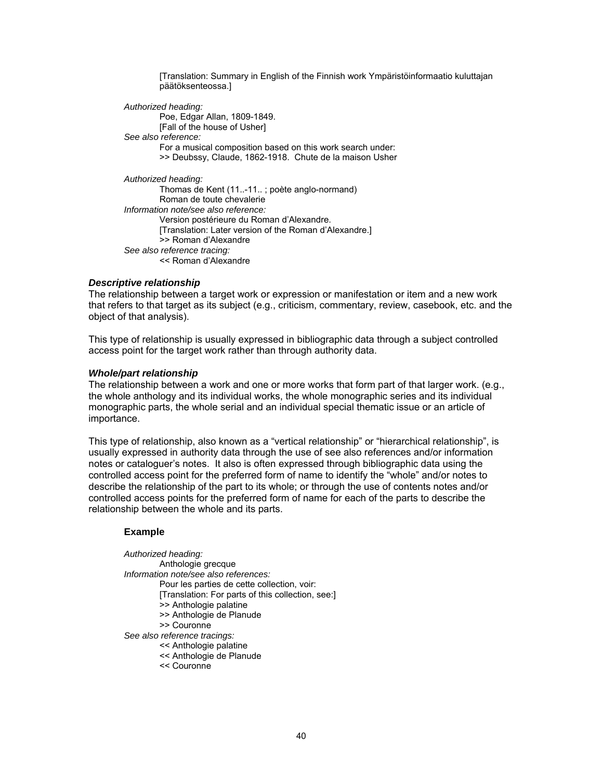[Translation: Summary in English of the Finnish work Ympäristöinformaatio kuluttajan päätöksenteossa.]

 *Authorized heading:*  Poe, Edgar Allan, 1809-1849. [Fall of the house of Usher]  *See also reference:* For a musical composition based on this work search under: >> Deubssy, Claude, 1862-1918. Chute de la maison Usher *Authorized heading:*  Thomas de Kent (11..-11.. ; poète anglo-normand) Roman de toute chevalerie  *Information note/see also reference:*  Version postérieure du Roman d'Alexandre. [Translation: Later version of the Roman d'Alexandre.] >> Roman d'Alexandre  *See also reference tracing:* 

<< Roman d'Alexandre

#### *Descriptive relationship*

The relationship between a target work or expression or manifestation or item and a new work that refers to that target as its subject (e.g., criticism, commentary, review, casebook, etc. and the object of that analysis).

This type of relationship is usually expressed in bibliographic data through a subject controlled access point for the target work rather than through authority data.

#### *Whole/part relationship*

The relationship between a work and one or more works that form part of that larger work. (e.g., the whole anthology and its individual works, the whole monographic series and its individual monographic parts, the whole serial and an individual special thematic issue or an article of importance.

This type of relationship, also known as a "vertical relationship" or "hierarchical relationship", is usually expressed in authority data through the use of see also references and/or information notes or cataloguer's notes. It also is often expressed through bibliographic data using the controlled access point for the preferred form of name to identify the "whole" and/or notes to describe the relationship of the part to its whole; or through the use of contents notes and/or controlled access points for the preferred form of name for each of the parts to describe the relationship between the whole and its parts.

#### **Example**

*Authorized heading:*  Anthologie grecque  *Information note/see also references:*  Pour les parties de cette collection, voir: [Translation: For parts of this collection, see:] >> Anthologie palatine >> Anthologie de Planude >> Couronne  *See also reference tracings:*  << Anthologie palatine << Anthologie de Planude << Couronne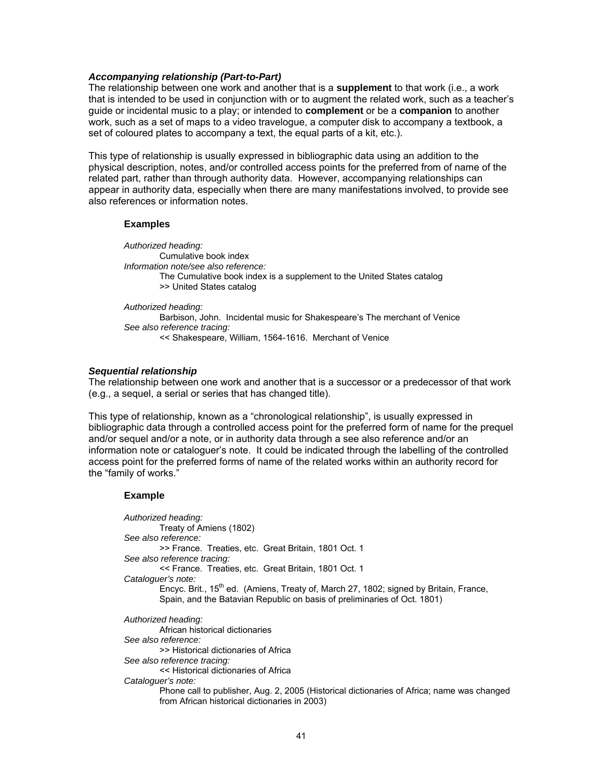#### *Accompanying relationship (Part-to-Part)*

The relationship between one work and another that is a **supplement** to that work (i.e., a work that is intended to be used in conjunction with or to augment the related work, such as a teacher's guide or incidental music to a play; or intended to **complement** or be a **companion** to another work, such as a set of maps to a video travelogue, a computer disk to accompany a textbook, a set of coloured plates to accompany a text, the equal parts of a kit, etc.).

This type of relationship is usually expressed in bibliographic data using an addition to the physical description, notes, and/or controlled access points for the preferred from of name of the related part, rather than through authority data. However, accompanying relationships can appear in authority data, especially when there are many manifestations involved, to provide see also references or information notes.

#### **Examples**

*Authorized heading:*  Cumulative book index  *Information note/see also reference:*  The Cumulative book index is a supplement to the United States catalog >> United States catalog  *Authorized heading:*  Barbison, John. Incidental music for Shakespeare's The merchant of Venice

 *See also reference tracing:*  << Shakespeare, William, 1564-1616. Merchant of Venice

#### *Sequential relationship*

The relationship between one work and another that is a successor or a predecessor of that work (e.g., a sequel, a serial or series that has changed title).

This type of relationship, known as a "chronological relationship", is usually expressed in bibliographic data through a controlled access point for the preferred form of name for the prequel and/or sequel and/or a note, or in authority data through a see also reference and/or an information note or cataloguer's note. It could be indicated through the labelling of the controlled access point for the preferred forms of name of the related works within an authority record for the "family of works."

#### **Example**

*Authorized heading:*  Treaty of Amiens (1802)  *See also reference:*  >> France. Treaties, etc. Great Britain, 1801 Oct. 1  *See also reference tracing:*  << France. Treaties, etc. Great Britain, 1801 Oct. 1  *Cataloguer's note:*  Encyc. Brit., 15<sup>th</sup> ed. (Amiens, Treaty of, March 27, 1802; signed by Britain, France, Spain, and the Batavian Republic on basis of preliminaries of Oct. 1801) *Authorized heading:*  African historical dictionaries *See also reference:*  >> Historical dictionaries of Africa  *See also reference tracing:*  << Historical dictionaries of Africa

 *Cataloguer's note:* 

Phone call to publisher, Aug. 2, 2005 (Historical dictionaries of Africa; name was changed from African historical dictionaries in 2003)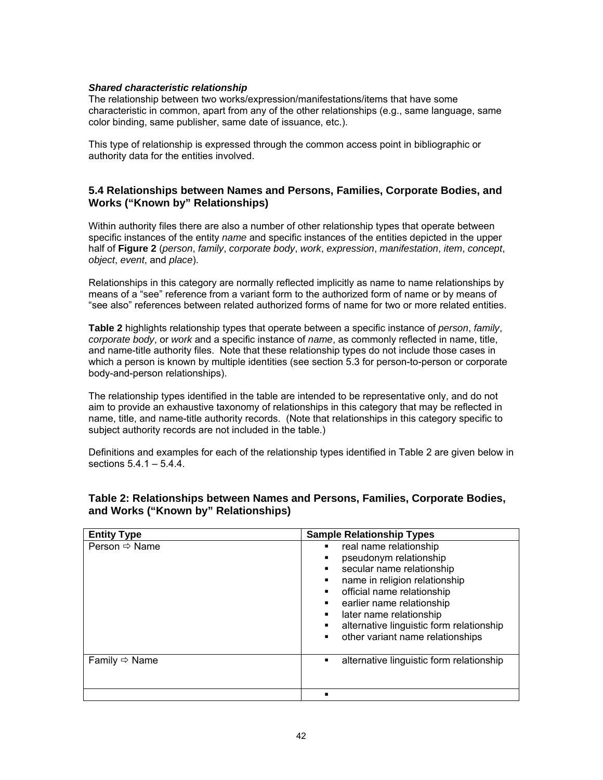#### *Shared characteristic relationship*

The relationship between two works/expression/manifestations/items that have some characteristic in common, apart from any of the other relationships (e.g., same language, same color binding, same publisher, same date of issuance, etc.).

This type of relationship is expressed through the common access point in bibliographic or authority data for the entities involved.

### **5.4 Relationships between Names and Persons, Families, Corporate Bodies, and Works ("Known by" Relationships)**

Within authority files there are also a number of other relationship types that operate between specific instances of the entity *name* and specific instances of the entities depicted in the upper half of **Figure 2** (*person*, *family*, *corporate body*, *work*, *expression*, *manifestation*, *item*, *concept*, *object*, *event*, and *place*).

Relationships in this category are normally reflected implicitly as name to name relationships by means of a "see" reference from a variant form to the authorized form of name or by means of "see also" references between related authorized forms of name for two or more related entities.

**Table 2** highlights relationship types that operate between a specific instance of *person*, *family*, *corporate body*, or *work* and a specific instance of *name*, as commonly reflected in name, title, and name-title authority files. Note that these relationship types do not include those cases in which a person is known by multiple identities (see section 5.3 for person-to-person or corporate body-and-person relationships).

The relationship types identified in the table are intended to be representative only, and do not aim to provide an exhaustive taxonomy of relationships in this category that may be reflected in name, title, and name-title authority records. (Note that relationships in this category specific to subject authority records are not included in the table.)

Definitions and examples for each of the relationship types identified in Table 2 are given below in sections 5.4.1 – 5.4.4.

| <b>Entity Type</b>        | <b>Sample Relationship Types</b>                                                                                                                                                                                                                                                                                             |
|---------------------------|------------------------------------------------------------------------------------------------------------------------------------------------------------------------------------------------------------------------------------------------------------------------------------------------------------------------------|
| Person <sup>→</sup> Name  | real name relationship<br>٠<br>pseudonym relationship<br>г<br>secular name relationship<br>п<br>name in religion relationship<br>٠<br>official name relationship<br>п<br>earlier name relationship<br>п<br>later name relationship<br>alternative linguistic form relationship<br>п<br>other variant name relationships<br>п |
| Family $\Rightarrow$ Name | alternative linguistic form relationship<br>г                                                                                                                                                                                                                                                                                |
|                           |                                                                                                                                                                                                                                                                                                                              |

### **Table 2: Relationships between Names and Persons, Families, Corporate Bodies, and Works ("Known by" Relationships)**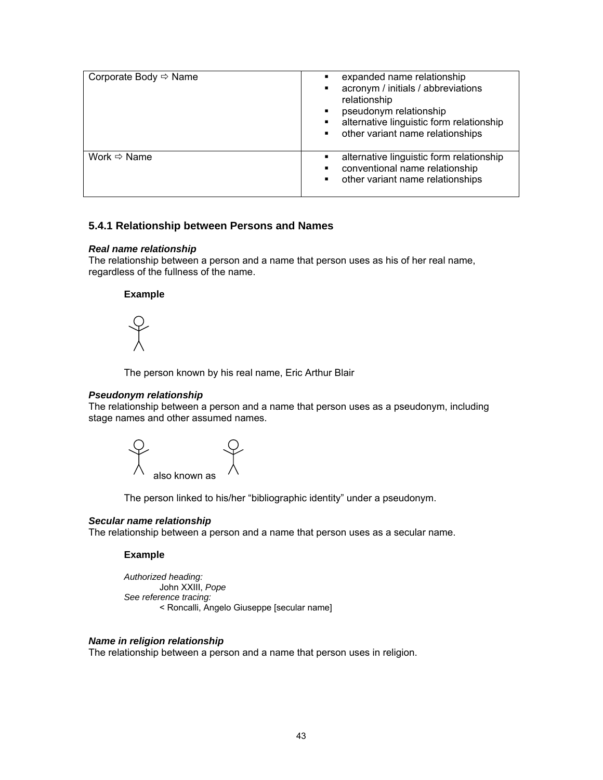| Corporate Body $\Rightarrow$ Name | expanded name relationship<br>acronym / initials / abbreviations<br>relationship<br>pseudonym relationship<br>alternative linguistic form relationship<br>other variant name relationships |
|-----------------------------------|--------------------------------------------------------------------------------------------------------------------------------------------------------------------------------------------|
| Work $\Leftrightarrow$ Name       | alternative linguistic form relationship<br>conventional name relationship<br>other variant name relationships                                                                             |

### **5.4.1 Relationship between Persons and Names**

#### *Real name relationship*

The relationship between a person and a name that person uses as his of her real name, regardless of the fullness of the name.

### **Example**



The person known by his real name, Eric Arthur Blair

#### *Pseudonym relationship*

The relationship between a person and a name that person uses as a pseudonym, including stage names and other assumed names.



The person linked to his/her "bibliographic identity" under a pseudonym.

#### *Secular name relationship*

The relationship between a person and a name that person uses as a secular name.

#### **Example**

*Authorized heading:*  John XXIII, *Pope See reference tracing:*  < Roncalli, Angelo Giuseppe [secular name]

#### *Name in religion relationship*

The relationship between a person and a name that person uses in religion.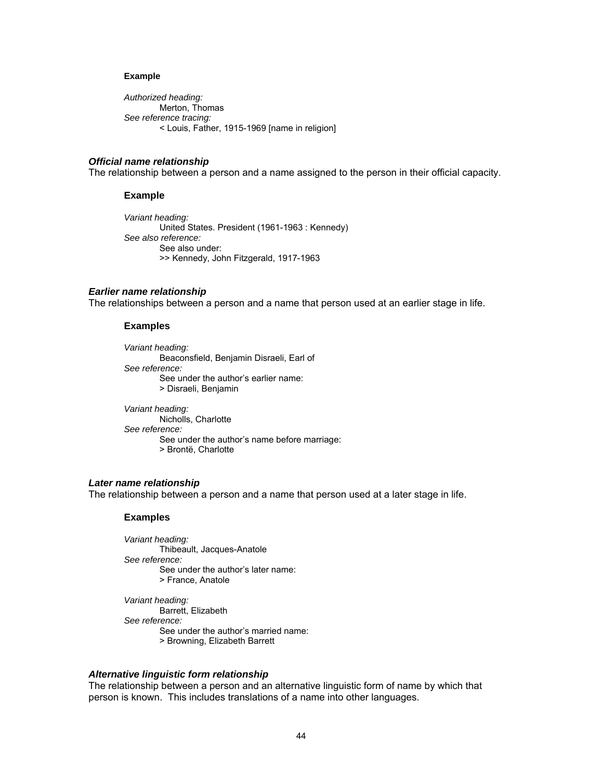*Authorized heading:*  Merton, Thomas  *See reference tracing:*  < Louis, Father, 1915-1969 [name in religion]

#### *Official name relationship*

The relationship between a person and a name assigned to the person in their official capacity.

#### **Example**

*Variant heading:*  United States. President (1961-1963 : Kennedy) *See also reference:*  See also under: >> Kennedy, John Fitzgerald, 1917-1963

#### *Earlier name relationship*

The relationships between a person and a name that person used at an earlier stage in life.

#### **Examples**

*Variant heading:*  Beaconsfield, Benjamin Disraeli, Earl of  *See reference:*  See under the author's earlier name: > Disraeli, Benjamin

 *Variant heading:*  Nicholls, Charlotte  *See reference:*  See under the author's name before marriage: > Brontë, Charlotte

#### *Later name relationship*

The relationship between a person and a name that person used at a later stage in life.

#### **Examples**

*Variant heading:*  Thibeault, Jacques-Anatole  *See reference:*  See under the author's later name: > France, Anatole

*Variant heading:*  Barrett, Elizabeth  *See reference:*  See under the author's married name: > Browning, Elizabeth Barrett

#### *Alternative linguistic form relationship*

The relationship between a person and an alternative linguistic form of name by which that person is known. This includes translations of a name into other languages.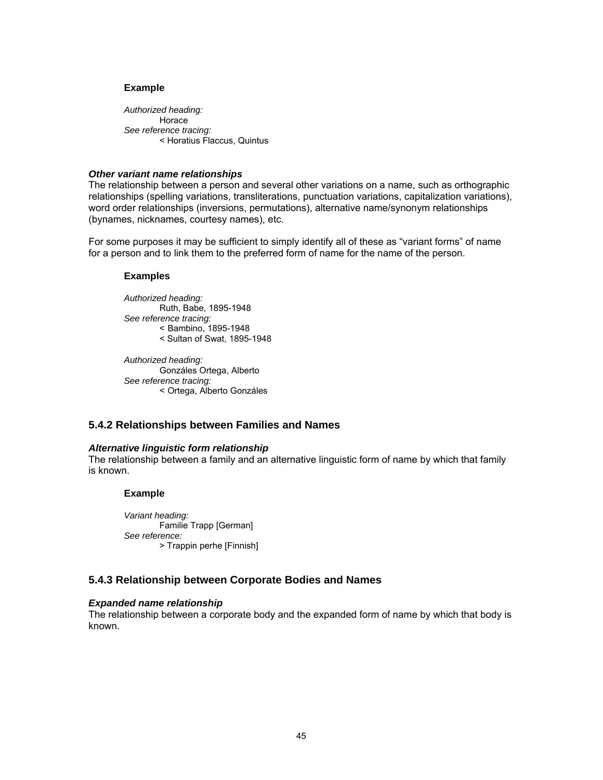*Authorized heading:*  Horace  *See reference tracing:*  < Horatius Flaccus, Quintus

#### *Other variant name relationships*

The relationship between a person and several other variations on a name, such as orthographic relationships (spelling variations, transliterations, punctuation variations, capitalization variations), word order relationships (inversions, permutations), alternative name/synonym relationships (bynames, nicknames, courtesy names), etc.

For some purposes it may be sufficient to simply identify all of these as "variant forms" of name for a person and to link them to the preferred form of name for the name of the person.

#### **Examples**

*Authorized heading:* Ruth, Babe, 1895-1948 *See reference tracing:* < Bambino, 1895-1948 < Sultan of Swat, 1895-1948

*Authorized heading:*  Gonzáles Ortega, Alberto *See reference tracing:* < Ortega, Alberto Gonzáles

### **5.4.2 Relationships between Families and Names**

#### *Alternative linguistic form relationship*

The relationship between a family and an alternative linguistic form of name by which that family is known.

#### **Example**

*Variant heading:*  Familie Trapp [German]  *See reference:*  > Trappin perhe [Finnish]

### **5.4.3 Relationship between Corporate Bodies and Names**

#### *Expanded name relationship*

The relationship between a corporate body and the expanded form of name by which that body is known.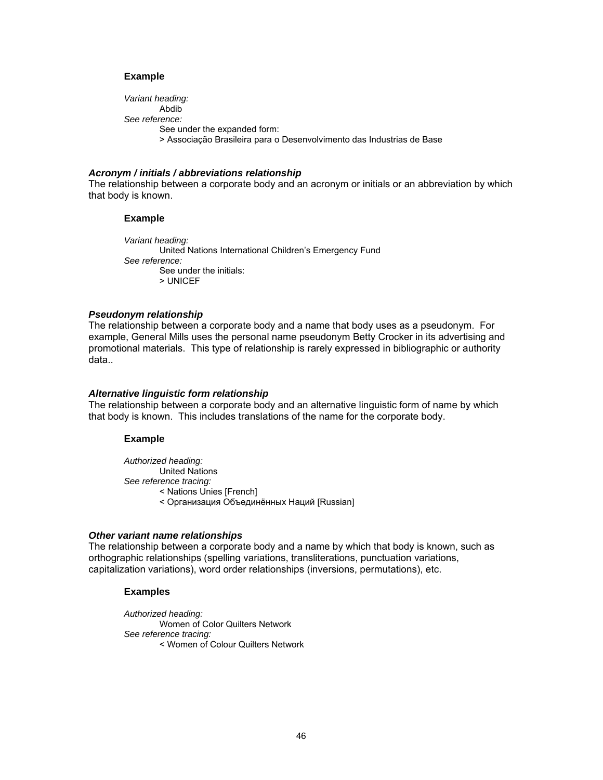*Variant heading:*  Abdib  *See reference:*  See under the expanded form: > Associação Brasileira para o Desenvolvimento das Industrias de Base

#### *Acronym / initials / abbreviations relationship*

The relationship between a corporate body and an acronym or initials or an abbreviation by which that body is known.

#### **Example**

*Variant heading:*  United Nations International Children's Emergency Fund  *See reference:*  See under the initials: > UNICEF

#### *Pseudonym relationship*

The relationship between a corporate body and a name that body uses as a pseudonym. For example, General Mills uses the personal name pseudonym Betty Crocker in its advertising and promotional materials. This type of relationship is rarely expressed in bibliographic or authority data..

#### *Alternative linguistic form relationship*

The relationship between a corporate body and an alternative linguistic form of name by which that body is known. This includes translations of the name for the corporate body.

#### **Example**

*Authorized heading:*  United Nations  *See reference tracing:*  < Nations Unies [French] < Организация Объединённых Наций [Russian]

#### *Other variant name relationships*

The relationship between a corporate body and a name by which that body is known, such as orthographic relationships (spelling variations, transliterations, punctuation variations, capitalization variations), word order relationships (inversions, permutations), etc.

#### **Examples**

*Authorized heading:*  Women of Color Quilters Network  *See reference tracing:*  < Women of Colour Quilters Network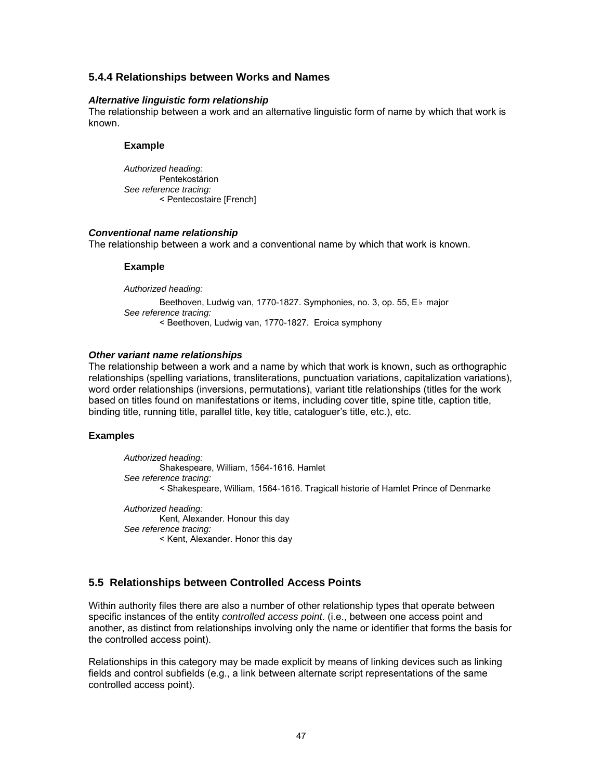### **5.4.4 Relationships between Works and Names**

#### *Alternative linguistic form relationship*

The relationship between a work and an alternative linguistic form of name by which that work is known.

#### **Example**

*Authorized heading:*  Pentekostárion  *See reference tracing:*  < Pentecostaire [French]

#### *Conventional name relationship*

The relationship between a work and a conventional name by which that work is known.

#### **Example**

*Authorized heading:* 

Beethoven, Ludwig van, 1770-1827. Symphonies, no. 3, op. 55, E♭ major  *See reference tracing:*  < Beethoven, Ludwig van, 1770-1827. Eroica symphony

#### *Other variant name relationships*

The relationship between a work and a name by which that work is known, such as orthographic relationships (spelling variations, transliterations, punctuation variations, capitalization variations), word order relationships (inversions, permutations), variant title relationships (titles for the work based on titles found on manifestations or items, including cover title, spine title, caption title, binding title, running title, parallel title, key title, cataloguer's title, etc.), etc.

### **Examples**

*Authorized heading:*  Shakespeare, William, 1564-1616. Hamlet  *See reference tracing:*  < Shakespeare, William, 1564-1616. Tragicall historie of Hamlet Prince of Denmarke

*Authorized heading:*  Kent, Alexander. Honour this day  *See reference tracing:*  < Kent, Alexander. Honor this day

### **5.5 Relationships between Controlled Access Points**

Within authority files there are also a number of other relationship types that operate between specific instances of the entity *controlled access point*. (i.e., between one access point and another, as distinct from relationships involving only the name or identifier that forms the basis for the controlled access point).

Relationships in this category may be made explicit by means of linking devices such as linking fields and control subfields (e.g., a link between alternate script representations of the same controlled access point).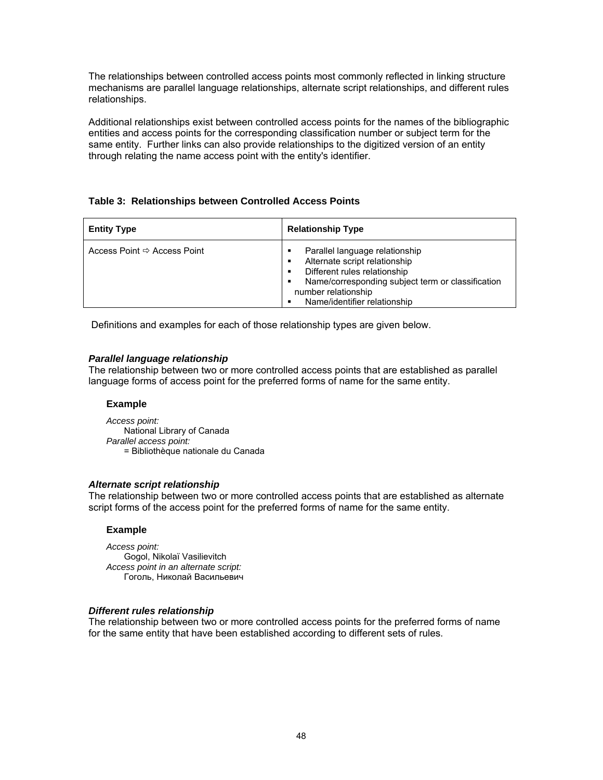The relationships between controlled access points most commonly reflected in linking structure mechanisms are parallel language relationships, alternate script relationships, and different rules relationships.

Additional relationships exist between controlled access points for the names of the bibliographic entities and access points for the corresponding classification number or subject term for the same entity. Further links can also provide relationships to the digitized version of an entity through relating the name access point with the entity's identifier.

### **Table 3: Relationships between Controlled Access Points**

| <b>Entity Type</b>                      | <b>Relationship Type</b>                                                                                                                                                                                                             |
|-----------------------------------------|--------------------------------------------------------------------------------------------------------------------------------------------------------------------------------------------------------------------------------------|
| Access Point $\Rightarrow$ Access Point | Parallel language relationship<br>п<br>Alternate script relationship<br>п<br>Different rules relationship<br>٠<br>Name/corresponding subject term or classification<br>٠<br>number relationship<br>Name/identifier relationship<br>٠ |

Definitions and examples for each of those relationship types are given below.

### *Parallel language relationship*

The relationship between two or more controlled access points that are established as parallel language forms of access point for the preferred forms of name for the same entity.

### **Example**

*Access point:*  National Library of Canada *Parallel access point:*  = Bibliothèque nationale du Canada

#### *Alternate script relationship*

The relationship between two or more controlled access points that are established as alternate script forms of the access point for the preferred forms of name for the same entity.

### **Example**

*Access point:*  Gogol, Nikolaï Vasilievitch *Access point in an alternate script:*  Гоголь, Николай Васильевич

### *Different rules relationship*

The relationship between two or more controlled access points for the preferred forms of name for the same entity that have been established according to different sets of rules.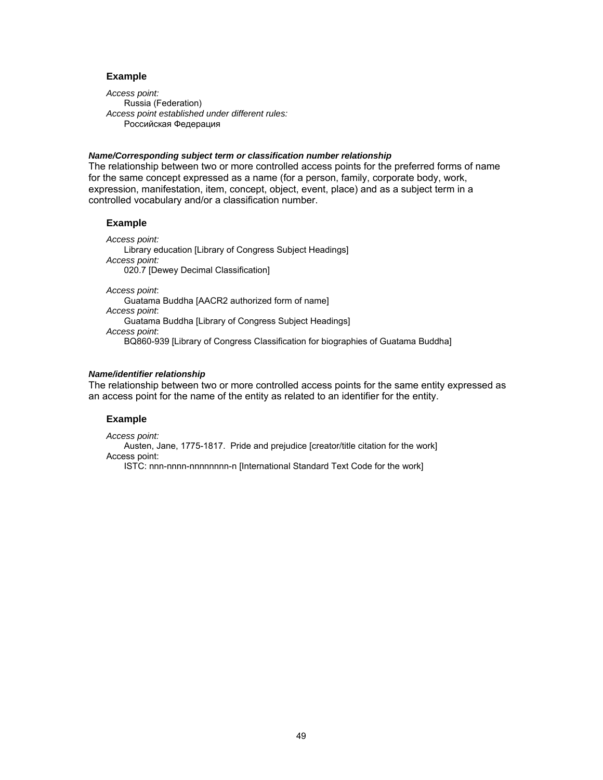*Access point:*  Russia (Federation) *Access point established under different rules:*  Российская Федерация

#### *Name/Corresponding subject term or classification number relationship*

The relationship between two or more controlled access points for the preferred forms of name for the same concept expressed as a name (for a person, family, corporate body, work, expression, manifestation, item, concept, object, event, place) and as a subject term in a controlled vocabulary and/or a classification number.

#### **Example**

*Access point:*  Library education [Library of Congress Subject Headings] *Access point:*  020.7 [Dewey Decimal Classification]

*Access point*: Guatama Buddha [AACR2 authorized form of name] *Access point*: Guatama Buddha [Library of Congress Subject Headings] *Access point*: BQ860-939 [Library of Congress Classification for biographies of Guatama Buddha]

#### *Name/identifier relationship*

The relationship between two or more controlled access points for the same entity expressed as an access point for the name of the entity as related to an identifier for the entity.

#### **Example**

*Access point:*  Austen, Jane, 1775-1817. Pride and prejudice [creator/title citation for the work] Access point: ISTC: nnn-nnnn-nnnnnnnn-n [International Standard Text Code for the work]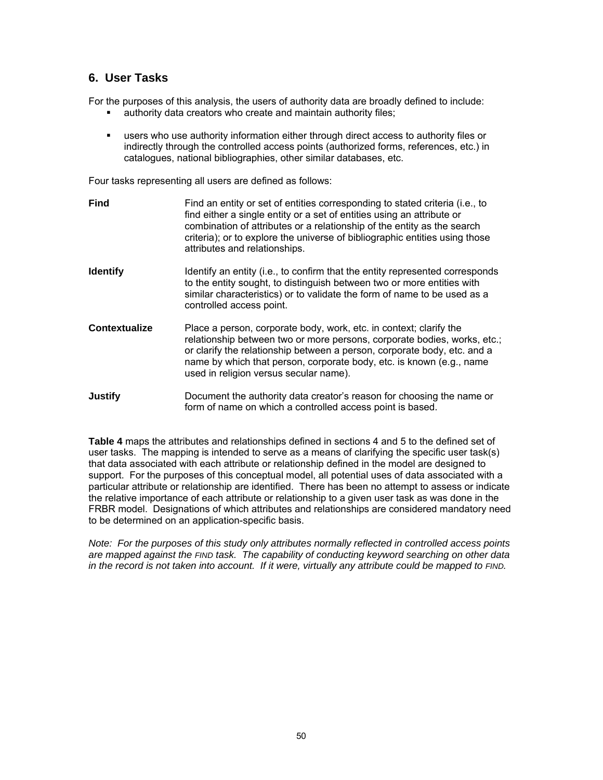## **6. User Tasks**

For the purposes of this analysis, the users of authority data are broadly defined to include:

- authority data creators who create and maintain authority files;
- users who use authority information either through direct access to authority files or indirectly through the controlled access points (authorized forms, references, etc.) in catalogues, national bibliographies, other similar databases, etc.

Four tasks representing all users are defined as follows:

| Find            | Find an entity or set of entities corresponding to stated criteria (i.e., to<br>find either a single entity or a set of entities using an attribute or<br>combination of attributes or a relationship of the entity as the search<br>criteria); or to explore the universe of bibliographic entities using those<br>attributes and relationships. |
|-----------------|---------------------------------------------------------------------------------------------------------------------------------------------------------------------------------------------------------------------------------------------------------------------------------------------------------------------------------------------------|
| <b>Identify</b> | Identify an entity (i.e., to confirm that the entity represented corresponds<br>to the entity sought, to distinguish between two or more entities with<br>similar characteristics) or to validate the form of name to be used as a<br>controlled access point.                                                                                    |
| Contextualize   | Place a person, corporate body, work, etc. in context; clarify the<br>relationship between two or more persons, corporate bodies, works, etc.;<br>or clarify the relationship between a person, corporate body, etc. and a<br>name by which that person, corporate body, etc. is known (e.g., name<br>used in religion versus secular name).      |
| Justify         | Document the authority data creator's reason for choosing the name or<br>form of name on which a controlled access point is based.                                                                                                                                                                                                                |

**Table 4** maps the attributes and relationships defined in sections 4 and 5 to the defined set of user tasks. The mapping is intended to serve as a means of clarifying the specific user task(s) that data associated with each attribute or relationship defined in the model are designed to support. For the purposes of this conceptual model, all potential uses of data associated with a particular attribute or relationship are identified. There has been no attempt to assess or indicate the relative importance of each attribute or relationship to a given user task as was done in the FRBR model. Designations of which attributes and relationships are considered mandatory need to be determined on an application-specific basis.

*Note: For the purposes of this study only attributes normally reflected in controlled access points are mapped against the FIND task. The capability of conducting keyword searching on other data in the record is not taken into account. If it were, virtually any attribute could be mapped to FIND.*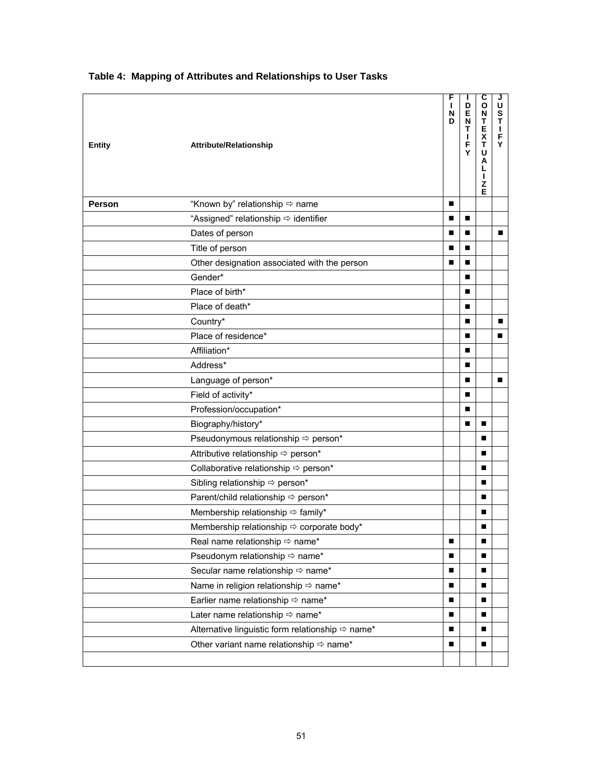| <b>Entity</b> | <b>Attribute/Relationship</b>                       | F<br>L<br>N<br>D | L<br>D<br>E<br>$\boldsymbol{\mathsf{N}}$<br>T<br>L<br>F<br>Y | С<br>$\mathbf{o}$<br>N<br>$\mathbf T$<br>$\frac{E}{X}$<br>$\mathbf T$<br>U<br>Α<br>L<br>L<br>Z<br>Е | J<br>U<br>S<br>T<br>$\mathbf{I}$<br>F<br>Y |
|---------------|-----------------------------------------------------|------------------|--------------------------------------------------------------|-----------------------------------------------------------------------------------------------------|--------------------------------------------|
| Person        | "Known by" relationship ⇒ name                      | п                |                                                              |                                                                                                     |                                            |
|               | "Assigned" relationship ⇒ identifier                | ■                | ■                                                            |                                                                                                     |                                            |
|               | Dates of person                                     | ■                | п                                                            |                                                                                                     | п                                          |
|               | Title of person                                     | ■                | п                                                            |                                                                                                     |                                            |
|               | Other designation associated with the person        | ■                | ■                                                            |                                                                                                     |                                            |
|               | Gender*                                             |                  | п                                                            |                                                                                                     |                                            |
|               | Place of birth*                                     |                  | п                                                            |                                                                                                     |                                            |
|               | Place of death*                                     |                  | п                                                            |                                                                                                     |                                            |
|               | Country*                                            |                  | п                                                            |                                                                                                     | п                                          |
|               | Place of residence*                                 |                  | п                                                            |                                                                                                     | П                                          |
|               | Affiliation*                                        |                  | ■                                                            |                                                                                                     |                                            |
|               | Address*                                            |                  | П                                                            |                                                                                                     |                                            |
|               | Language of person*                                 |                  | п                                                            |                                                                                                     | ■                                          |
|               | Field of activity*                                  |                  | п                                                            |                                                                                                     |                                            |
|               | Profession/occupation*                              |                  | п                                                            |                                                                                                     |                                            |
|               | Biography/history*                                  |                  | п                                                            | п                                                                                                   |                                            |
|               | Pseudonymous relationship ⇒ person*                 |                  |                                                              | п                                                                                                   |                                            |
|               | Attributive relationship ⇒ person*                  |                  |                                                              | п                                                                                                   |                                            |
|               | Collaborative relationship ⇒ person*                |                  |                                                              | п                                                                                                   |                                            |
|               | Sibling relationship ⇒ person*                      |                  |                                                              | п                                                                                                   |                                            |
|               | Parent/child relationship ⇒ person*                 |                  |                                                              | п                                                                                                   |                                            |
|               | Membership relationship $\Rightarrow$ family*       |                  |                                                              | п                                                                                                   |                                            |
|               | Membership relationship ⇒ corporate body*           |                  |                                                              | п                                                                                                   |                                            |
|               | Real name relationship ⇒ name*                      | П                |                                                              | п                                                                                                   |                                            |
|               | Pseudonym relationship ⇒ name*                      | ■                |                                                              | п                                                                                                   |                                            |
|               | Secular name relationship ⇒ name*                   | ■                |                                                              | ■                                                                                                   |                                            |
|               | Name in religion relationship ⇒ name*               | п                |                                                              | п                                                                                                   |                                            |
|               | Earlier name relationship ⇒ name*                   | ■                |                                                              | ■                                                                                                   |                                            |
|               | Later name relationship $\Rightarrow$ name*         | ■                |                                                              | п                                                                                                   |                                            |
|               | Alternative linguistic form relationship ⇒ name*    | ■                |                                                              | ■                                                                                                   |                                            |
|               | Other variant name relationship $\Rightarrow$ name* | п                |                                                              | п                                                                                                   |                                            |
|               |                                                     |                  |                                                              |                                                                                                     |                                            |

# **Table 4: Mapping of Attributes and Relationships to User Tasks**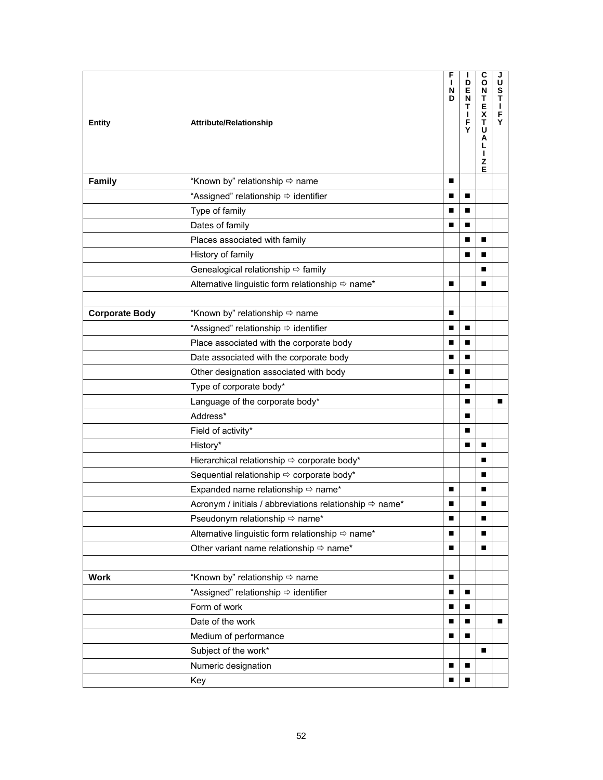| <b>Entity</b>         | <b>Attribute/Relationship</b>                                       | F<br>т<br>N<br>D | L<br>D<br>E<br>$\boldsymbol{\mathsf{N}}$<br>т<br>J.<br>F<br>Y | c<br>$\mathbf{o}$<br>$\boldsymbol{\mathsf{N}}$<br>T<br>E<br>X<br>Ŧ<br>U<br>Α<br>L<br>L<br>z<br>Е | J<br>U<br><b>S</b><br>Ť<br>$\mathbf{I}$<br>F<br>Y |
|-----------------------|---------------------------------------------------------------------|------------------|---------------------------------------------------------------|--------------------------------------------------------------------------------------------------|---------------------------------------------------|
| Family                | "Known by" relationship $\Rightarrow$ name                          | п                |                                                               |                                                                                                  |                                                   |
|                       | "Assigned" relationship ⇒ identifier                                | п                | ■                                                             |                                                                                                  |                                                   |
|                       | Type of family                                                      | п                | ■                                                             |                                                                                                  |                                                   |
|                       | Dates of family                                                     | п                | ■                                                             |                                                                                                  |                                                   |
|                       | Places associated with family                                       |                  | П                                                             | п                                                                                                |                                                   |
|                       | History of family                                                   |                  | П                                                             | ■                                                                                                |                                                   |
|                       | Genealogical relationship ⇒ family                                  |                  |                                                               | п                                                                                                |                                                   |
|                       | Alternative linguistic form relationship $\Rightarrow$ name*        | ■                |                                                               | п                                                                                                |                                                   |
|                       |                                                                     |                  |                                                               |                                                                                                  |                                                   |
| <b>Corporate Body</b> | "Known by" relationship $\Rightarrow$ name                          | п                |                                                               |                                                                                                  |                                                   |
|                       | "Assigned" relationship ⇒ identifier                                | п                | ■                                                             |                                                                                                  |                                                   |
|                       | Place associated with the corporate body                            | п                | П                                                             |                                                                                                  |                                                   |
|                       | Date associated with the corporate body                             | п                | П                                                             |                                                                                                  |                                                   |
|                       | Other designation associated with body                              | п                | П                                                             |                                                                                                  |                                                   |
|                       | Type of corporate body*                                             |                  | П                                                             |                                                                                                  |                                                   |
|                       | Language of the corporate body*                                     |                  | ■                                                             |                                                                                                  | ■                                                 |
|                       | Address*                                                            |                  | ■                                                             |                                                                                                  |                                                   |
|                       | Field of activity*                                                  |                  | ■                                                             |                                                                                                  |                                                   |
|                       | History*                                                            |                  | П                                                             | п                                                                                                |                                                   |
|                       | Hierarchical relationship < corporate body*                         |                  |                                                               | п                                                                                                |                                                   |
|                       | Sequential relationship ⇒ corporate body*                           |                  |                                                               | п                                                                                                |                                                   |
|                       | Expanded name relationship $\Rightarrow$ name*                      | п                |                                                               | п                                                                                                |                                                   |
|                       | Acronym / initials / abbreviations relationship $\Rightarrow$ name* | ш                |                                                               | ■                                                                                                |                                                   |
|                       | Pseudonym relationship ⇒ name*                                      | п                |                                                               | ■                                                                                                |                                                   |
|                       | Alternative linguistic form relationship ⇒ name*                    | ш                |                                                               | ■                                                                                                |                                                   |
|                       | Other variant name relationship $\Rightarrow$ name*                 | ■                |                                                               | ■                                                                                                |                                                   |
| <b>Work</b>           | "Known by" relationship $\Rightarrow$ name                          |                  |                                                               |                                                                                                  |                                                   |
|                       | "Assigned" relationship ⇒ identifier                                | п                | ■                                                             |                                                                                                  |                                                   |
|                       | Form of work                                                        | п                | п                                                             |                                                                                                  |                                                   |
|                       | Date of the work                                                    | п                | П                                                             |                                                                                                  | $\blacksquare$                                    |
|                       | Medium of performance                                               | ■                | ■                                                             |                                                                                                  |                                                   |
|                       | Subject of the work*                                                |                  |                                                               | ■                                                                                                |                                                   |
|                       | Numeric designation                                                 | п                | П                                                             |                                                                                                  |                                                   |
|                       | Key                                                                 |                  | ■                                                             |                                                                                                  |                                                   |
|                       |                                                                     |                  |                                                               |                                                                                                  |                                                   |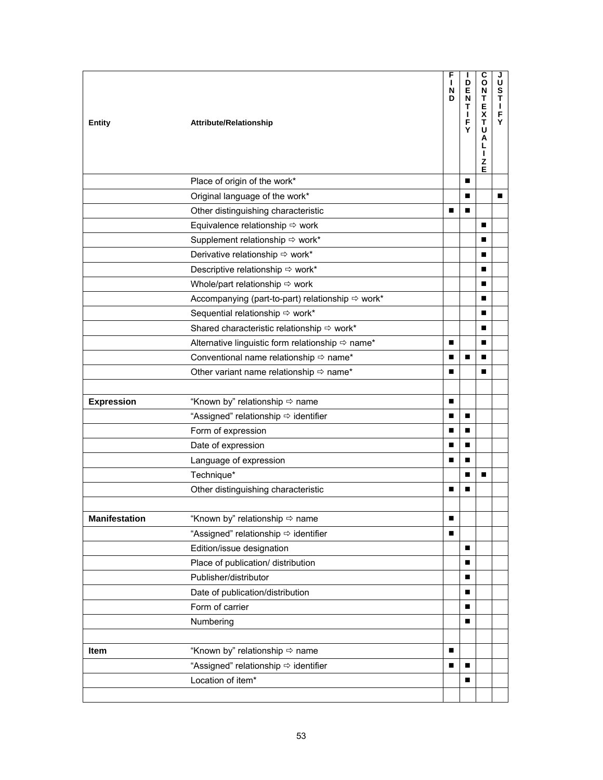| <b>Entity</b>        | Attribute/Relationship                                       | F<br>L<br>N<br>D | J.<br>D<br>$\overline{R}$<br>$\mathbf T$<br>J.<br>F<br>Y | c<br>$\mathbf{o}$<br>N<br>T<br>E<br>$\bar{x}$<br>Т<br>U<br>A<br>L<br>L<br>z<br>Е | J<br>U<br><b>S</b><br>$\mathbf{T}$<br>$\mathbf{I}$<br>F<br>Y |
|----------------------|--------------------------------------------------------------|------------------|----------------------------------------------------------|----------------------------------------------------------------------------------|--------------------------------------------------------------|
|                      | Place of origin of the work*                                 |                  | п                                                        |                                                                                  |                                                              |
|                      | Original language of the work*                               |                  | п                                                        |                                                                                  | п                                                            |
|                      | Other distinguishing characteristic                          | п                | П                                                        |                                                                                  |                                                              |
|                      | Equivalence relationship $\Leftrightarrow$ work              |                  |                                                          | п                                                                                |                                                              |
|                      | Supplement relationship ⇒ work*                              |                  |                                                          | П                                                                                |                                                              |
|                      | Derivative relationship ⇒ work*                              |                  |                                                          | п                                                                                |                                                              |
|                      | Descriptive relationship ⇒ work*                             |                  |                                                          | п                                                                                |                                                              |
|                      | Whole/part relationship $\Leftrightarrow$ work               |                  |                                                          | п                                                                                |                                                              |
|                      | Accompanying (part-to-part) relationship ⇒ work*             |                  |                                                          | п                                                                                |                                                              |
|                      | Sequential relationship ⇒ work*                              |                  |                                                          | п                                                                                |                                                              |
|                      | Shared characteristic relationship $\Rightarrow$ work*       |                  |                                                          | п                                                                                |                                                              |
|                      | Alternative linguistic form relationship $\Rightarrow$ name* | п                |                                                          | п                                                                                |                                                              |
|                      | Conventional name relationship ⇒ name*                       | п                | п                                                        | п                                                                                |                                                              |
|                      | Other variant name relationship $\Rightarrow$ name*          | п                |                                                          | п                                                                                |                                                              |
|                      |                                                              |                  |                                                          |                                                                                  |                                                              |
| <b>Expression</b>    | "Known by" relationship $\Rightarrow$ name                   | п                |                                                          |                                                                                  |                                                              |
|                      | "Assigned" relationship ⇒ identifier                         | п                | п                                                        |                                                                                  |                                                              |
|                      | Form of expression                                           | п                | п                                                        |                                                                                  |                                                              |
|                      | Date of expression                                           | п                | п                                                        |                                                                                  |                                                              |
|                      | Language of expression                                       | п                | п                                                        |                                                                                  |                                                              |
|                      | Technique*                                                   |                  | п                                                        | п                                                                                |                                                              |
|                      | Other distinguishing characteristic                          | п                | п                                                        |                                                                                  |                                                              |
|                      |                                                              |                  |                                                          |                                                                                  |                                                              |
| <b>Manifestation</b> | "Known by" relationship ⇒ name                               | ■                |                                                          |                                                                                  |                                                              |
|                      | "Assigned" relationship ⇒ identifier                         | п                |                                                          |                                                                                  |                                                              |
|                      | Edition/issue designation                                    |                  | п                                                        |                                                                                  |                                                              |
|                      | Place of publication/ distribution                           |                  | п                                                        |                                                                                  |                                                              |
|                      | Publisher/distributor                                        |                  | п                                                        |                                                                                  |                                                              |
|                      | Date of publication/distribution                             |                  | п                                                        |                                                                                  |                                                              |
|                      | Form of carrier                                              |                  | п                                                        |                                                                                  |                                                              |
|                      | Numbering                                                    |                  | п                                                        |                                                                                  |                                                              |
|                      |                                                              |                  |                                                          |                                                                                  |                                                              |
| Item                 | "Known by" relationship ⇒ name                               | п                |                                                          |                                                                                  |                                                              |
|                      | "Assigned" relationship ⇒ identifier                         | п                | П                                                        |                                                                                  |                                                              |
|                      | Location of item*                                            |                  | п                                                        |                                                                                  |                                                              |
|                      |                                                              |                  |                                                          |                                                                                  |                                                              |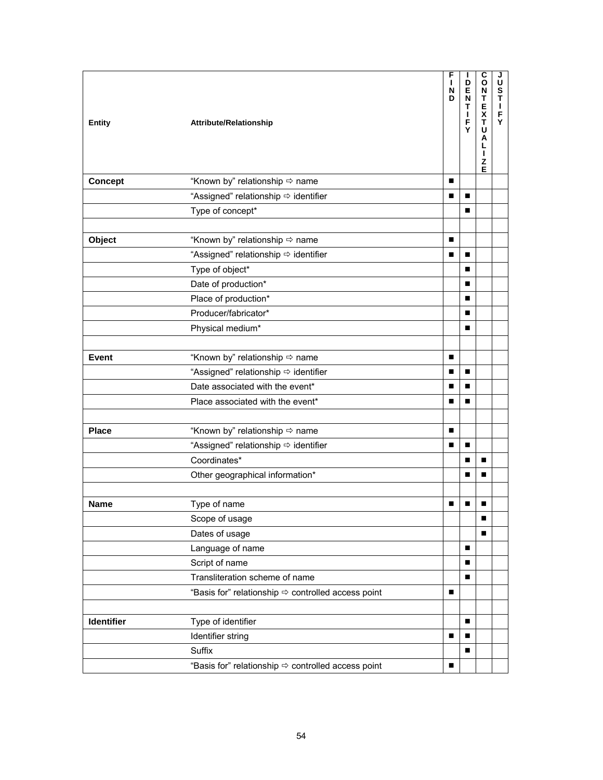| <b>Entity</b>  | Attribute/Relationship                                             | F<br>I.<br>N<br>D | D<br>$\overline{R}$<br>$\mathbf T$<br>L<br>F<br>Y | C<br>$\mathbf{o}$<br>$\overline{N}$<br>T<br>Е<br>$\frac{\overline{x}}{T}$<br>U<br>Α<br>L<br>L<br>z<br>Е | J<br>U<br>$rac{5}{T}$<br>$\mathbf{I}$<br>$\frac{F}{Y}$ |
|----------------|--------------------------------------------------------------------|-------------------|---------------------------------------------------|---------------------------------------------------------------------------------------------------------|--------------------------------------------------------|
| <b>Concept</b> | "Known by" relationship $\Rightarrow$ name                         |                   |                                                   |                                                                                                         |                                                        |
|                | "Assigned" relationship ⇒ identifier                               | $\blacksquare$    | п                                                 |                                                                                                         |                                                        |
|                | Type of concept*                                                   |                   | п                                                 |                                                                                                         |                                                        |
|                |                                                                    |                   |                                                   |                                                                                                         |                                                        |
| Object         | "Known by" relationship ⇒ name                                     | п                 |                                                   |                                                                                                         |                                                        |
|                | "Assigned" relationship ⇒ identifier                               | ■                 | п                                                 |                                                                                                         |                                                        |
|                | Type of object*                                                    |                   | п                                                 |                                                                                                         |                                                        |
|                | Date of production*                                                |                   | п                                                 |                                                                                                         |                                                        |
|                | Place of production*                                               |                   | п                                                 |                                                                                                         |                                                        |
|                | Producer/fabricator*                                               |                   | п                                                 |                                                                                                         |                                                        |
|                | Physical medium*                                                   |                   | п                                                 |                                                                                                         |                                                        |
|                |                                                                    |                   |                                                   |                                                                                                         |                                                        |
| <b>Event</b>   | "Known by" relationship ⇒ name                                     | ш                 |                                                   |                                                                                                         |                                                        |
|                | "Assigned" relationship ⇒ identifier                               | ■                 | п                                                 |                                                                                                         |                                                        |
|                | Date associated with the event*                                    | п                 | п                                                 |                                                                                                         |                                                        |
|                | Place associated with the event*                                   | п.                | п                                                 |                                                                                                         |                                                        |
|                |                                                                    |                   |                                                   |                                                                                                         |                                                        |
| <b>Place</b>   | "Known by" relationship ⇒ name                                     |                   |                                                   |                                                                                                         |                                                        |
|                | "Assigned" relationship $\Rightarrow$ identifier                   |                   | п                                                 |                                                                                                         |                                                        |
|                | Coordinates*                                                       |                   | П                                                 | ■                                                                                                       |                                                        |
|                | Other geographical information*                                    |                   | П                                                 | ■                                                                                                       |                                                        |
|                |                                                                    |                   |                                                   |                                                                                                         |                                                        |
| <b>Name</b>    | Type of name                                                       | п                 | П                                                 | п                                                                                                       |                                                        |
|                | Scope of usage                                                     |                   |                                                   | ■                                                                                                       |                                                        |
|                | Dates of usage                                                     |                   |                                                   | ■                                                                                                       |                                                        |
|                | Language of name                                                   |                   | п                                                 |                                                                                                         |                                                        |
|                | Script of name                                                     |                   | п                                                 |                                                                                                         |                                                        |
|                | Transliteration scheme of name                                     |                   | п                                                 |                                                                                                         |                                                        |
|                | "Basis for" relationship $\Leftrightarrow$ controlled access point | ■                 |                                                   |                                                                                                         |                                                        |
|                |                                                                    |                   |                                                   |                                                                                                         |                                                        |
| Identifier     | Type of identifier                                                 |                   | $\blacksquare$                                    |                                                                                                         |                                                        |
|                | Identifier string                                                  | п                 | п                                                 |                                                                                                         |                                                        |
|                | Suffix                                                             |                   | п                                                 |                                                                                                         |                                                        |
|                | "Basis for" relationship $\Rightarrow$ controlled access point     | п                 |                                                   |                                                                                                         |                                                        |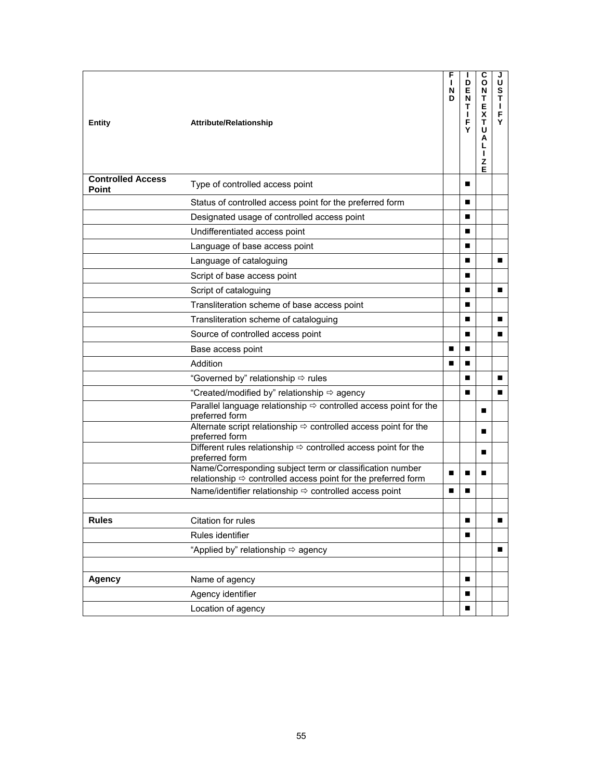| <b>Entity</b>                     | Attribute/Relationship                                                                                                                | F<br>I.<br>N<br>D | D<br>$\bar{E}$<br>N<br>т<br>L<br>F<br>Y | c<br>O<br>N<br>Ŧ<br>E<br>$\pmb{\mathsf{X}}$<br>Ŧ<br>U<br>Α<br>L<br>L<br>z<br>Е | U<br>S<br>$\tilde{\mathbf{r}}$<br>$\mathbf{I}$<br>F<br>Ÿ |
|-----------------------------------|---------------------------------------------------------------------------------------------------------------------------------------|-------------------|-----------------------------------------|--------------------------------------------------------------------------------|----------------------------------------------------------|
| <b>Controlled Access</b><br>Point | Type of controlled access point                                                                                                       |                   | п                                       |                                                                                |                                                          |
|                                   | Status of controlled access point for the preferred form                                                                              |                   | п                                       |                                                                                |                                                          |
|                                   | Designated usage of controlled access point                                                                                           |                   | ■                                       |                                                                                |                                                          |
|                                   | Undifferentiated access point                                                                                                         |                   | п                                       |                                                                                |                                                          |
|                                   | Language of base access point                                                                                                         |                   | п                                       |                                                                                |                                                          |
|                                   | Language of cataloguing                                                                                                               |                   | п                                       |                                                                                | п                                                        |
|                                   | Script of base access point                                                                                                           |                   | п                                       |                                                                                |                                                          |
|                                   | Script of cataloguing                                                                                                                 |                   | п                                       |                                                                                |                                                          |
|                                   | Transliteration scheme of base access point                                                                                           |                   | п                                       |                                                                                |                                                          |
|                                   | Transliteration scheme of cataloguing                                                                                                 |                   | п                                       |                                                                                | ■                                                        |
|                                   | Source of controlled access point                                                                                                     |                   | п                                       |                                                                                | П                                                        |
|                                   | Base access point                                                                                                                     | ■                 | п                                       |                                                                                |                                                          |
|                                   | Addition                                                                                                                              | п                 | п                                       |                                                                                |                                                          |
|                                   | "Governed by" relationship ⇒ rules                                                                                                    |                   | п                                       |                                                                                | п                                                        |
|                                   | "Created/modified by" relationship ⇒ agency                                                                                           |                   | п                                       |                                                                                | П                                                        |
|                                   | Parallel language relationship $\Rightarrow$ controlled access point for the<br>preferred form                                        |                   |                                         | п                                                                              |                                                          |
|                                   | Alternate script relationship $\Leftrightarrow$ controlled access point for the<br>preferred form                                     |                   |                                         | п                                                                              |                                                          |
|                                   | Different rules relationship $\Rightarrow$ controlled access point for the<br>preferred form                                          |                   |                                         | п                                                                              |                                                          |
|                                   | Name/Corresponding subject term or classification number<br>relationship $\Rightarrow$ controlled access point for the preferred form | ■                 | ш                                       | ш                                                                              |                                                          |
|                                   | Name/identifier relationship $\Leftrightarrow$ controlled access point                                                                |                   | п                                       |                                                                                |                                                          |
| <b>Rules</b>                      | Citation for rules                                                                                                                    |                   | ■                                       |                                                                                | $\blacksquare$                                           |
|                                   | Rules identifier                                                                                                                      |                   | п                                       |                                                                                |                                                          |
|                                   | "Applied by" relationship $\Rightarrow$ agency                                                                                        |                   |                                         |                                                                                | ■                                                        |
|                                   |                                                                                                                                       |                   |                                         |                                                                                |                                                          |
| <b>Agency</b>                     | Name of agency                                                                                                                        |                   | п                                       |                                                                                |                                                          |
|                                   | Agency identifier                                                                                                                     |                   | п                                       |                                                                                |                                                          |
|                                   | Location of agency                                                                                                                    |                   | п                                       |                                                                                |                                                          |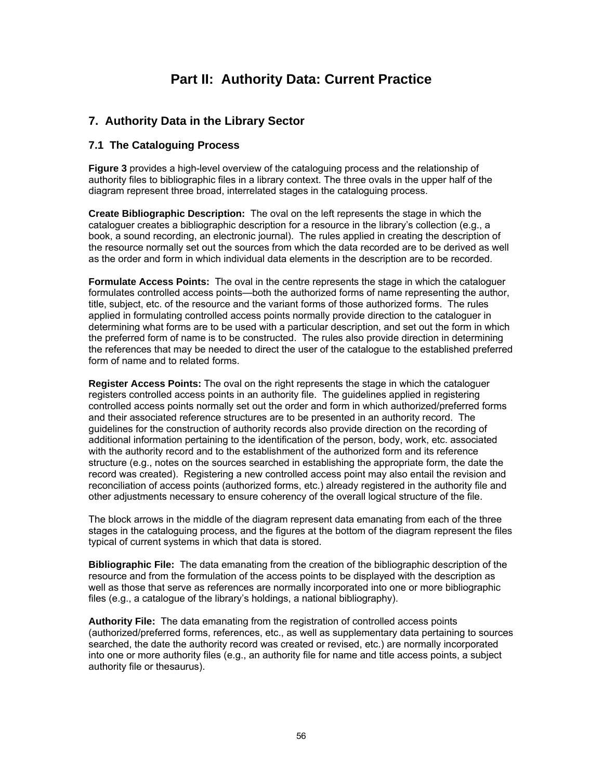# **Part II: Authority Data: Current Practice**

# **7. Authority Data in the Library Sector**

### **7.1 The Cataloguing Process**

**Figure 3** provides a high-level overview of the cataloguing process and the relationship of authority files to bibliographic files in a library context. The three ovals in the upper half of the diagram represent three broad, interrelated stages in the cataloguing process.

**Create Bibliographic Description:** The oval on the left represents the stage in which the cataloguer creates a bibliographic description for a resource in the library's collection (e.g., a book, a sound recording, an electronic journal). The rules applied in creating the description of the resource normally set out the sources from which the data recorded are to be derived as well as the order and form in which individual data elements in the description are to be recorded.

**Formulate Access Points:** The oval in the centre represents the stage in which the cataloguer formulates controlled access points—both the authorized forms of name representing the author, title, subject, etc. of the resource and the variant forms of those authorized forms. The rules applied in formulating controlled access points normally provide direction to the cataloguer in determining what forms are to be used with a particular description, and set out the form in which the preferred form of name is to be constructed. The rules also provide direction in determining the references that may be needed to direct the user of the catalogue to the established preferred form of name and to related forms.

**Register Access Points:** The oval on the right represents the stage in which the cataloguer registers controlled access points in an authority file. The guidelines applied in registering controlled access points normally set out the order and form in which authorized/preferred forms and their associated reference structures are to be presented in an authority record. The guidelines for the construction of authority records also provide direction on the recording of additional information pertaining to the identification of the person, body, work, etc. associated with the authority record and to the establishment of the authorized form and its reference structure (e.g., notes on the sources searched in establishing the appropriate form, the date the record was created). Registering a new controlled access point may also entail the revision and reconciliation of access points (authorized forms, etc.) already registered in the authority file and other adjustments necessary to ensure coherency of the overall logical structure of the file.

The block arrows in the middle of the diagram represent data emanating from each of the three stages in the cataloguing process, and the figures at the bottom of the diagram represent the files typical of current systems in which that data is stored.

**Bibliographic File:** The data emanating from the creation of the bibliographic description of the resource and from the formulation of the access points to be displayed with the description as well as those that serve as references are normally incorporated into one or more bibliographic files (e.g., a catalogue of the library's holdings, a national bibliography).

**Authority File:** The data emanating from the registration of controlled access points (authorized/preferred forms, references, etc., as well as supplementary data pertaining to sources searched, the date the authority record was created or revised, etc.) are normally incorporated into one or more authority files (e.g., an authority file for name and title access points, a subject authority file or thesaurus).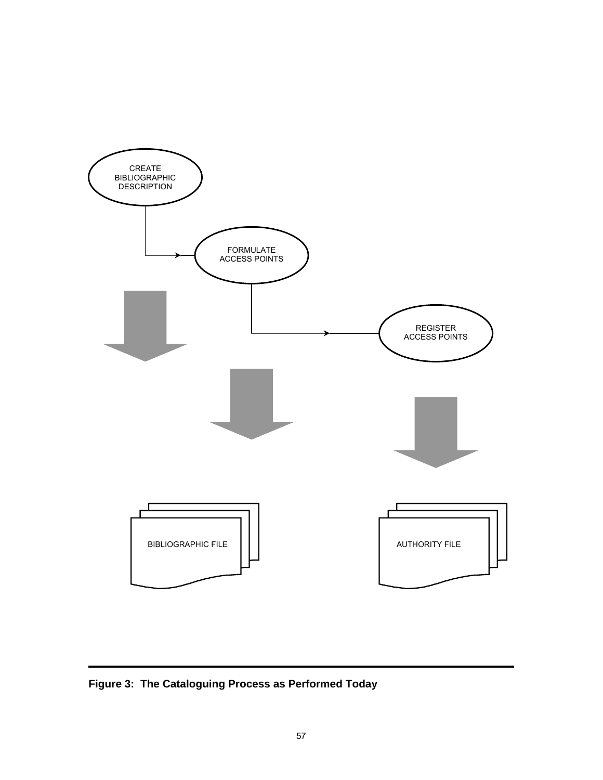

**Figure 3: The Cataloguing Process as Performed Today**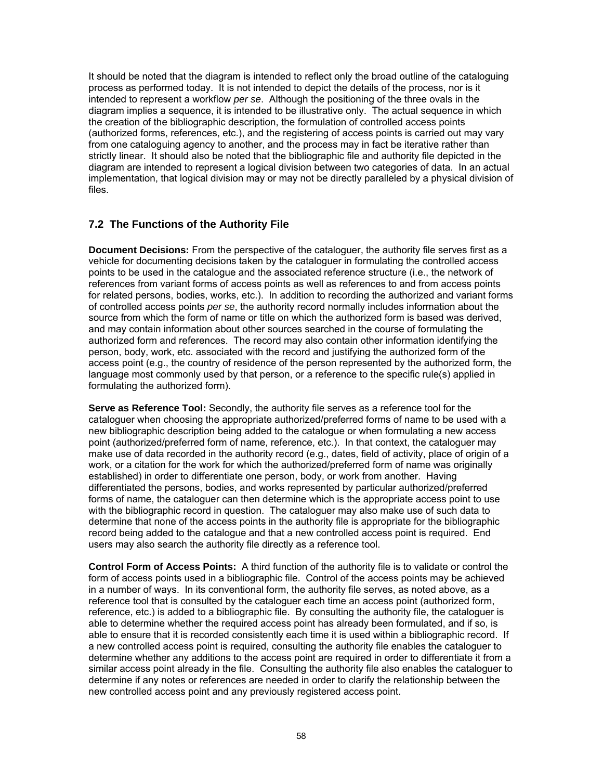It should be noted that the diagram is intended to reflect only the broad outline of the cataloguing process as performed today. It is not intended to depict the details of the process, nor is it intended to represent a workflow *per se*. Although the positioning of the three ovals in the diagram implies a sequence, it is intended to be illustrative only. The actual sequence in which the creation of the bibliographic description, the formulation of controlled access points (authorized forms, references, etc.), and the registering of access points is carried out may vary from one cataloguing agency to another, and the process may in fact be iterative rather than strictly linear. It should also be noted that the bibliographic file and authority file depicted in the diagram are intended to represent a logical division between two categories of data. In an actual implementation, that logical division may or may not be directly paralleled by a physical division of files.

### **7.2 The Functions of the Authority File**

**Document Decisions:** From the perspective of the cataloguer, the authority file serves first as a vehicle for documenting decisions taken by the cataloguer in formulating the controlled access points to be used in the catalogue and the associated reference structure (i.e., the network of references from variant forms of access points as well as references to and from access points for related persons, bodies, works, etc.). In addition to recording the authorized and variant forms of controlled access points *per se*, the authority record normally includes information about the source from which the form of name or title on which the authorized form is based was derived, and may contain information about other sources searched in the course of formulating the authorized form and references. The record may also contain other information identifying the person, body, work, etc. associated with the record and justifying the authorized form of the access point (e.g., the country of residence of the person represented by the authorized form, the language most commonly used by that person, or a reference to the specific rule(s) applied in formulating the authorized form).

**Serve as Reference Tool:** Secondly, the authority file serves as a reference tool for the cataloguer when choosing the appropriate authorized/preferred forms of name to be used with a new bibliographic description being added to the catalogue or when formulating a new access point (authorized/preferred form of name, reference, etc.). In that context, the cataloguer may make use of data recorded in the authority record (e.g., dates, field of activity, place of origin of a work, or a citation for the work for which the authorized/preferred form of name was originally established) in order to differentiate one person, body, or work from another. Having differentiated the persons, bodies, and works represented by particular authorized/preferred forms of name, the cataloguer can then determine which is the appropriate access point to use with the bibliographic record in question. The cataloguer may also make use of such data to determine that none of the access points in the authority file is appropriate for the bibliographic record being added to the catalogue and that a new controlled access point is required. End users may also search the authority file directly as a reference tool.

**Control Form of Access Points:** A third function of the authority file is to validate or control the form of access points used in a bibliographic file. Control of the access points may be achieved in a number of ways. In its conventional form, the authority file serves, as noted above, as a reference tool that is consulted by the cataloguer each time an access point (authorized form, reference, etc.) is added to a bibliographic file. By consulting the authority file, the cataloguer is able to determine whether the required access point has already been formulated, and if so, is able to ensure that it is recorded consistently each time it is used within a bibliographic record. If a new controlled access point is required, consulting the authority file enables the cataloguer to determine whether any additions to the access point are required in order to differentiate it from a similar access point already in the file. Consulting the authority file also enables the cataloguer to determine if any notes or references are needed in order to clarify the relationship between the new controlled access point and any previously registered access point.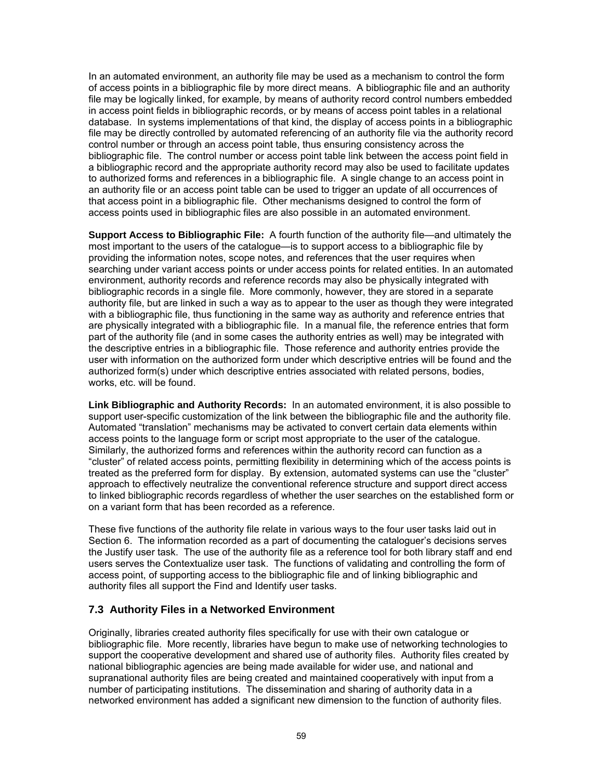In an automated environment, an authority file may be used as a mechanism to control the form of access points in a bibliographic file by more direct means. A bibliographic file and an authority file may be logically linked, for example, by means of authority record control numbers embedded in access point fields in bibliographic records, or by means of access point tables in a relational database. In systems implementations of that kind, the display of access points in a bibliographic file may be directly controlled by automated referencing of an authority file via the authority record control number or through an access point table, thus ensuring consistency across the bibliographic file. The control number or access point table link between the access point field in a bibliographic record and the appropriate authority record may also be used to facilitate updates to authorized forms and references in a bibliographic file. A single change to an access point in an authority file or an access point table can be used to trigger an update of all occurrences of that access point in a bibliographic file. Other mechanisms designed to control the form of access points used in bibliographic files are also possible in an automated environment.

**Support Access to Bibliographic File:** A fourth function of the authority file—and ultimately the most important to the users of the catalogue—is to support access to a bibliographic file by providing the information notes, scope notes, and references that the user requires when searching under variant access points or under access points for related entities. In an automated environment, authority records and reference records may also be physically integrated with bibliographic records in a single file. More commonly, however, they are stored in a separate authority file, but are linked in such a way as to appear to the user as though they were integrated with a bibliographic file, thus functioning in the same way as authority and reference entries that are physically integrated with a bibliographic file. In a manual file, the reference entries that form part of the authority file (and in some cases the authority entries as well) may be integrated with the descriptive entries in a bibliographic file. Those reference and authority entries provide the user with information on the authorized form under which descriptive entries will be found and the authorized form(s) under which descriptive entries associated with related persons, bodies, works, etc. will be found.

**Link Bibliographic and Authority Records:** In an automated environment, it is also possible to support user-specific customization of the link between the bibliographic file and the authority file. Automated "translation" mechanisms may be activated to convert certain data elements within access points to the language form or script most appropriate to the user of the catalogue. Similarly, the authorized forms and references within the authority record can function as a "cluster" of related access points, permitting flexibility in determining which of the access points is treated as the preferred form for display. By extension, automated systems can use the "cluster" approach to effectively neutralize the conventional reference structure and support direct access to linked bibliographic records regardless of whether the user searches on the established form or on a variant form that has been recorded as a reference.

These five functions of the authority file relate in various ways to the four user tasks laid out in Section 6. The information recorded as a part of documenting the cataloguer's decisions serves the Justify user task. The use of the authority file as a reference tool for both library staff and end users serves the Contextualize user task. The functions of validating and controlling the form of access point, of supporting access to the bibliographic file and of linking bibliographic and authority files all support the Find and Identify user tasks.

### **7.3 Authority Files in a Networked Environment**

Originally, libraries created authority files specifically for use with their own catalogue or bibliographic file. More recently, libraries have begun to make use of networking technologies to support the cooperative development and shared use of authority files. Authority files created by national bibliographic agencies are being made available for wider use, and national and supranational authority files are being created and maintained cooperatively with input from a number of participating institutions. The dissemination and sharing of authority data in a networked environment has added a significant new dimension to the function of authority files.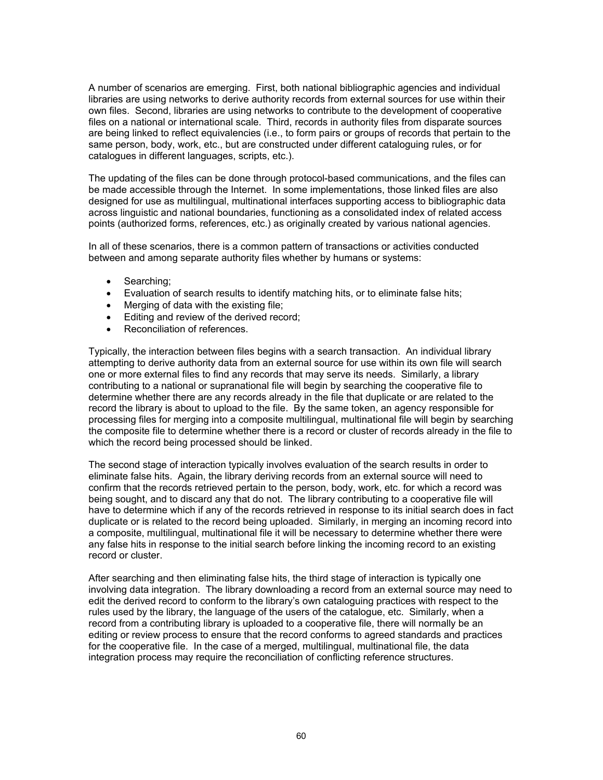A number of scenarios are emerging. First, both national bibliographic agencies and individual libraries are using networks to derive authority records from external sources for use within their own files. Second, libraries are using networks to contribute to the development of cooperative files on a national or international scale. Third, records in authority files from disparate sources are being linked to reflect equivalencies (i.e., to form pairs or groups of records that pertain to the same person, body, work, etc., but are constructed under different cataloguing rules, or for catalogues in different languages, scripts, etc.).

The updating of the files can be done through protocol-based communications, and the files can be made accessible through the Internet. In some implementations, those linked files are also designed for use as multilingual, multinational interfaces supporting access to bibliographic data across linguistic and national boundaries, functioning as a consolidated index of related access points (authorized forms, references, etc.) as originally created by various national agencies.

In all of these scenarios, there is a common pattern of transactions or activities conducted between and among separate authority files whether by humans or systems:

- Searching;
- Evaluation of search results to identify matching hits, or to eliminate false hits;
- Merging of data with the existing file;
- Editing and review of the derived record;
- Reconciliation of references.

Typically, the interaction between files begins with a search transaction. An individual library attempting to derive authority data from an external source for use within its own file will search one or more external files to find any records that may serve its needs. Similarly, a library contributing to a national or supranational file will begin by searching the cooperative file to determine whether there are any records already in the file that duplicate or are related to the record the library is about to upload to the file. By the same token, an agency responsible for processing files for merging into a composite multilingual, multinational file will begin by searching the composite file to determine whether there is a record or cluster of records already in the file to which the record being processed should be linked.

The second stage of interaction typically involves evaluation of the search results in order to eliminate false hits. Again, the library deriving records from an external source will need to confirm that the records retrieved pertain to the person, body, work, etc. for which a record was being sought, and to discard any that do not. The library contributing to a cooperative file will have to determine which if any of the records retrieved in response to its initial search does in fact duplicate or is related to the record being uploaded. Similarly, in merging an incoming record into a composite, multilingual, multinational file it will be necessary to determine whether there were any false hits in response to the initial search before linking the incoming record to an existing record or cluster.

After searching and then eliminating false hits, the third stage of interaction is typically one involving data integration. The library downloading a record from an external source may need to edit the derived record to conform to the library's own cataloguing practices with respect to the rules used by the library, the language of the users of the catalogue, etc. Similarly, when a record from a contributing library is uploaded to a cooperative file, there will normally be an editing or review process to ensure that the record conforms to agreed standards and practices for the cooperative file. In the case of a merged, multilingual, multinational file, the data integration process may require the reconciliation of conflicting reference structures.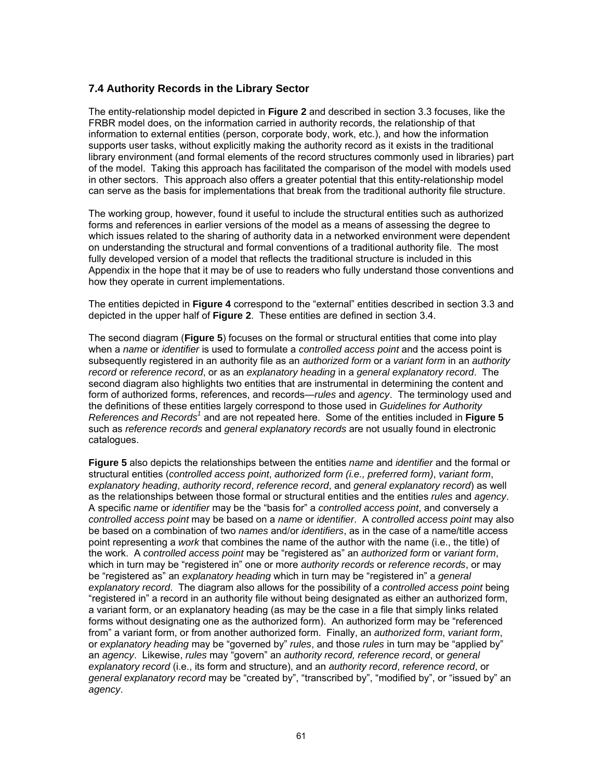### **7.4 Authority Records in the Library Sector**

The entity-relationship model depicted in **Figure 2** and described in section 3.3 focuses, like the FRBR model does, on the information carried in authority records, the relationship of that information to external entities (person, corporate body, work, etc.), and how the information supports user tasks, without explicitly making the authority record as it exists in the traditional library environment (and formal elements of the record structures commonly used in libraries) part of the model. Taking this approach has facilitated the comparison of the model with models used in other sectors. This approach also offers a greater potential that this entity-relationship model can serve as the basis for implementations that break from the traditional authority file structure.

The working group, however, found it useful to include the structural entities such as authorized forms and references in earlier versions of the model as a means of assessing the degree to which issues related to the sharing of authority data in a networked environment were dependent on understanding the structural and formal conventions of a traditional authority file. The most fully developed version of a model that reflects the traditional structure is included in this Appendix in the hope that it may be of use to readers who fully understand those conventions and how they operate in current implementations.

The entities depicted in **Figure 4** correspond to the "external" entities described in section 3.3 and depicted in the upper half of **Figure 2**. These entities are defined in section 3.4.

The second diagram (**Figure 5**) focuses on the formal or structural entities that come into play when a *name* or *identifier* is used to formulate a *controlled access point* and the access point is subsequently registered in an authority file as an *authorized form* or a *variant form* in an *authority record* or *reference record*, or as an *explanatory heading* in a *general explanatory record*. The second diagram also highlights two entities that are instrumental in determining the content and form of authorized forms, references, and records—*rules* and *agency*. The terminology used and the definitions of these entities largely correspond to those used in *Guidelines for Authority*  References and Records<sup>1</sup> and are not repeated here. Some of the entities included in Figure 5 such as *reference records* and *general explanatory records* are not usually found in electronic catalogues.

**Figure 5** also depicts the relationships between the entities *name* and *identifier* and the formal or structural entities (*controlled access point*, *authorized form (i.e., preferred form)*, *variant form*, *explanatory heading*, *authority record*, *reference record*, and *general explanatory record*) as well as the relationships between those formal or structural entities and the entities *rules* and *agency*. A specific *name* or *identifier* may be the "basis for" a *controlled access point*, and conversely a *controlled access point* may be based on a *name* or *identifier*. A *controlled access point* may also be based on a combination of two *names* and/or *identifiers*, as in the case of a name/title access point representing a *work* that combines the name of the author with the name (i.e., the title) of the work. A *controlled access point* may be "registered as" an *authorized form* or *variant form*, which in turn may be "registered in" one or more *authority records* or *reference records*, or may be "registered as" an *explanatory heading* which in turn may be "registered in" a *general explanatory record*. The diagram also allows for the possibility of a *controlled access point* being "registered in" a record in an authority file without being designated as either an authorized form, a variant form, or an explanatory heading (as may be the case in a file that simply links related forms without designating one as the authorized form). An authorized form may be "referenced from" a variant form, or from another authorized form.Finally, an *authorized form*, *variant form*, or *explanatory heading* may be "governed by" *rules*, and those *rules* in turn may be "applied by" an *agency*. Likewise, *rules* may "govern" an *authority record, reference record*, or *general explanatory record* (i.e., its form and structure), and an *authority record*, *reference record*, or *general explanatory record* may be "created by", "transcribed by", "modified by", or "issued by" an *agency*.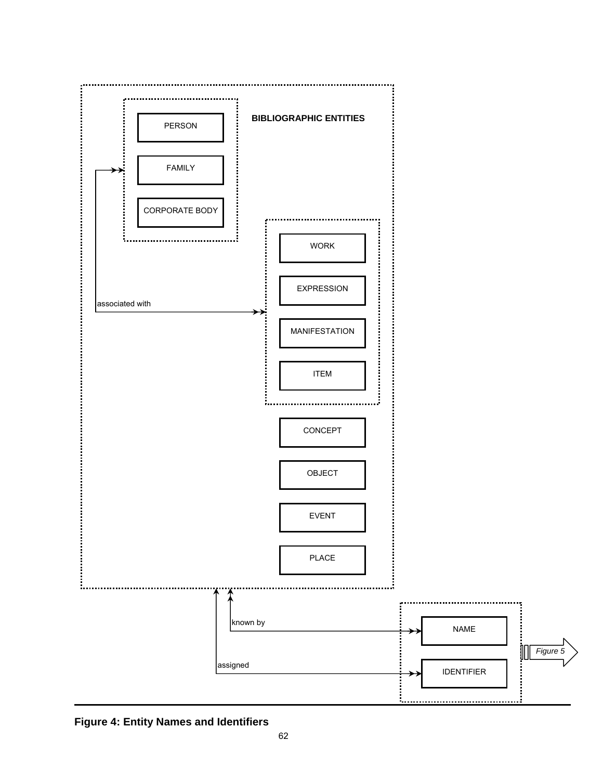

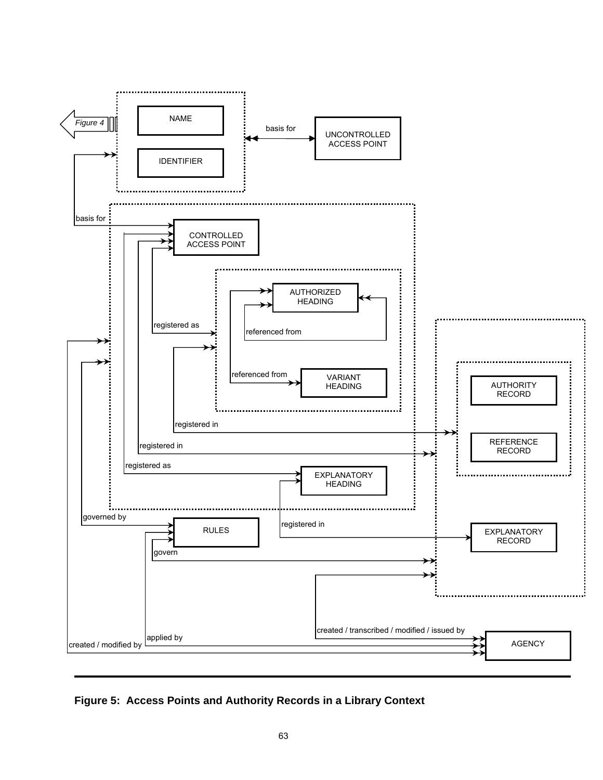

**Figure 5: Access Points and Authority Records in a Library Context**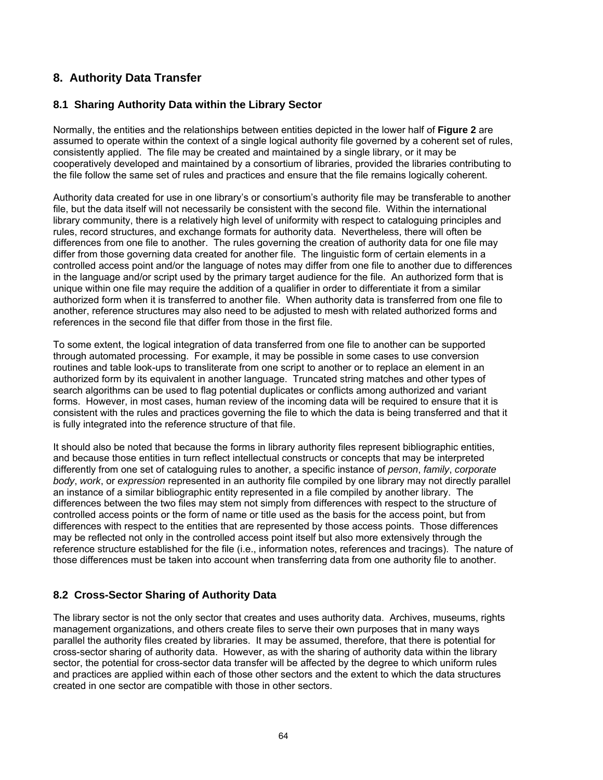# **8. Authority Data Transfer**

### **8.1 Sharing Authority Data within the Library Sector**

Normally, the entities and the relationships between entities depicted in the lower half of **Figure 2** are assumed to operate within the context of a single logical authority file governed by a coherent set of rules, consistently applied. The file may be created and maintained by a single library, or it may be cooperatively developed and maintained by a consortium of libraries, provided the libraries contributing to the file follow the same set of rules and practices and ensure that the file remains logically coherent.

Authority data created for use in one library's or consortium's authority file may be transferable to another file, but the data itself will not necessarily be consistent with the second file. Within the international library community, there is a relatively high level of uniformity with respect to cataloguing principles and rules, record structures, and exchange formats for authority data. Nevertheless, there will often be differences from one file to another. The rules governing the creation of authority data for one file may differ from those governing data created for another file. The linguistic form of certain elements in a controlled access point and/or the language of notes may differ from one file to another due to differences in the language and/or script used by the primary target audience for the file. An authorized form that is unique within one file may require the addition of a qualifier in order to differentiate it from a similar authorized form when it is transferred to another file. When authority data is transferred from one file to another, reference structures may also need to be adjusted to mesh with related authorized forms and references in the second file that differ from those in the first file.

To some extent, the logical integration of data transferred from one file to another can be supported through automated processing. For example, it may be possible in some cases to use conversion routines and table look-ups to transliterate from one script to another or to replace an element in an authorized form by its equivalent in another language. Truncated string matches and other types of search algorithms can be used to flag potential duplicates or conflicts among authorized and variant forms. However, in most cases, human review of the incoming data will be required to ensure that it is consistent with the rules and practices governing the file to which the data is being transferred and that it is fully integrated into the reference structure of that file.

It should also be noted that because the forms in library authority files represent bibliographic entities, and because those entities in turn reflect intellectual constructs or concepts that may be interpreted differently from one set of cataloguing rules to another, a specific instance of *person*, *family*, *corporate body*, *work*, or *expression* represented in an authority file compiled by one library may not directly parallel an instance of a similar bibliographic entity represented in a file compiled by another library. The differences between the two files may stem not simply from differences with respect to the structure of controlled access points or the form of name or title used as the basis for the access point, but from differences with respect to the entities that are represented by those access points. Those differences may be reflected not only in the controlled access point itself but also more extensively through the reference structure established for the file (i.e., information notes, references and tracings). The nature of those differences must be taken into account when transferring data from one authority file to another.

### **8.2 Cross-Sector Sharing of Authority Data**

The library sector is not the only sector that creates and uses authority data. Archives, museums, rights management organizations, and others create files to serve their own purposes that in many ways parallel the authority files created by libraries. It may be assumed, therefore, that there is potential for cross-sector sharing of authority data. However, as with the sharing of authority data within the library sector, the potential for cross-sector data transfer will be affected by the degree to which uniform rules and practices are applied within each of those other sectors and the extent to which the data structures created in one sector are compatible with those in other sectors.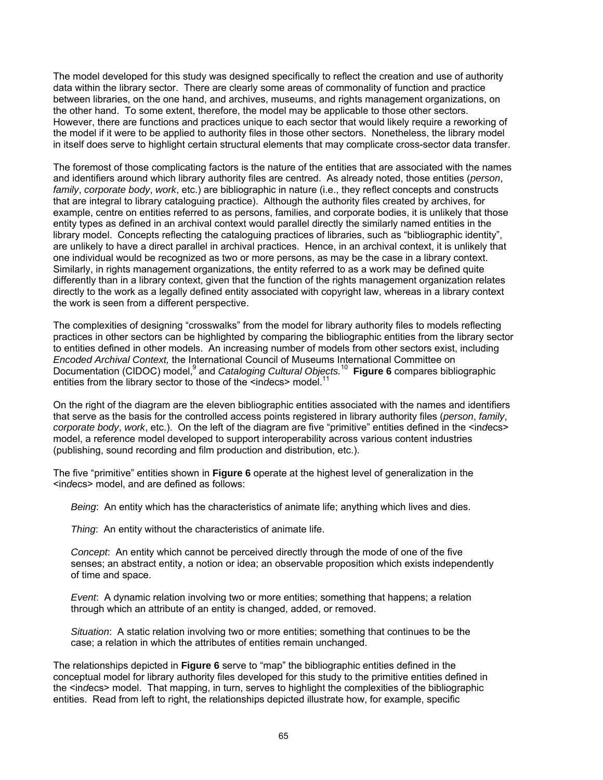The model developed for this study was designed specifically to reflect the creation and use of authority data within the library sector. There are clearly some areas of commonality of function and practice between libraries, on the one hand, and archives, museums, and rights management organizations, on the other hand. To some extent, therefore, the model may be applicable to those other sectors. However, there are functions and practices unique to each sector that would likely require a reworking of the model if it were to be applied to authority files in those other sectors. Nonetheless, the library model in itself does serve to highlight certain structural elements that may complicate cross-sector data transfer.

The foremost of those complicating factors is the nature of the entities that are associated with the names and identifiers around which library authority files are centred. As already noted, those entities (*person*, *family*, *corporate body*, *work*, etc.) are bibliographic in nature (i.e., they reflect concepts and constructs that are integral to library cataloguing practice). Although the authority files created by archives, for example, centre on entities referred to as persons, families, and corporate bodies, it is unlikely that those entity types as defined in an archival context would parallel directly the similarly named entities in the library model. Concepts reflecting the cataloguing practices of libraries, such as "bibliographic identity", are unlikely to have a direct parallel in archival practices. Hence, in an archival context, it is unlikely that one individual would be recognized as two or more persons, as may be the case in a library context. Similarly, in rights management organizations, the entity referred to as a work may be defined quite differently than in a library context, given that the function of the rights management organization relates directly to the work as a legally defined entity associated with copyright law, whereas in a library context the work is seen from a different perspective.

The complexities of designing "crosswalks" from the model for library authority files to models reflecting practices in other sectors can be highlighted by comparing the bibliographic entities from the library sector to entities defined in other models. An increasing number of models from other sectors exist, including *Encoded Archival Context,* the International Council of Museums International Committee on Documentation (CIDOC) model,<sup>9</sup> and *Cataloging Cultural Objects*.<sup>10</sup> Figure 6 compares bibliographic entities from the library sector to those of the <indecs> model.<sup>11</sup>

On the right of the diagram are the eleven bibliographic entities associated with the names and identifiers that serve as the basis for the controlled access points registered in library authority files (*person*, *family*, *corporate body*, *work*, etc.). On the left of the diagram are five "primitive" entities defined in the <in*d*ecs> model, a reference model developed to support interoperability across various content industries (publishing, sound recording and film production and distribution, etc.).

The five "primitive" entities shown in **Figure 6** operate at the highest level of generalization in the <in*d*ecs> model, and are defined as follows:

*Being*: An entity which has the characteristics of animate life; anything which lives and dies.

*Thing*: An entity without the characteristics of animate life.

*Concept*: An entity which cannot be perceived directly through the mode of one of the five senses; an abstract entity, a notion or idea; an observable proposition which exists independently of time and space.

*Event*: A dynamic relation involving two or more entities; something that happens; a relation through which an attribute of an entity is changed, added, or removed.

*Situation*: A static relation involving two or more entities; something that continues to be the case; a relation in which the attributes of entities remain unchanged.

The relationships depicted in **Figure 6** serve to "map" the bibliographic entities defined in the conceptual model for library authority files developed for this study to the primitive entities defined in the <in*d*ecs> model. That mapping, in turn, serves to highlight the complexities of the bibliographic entities. Read from left to right, the relationships depicted illustrate how, for example, specific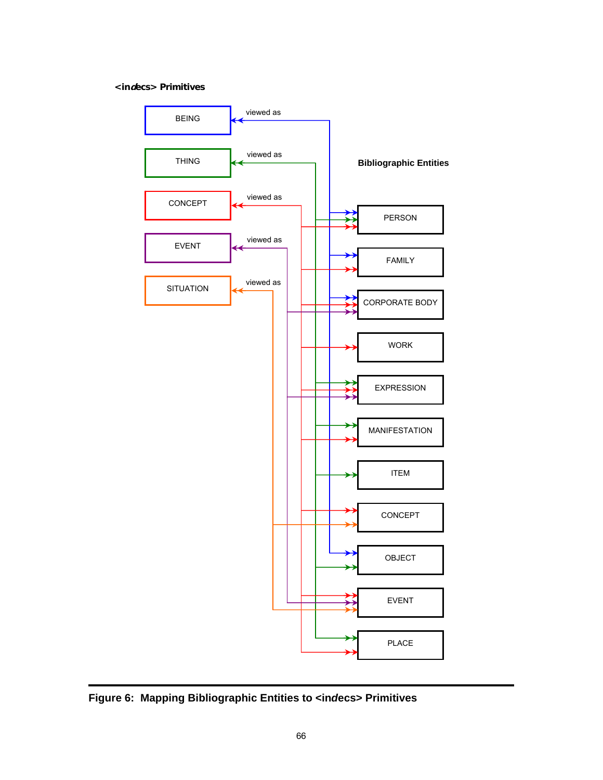#### **<indecs> Primitives**



**Figure 6: Mapping Bibliographic Entities to <in***d***ecs> Primitives**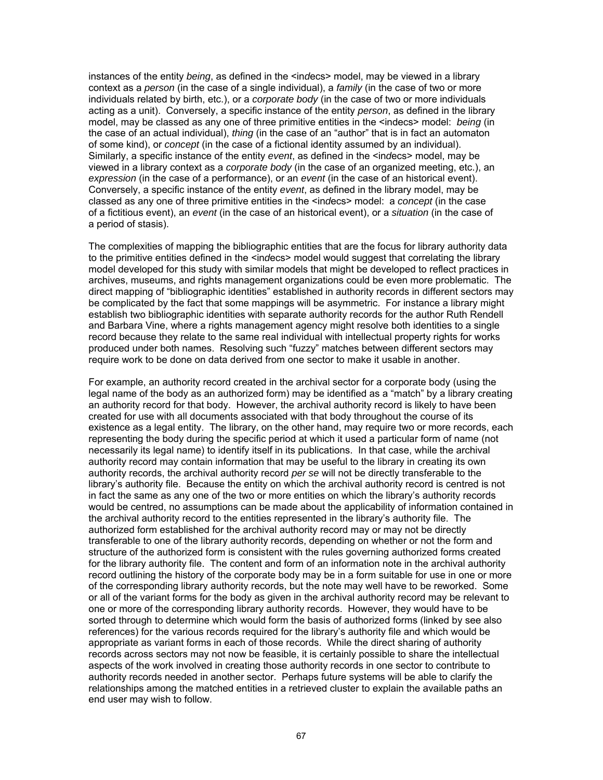instances of the entity *being*, as defined in the <indecs> model, may be viewed in a library context as a *person* (in the case of a single individual), a *family* (in the case of two or more individuals related by birth, etc.), or a *corporate body* (in the case of two or more individuals acting as a unit). Conversely, a specific instance of the entity *person*, as defined in the library model, may be classed as any one of three primitive entities in the <indecs> model: *being* (in the case of an actual individual), *thing* (in the case of an "author" that is in fact an automaton of some kind), or *concept* (in the case of a fictional identity assumed by an individual). Similarly, a specific instance of the entity *event*, as defined in the <in*d*ecs> model, may be viewed in a library context as a *corporate body* (in the case of an organized meeting, etc.), an *expression* (in the case of a performance), or an *event* (in the case of an historical event). Conversely, a specific instance of the entity *event*, as defined in the library model, may be classed as any one of three primitive entities in the <in*d*ecs> model: a *concept* (in the case of a fictitious event), an *event* (in the case of an historical event), or a *situation* (in the case of a period of stasis).

The complexities of mapping the bibliographic entities that are the focus for library authority data to the primitive entities defined in the <in*d*ecs> model would suggest that correlating the library model developed for this study with similar models that might be developed to reflect practices in archives, museums, and rights management organizations could be even more problematic. The direct mapping of "bibliographic identities" established in authority records in different sectors may be complicated by the fact that some mappings will be asymmetric. For instance a library might establish two bibliographic identities with separate authority records for the author Ruth Rendell and Barbara Vine, where a rights management agency might resolve both identities to a single record because they relate to the same real individual with intellectual property rights for works produced under both names. Resolving such "fuzzy" matches between different sectors may require work to be done on data derived from one sector to make it usable in another.

For example, an authority record created in the archival sector for a corporate body (using the legal name of the body as an authorized form) may be identified as a "match" by a library creating an authority record for that body. However, the archival authority record is likely to have been created for use with all documents associated with that body throughout the course of its existence as a legal entity. The library, on the other hand, may require two or more records, each representing the body during the specific period at which it used a particular form of name (not necessarily its legal name) to identify itself in its publications. In that case, while the archival authority record may contain information that may be useful to the library in creating its own authority records, the archival authority record *per se* will not be directly transferable to the library's authority file. Because the entity on which the archival authority record is centred is not in fact the same as any one of the two or more entities on which the library's authority records would be centred, no assumptions can be made about the applicability of information contained in the archival authority record to the entities represented in the library's authority file. The authorized form established for the archival authority record may or may not be directly transferable to one of the library authority records, depending on whether or not the form and structure of the authorized form is consistent with the rules governing authorized forms created for the library authority file. The content and form of an information note in the archival authority record outlining the history of the corporate body may be in a form suitable for use in one or more of the corresponding library authority records, but the note may well have to be reworked. Some or all of the variant forms for the body as given in the archival authority record may be relevant to one or more of the corresponding library authority records. However, they would have to be sorted through to determine which would form the basis of authorized forms (linked by see also references) for the various records required for the library's authority file and which would be appropriate as variant forms in each of those records. While the direct sharing of authority records across sectors may not now be feasible, it is certainly possible to share the intellectual aspects of the work involved in creating those authority records in one sector to contribute to authority records needed in another sector. Perhaps future systems will be able to clarify the relationships among the matched entities in a retrieved cluster to explain the available paths an end user may wish to follow.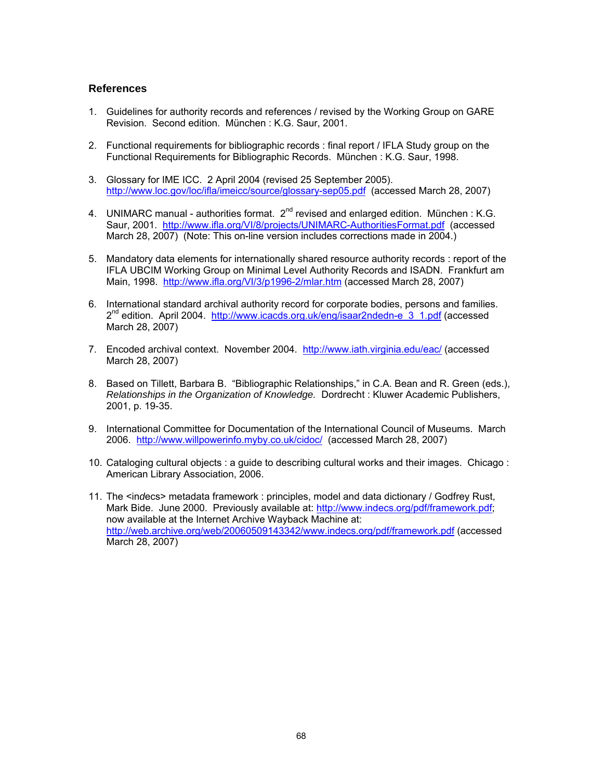## **References**

- 1. Guidelines for authority records and references / revised by the Working Group on GARE Revision. Second edition. München : K.G. Saur, 2001.
- 2. Functional requirements for bibliographic records : final report / IFLA Study group on the Functional Requirements for Bibliographic Records. München : K.G. Saur, 1998.
- 3. Glossary for IME ICC. 2 April 2004 (revised 25 September 2005). <http://www.loc.gov/loc/ifla/imeicc/source/glossary-sep05.pdf>(accessed March 28, 2007)
- 4. UNIMARC manual authorities format.  $2^{nd}$  revised and enlarged edition. München: K.G. Saur, 2001. <http://www.ifla.org/VI/8/projects/UNIMARC-AuthoritiesFormat.pdf>(accessed March 28, 2007) (Note: This on-line version includes corrections made in 2004.)
- 5. Mandatory data elements for internationally shared resource authority records : report of the IFLA UBCIM Working Group on Minimal Level Authority Records and ISADN. Frankfurt am Main, 1998. <http://www.ifla.org/VI/3/p1996-2/mlar.htm> (accessed March 28, 2007)
- 6. International standard archival authority record for corporate bodies, persons and families.  $2<sup>nd</sup>$  edition. April 2004. http://www.icacds.org.uk/eng/isaar2ndedn-e $\overline{3}$  1.pdf (accessed March 28, 2007)
- 7. Encoded archival context. November 2004. <http://www.iath.virginia.edu/eac/>(accessed March 28, 2007)
- 8. Based on Tillett, Barbara B. "Bibliographic Relationships," in C.A. Bean and R. Green (eds.), *Relationships in the Organization of Knowledge.* Dordrecht : Kluwer Academic Publishers, 2001, p. 19-35.
- 9. International Committee for Documentation of the International Council of Museums. March 2006. <http://www.willpowerinfo.myby.co.uk/cidoc/>(accessed March 28, 2007)
- 10. Cataloging cultural objects : a guide to describing cultural works and their images. Chicago : American Library Association, 2006.
- 11. The <in*d*ecs> metadata framework : principles, model and data dictionary / Godfrey Rust, Mark Bide. June 2000. Previously available at: [http://www.indecs.org/pdf/framework.pdf;](http://www.indecs.org/pdf/framework.pdf) now available at the Internet Archive Wayback Machine at: <http://web.archive.org/web/20060509143342/www.indecs.org/pdf/framework.pdf>(accessed March 28, 2007)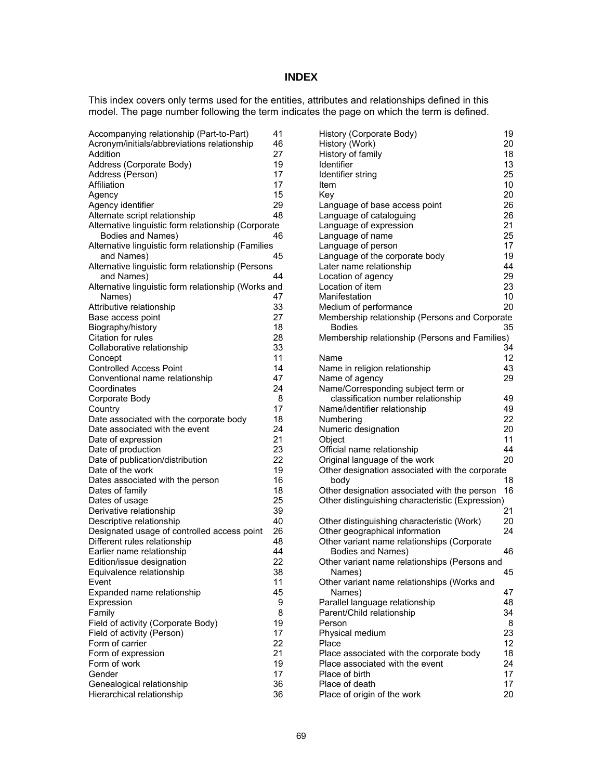## **INDEX**

This index covers only terms used for the entities, attributes and relationships defined in this model. The page number following the term indicates the page on which the term is defined.

| Accompanying relationship (Part-to-Part)               | 41       |
|--------------------------------------------------------|----------|
| Acronym/initials/abbreviations relationship            | 46       |
| Addition                                               | 27       |
| Address (Corporate Body)                               | 19       |
| Address (Person)                                       | 17       |
| Affiliation                                            | 17       |
| Agency                                                 | 15       |
| Agency identifier                                      | 29       |
| Alternate script relationship                          | 48       |
| Alternative linguistic form relationship (Corporate    |          |
| Bodies and Names)                                      | 46       |
| Alternative linguistic form relationship (Families     |          |
| and Names)                                             | 45       |
| Alternative linguistic form relationship (Persons      |          |
| and Names)                                             | 44       |
| Alternative linguistic form relationship (Works and    |          |
| Names)                                                 | 47       |
| Attributive relationship                               | 33       |
| Base access point                                      | 27       |
| Biography/history                                      | 18       |
| Citation for rules                                     | 28       |
| Collaborative relationship                             | 33       |
| Concept                                                | 11       |
| <b>Controlled Access Point</b>                         | 14       |
| Conventional name relationship                         | 47       |
| Coordinates                                            | 24       |
| Corporate Body                                         | 8        |
| Country                                                | 17       |
| Date associated with the corporate body                | 18       |
| Date associated with the event                         | 24       |
| Date of expression                                     | 21       |
| Date of production                                     | 23       |
| Date of publication/distribution                       | 22       |
| Date of the work                                       | 19       |
| Dates associated with the person                       | 16       |
| Dates of family                                        | 18       |
| Dates of usage                                         | 25       |
| Derivative relationship                                | 39       |
| Descriptive relationship                               | 40       |
| Designated usage of controlled access point            | 26       |
| Different rules relationship                           | 48       |
| Earlier name relationship                              | 44       |
| Edition/issue designation                              | 22       |
| Equivalence relationship                               | 38       |
| Event                                                  | 11       |
| Expanded name relationship                             | 45       |
| Expression                                             | 9        |
| Family                                                 | 8        |
| Field of activity (Corporate Body)                     | 19       |
| Field of activity (Person)                             | 17       |
| Form of carrier                                        | 22       |
| Form of expression                                     | 21       |
| Form of work                                           | 19       |
| Gender                                                 | 17       |
| Genealogical relationship<br>Hierarchical relationship | 36<br>36 |
|                                                        |          |

| History (Corporate Body)                              | 19       |
|-------------------------------------------------------|----------|
| History (Work)<br>History of family                   | 20<br>18 |
| Identifier                                            | 13       |
| Identifier string                                     | 25       |
| Item                                                  | 10       |
| Key                                                   | 20       |
| Language of base access point                         | 26       |
| Language of cataloguing                               | 26       |
| Language of expression                                | 21       |
| Language of name                                      | 25       |
| Language of person                                    | 17       |
| Language of the corporate body                        | 19       |
| Later name relationship                               | 44       |
| Location of agency                                    | 29       |
| Location of item<br>Manifestation                     | 23<br>10 |
| Medium of performance                                 | 20       |
| Membership relationship (Persons and Corporate        |          |
| <b>Bodies</b>                                         | 35       |
| Membership relationship (Persons and Families)        |          |
|                                                       | 34       |
| Name                                                  | 12       |
| Name in religion relationship                         | 43       |
| Name of agency                                        | 29       |
| Name/Corresponding subject term or                    |          |
| classification number relationship                    | 49       |
| Name/identifier relationship                          | 49       |
| Numbering                                             | 22       |
| Numeric designation                                   | 20<br>11 |
| Object<br>Official name relationship                  | 44       |
| Original language of the work                         | 20       |
| Other designation associated with the corporate       |          |
| body                                                  | 18       |
| Other designation associated with the person          | 16       |
| Other distinguishing characteristic (Expression)      |          |
|                                                       | 21       |
| Other distinguishing characteristic (Work)            | 20       |
| Other geographical information                        | 24       |
| Other variant name relationships (Corporate           |          |
| Bodies and Names)                                     | 46       |
| Other variant name relationships (Persons and         |          |
| Names)<br>Other variant name relationships (Works and | 45       |
| Names)                                                | 47       |
| Parallel language relationship                        | 48       |
| Parent/Child relationship                             | 34       |
| Person                                                | 8        |
| Physical medium                                       | 23       |
| Place                                                 | 12       |
| Place associated with the corporate body              | 18       |
| Place associated with the event                       | 24       |
| Place of birth                                        | 17       |
| Place of death                                        | 17       |
| Place of origin of the work                           | 20       |